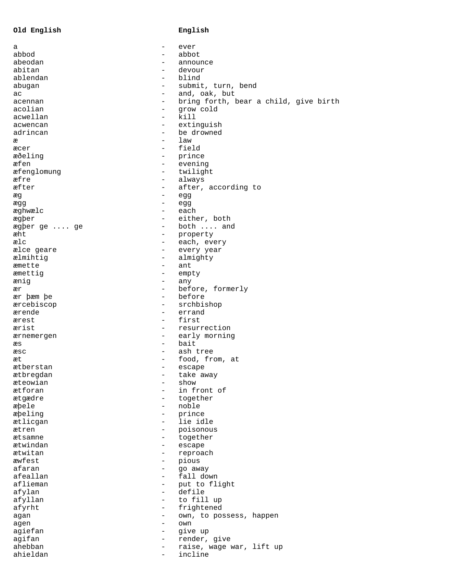|  | Old English |
|--|-------------|
|--|-------------|

## **Old English English**

| а            | $\overline{\phantom{0}}$ | ever                                  |
|--------------|--------------------------|---------------------------------------|
| abbod        |                          | abbot                                 |
| abeodan      |                          | announce                              |
| abitan       | $\overline{\phantom{0}}$ | devour                                |
| ablendan     | $\overline{\phantom{0}}$ | blind                                 |
| abugan       | $\qquad \qquad$          | submit, turn, bend                    |
| ac           | $\qquad \qquad -$        | and, oak, but                         |
| acennan      | $\qquad \qquad -$        | bring forth, bear a child, give birth |
| acolian      | $\overline{\phantom{0}}$ | grow cold                             |
| acwellan     | $\overline{\phantom{0}}$ | kill                                  |
| acwencan     | $\qquad \qquad -$        | extinguish                            |
| adrincan     | $\overline{\phantom{0}}$ | be drowned                            |
| æ            | $\overline{\phantom{0}}$ | law                                   |
| æcer         |                          | field                                 |
| æðeling      | $\overline{\phantom{m}}$ | prince                                |
| æfen         | $\qquad \qquad -$        | evening                               |
|              |                          |                                       |
| æfenglomung  | $\overline{\phantom{m}}$ | twilight                              |
| æfre         | $\overline{\phantom{m}}$ | always                                |
| æfter        | $\overline{\phantom{m}}$ | after, according to                   |
| æg           | -                        | egg                                   |
| ægg          | $\overline{\phantom{0}}$ | egg                                   |
| æghwælc      | $\overline{\phantom{0}}$ | each                                  |
| ægþer        | $\qquad \qquad -$        | either, both                          |
| ægþer ge  ge | $\overline{\phantom{0}}$ | both  and                             |
| æht          | $\qquad \qquad -$        | property                              |
| ælc          | $\overline{\phantom{0}}$ | each, every                           |
| ælce geare   | $\overline{\phantom{0}}$ | every year                            |
| ælmihtig     | $\overline{\phantom{m}}$ | almighty                              |
| æmette       | $\overline{\phantom{0}}$ | ant                                   |
| æmettig      | $\overline{\phantom{0}}$ | empty                                 |
| ænig         | $\overline{\phantom{0}}$ | any                                   |
| ær           | $\overline{\phantom{m}}$ | before, formerly                      |
| ær þæm þe    | $\overline{\phantom{0}}$ | before                                |
| ærcebiscop   | $\overline{\phantom{0}}$ | srchbishop                            |
| ærende       | $\overline{\phantom{0}}$ | errand                                |
| ærest        | $\qquad \qquad -$        | first                                 |
| ærist        | $\overline{\phantom{0}}$ | resurrection                          |
| ærnemergen   | $\qquad \qquad -$        | early morning                         |
| æs           | $-$                      | bait                                  |
| æsc          | $\overline{\phantom{a}}$ | ash tree                              |
| æt           | $\qquad \qquad -$        | food, from, at                        |
| ætberstan    | -                        | escape                                |
| ætbregdan    |                          | take away                             |
| æteowian     |                          | show                                  |
| ætforan      |                          | in front of                           |
| ætgædre      |                          | together                              |
| æþele        |                          | noble                                 |
| æþeling      | $\overline{\phantom{0}}$ | prince                                |
| ætlicgan     | $-$                      | lie idle                              |
| ætren        |                          | poisonous                             |
| ætsamne      |                          | together                              |
| ætwindan     | $\overline{\phantom{0}}$ | escape                                |
| ætwitan      | $\qquad \qquad -$        | reproach                              |
| æwfest       | -                        | pious                                 |
| afaran       |                          | go away                               |
| afeallan     |                          | fall down                             |
| aflieman     | $\overline{\phantom{m}}$ | put to flight                         |
| afylan       | $\overline{\phantom{0}}$ | defile                                |
| afyllan      | -                        | to fill up                            |
| afyrht       | $\overline{\phantom{0}}$ | frightened                            |
| agan         | $\qquad \qquad -$        | own, to possess, happen               |
| agen         | $\overline{\phantom{0}}$ | own                                   |
| agiefan      | $\overline{\phantom{0}}$ | give up                               |
| agifan       | $\overline{\phantom{0}}$ | render, give                          |
| ahebban      |                          | raise, wage war, lift up              |
| ahieldan     |                          | incline                               |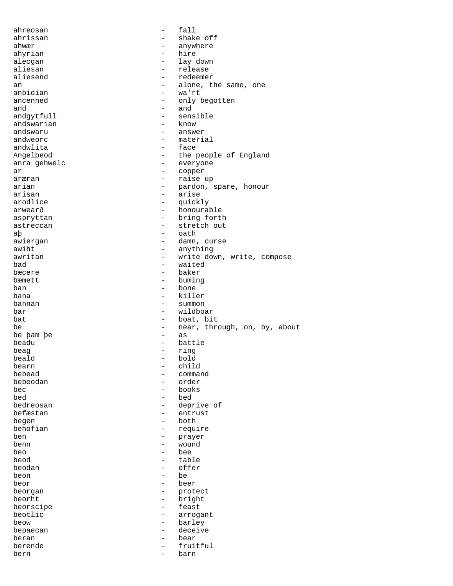| ahreosan     | $\qquad \qquad -$        | fall                         |
|--------------|--------------------------|------------------------------|
| ahrissan     |                          | shake off                    |
| ahwær        |                          | anywhere                     |
| ahyrian      |                          | hire                         |
| alecgan      | $\overline{\phantom{0}}$ | lay down                     |
| aliesan      | $\overline{\phantom{0}}$ | release                      |
| aliesend     |                          | redeemer                     |
|              |                          |                              |
| an           |                          | alone, the same, one         |
| anbidian     | $\overline{\phantom{0}}$ | wa'rt                        |
| ancenned     | $\overline{\phantom{0}}$ | only begotten                |
| and          | -                        | and                          |
| andgytfull   |                          | sensible                     |
| andswarian   | $\overline{\phantom{0}}$ | know                         |
| andswaru     | $\overline{\phantom{0}}$ | answer                       |
| andweorc     | -                        | material                     |
| andwlita     | $\overline{\phantom{0}}$ | face                         |
| Angelpeod    |                          | the people of England        |
| anra gehwelc | -                        | everyone                     |
| ar           | -                        | copper                       |
| aræran       | $\overline{\phantom{0}}$ | raise up                     |
| arian        | $\overline{\phantom{0}}$ | pardon, spare, honour        |
|              | $\overline{\phantom{0}}$ |                              |
| arisan       |                          | arise                        |
| arodlice     | -                        | quickly                      |
| arwearð      | $\qquad \qquad -$        | honourable                   |
| aspryttan    |                          | bring forth                  |
| astreccan    | $\qquad \qquad -$        | stretch out                  |
| aþ           | $\qquad \qquad -$        | oath                         |
| awiergan     |                          | damn, curse                  |
| awiht        |                          | anything                     |
| awritan      | $\overline{\phantom{0}}$ | write down, write, compose   |
| bad          | $\qquad \qquad -$        | waited                       |
| bæcere       |                          | baker                        |
| bæmett       |                          | buming                       |
| ban          | $\overline{\phantom{0}}$ | bone                         |
| bana         | $\qquad \qquad -$        | killer                       |
| bannan       | -                        | summon                       |
|              | $\overline{\phantom{0}}$ | wildboar                     |
| bar          | $\overline{\phantom{0}}$ |                              |
| bat          |                          | boat, bit                    |
| be           | $\qquad \qquad -$        | near, through, on, by, about |
| be bam be    | $\overline{\phantom{0}}$ | as                           |
| beadu        | $\overline{\phantom{0}}$ | battle                       |
| beag         | $\overline{\phantom{0}}$ | ring                         |
| beald        |                          | bold                         |
| bearn        |                          | child                        |
| bebead       |                          | command                      |
| bebeodan     |                          | order                        |
| bec          | -                        | books                        |
| bed          |                          | bed                          |
| bedreosan    |                          | deprive of                   |
| befæstan     |                          | entrust                      |
| begen        |                          | both                         |
| behofian     | -                        | require                      |
| ben          |                          |                              |
|              |                          | prayer                       |
| benn         |                          | wound                        |
| beo          |                          | bee                          |
| beod         | $\overline{\phantom{0}}$ | table                        |
| beodan       |                          | offer                        |
| beon         |                          | be                           |
| beor         | $\qquad \qquad -$        | beer                         |
| beorgan      | $\qquad \qquad -$        | protect                      |
| beorht       |                          | bright                       |
| beorscipe    |                          | feast                        |
| beotlic      |                          | arrogant                     |
| beow         | -                        | barley                       |
| bepaecan     |                          | deceive                      |
| beran        |                          | bear                         |
| berende      |                          | fruitful                     |
| bern         | -                        | barn                         |
|              |                          |                              |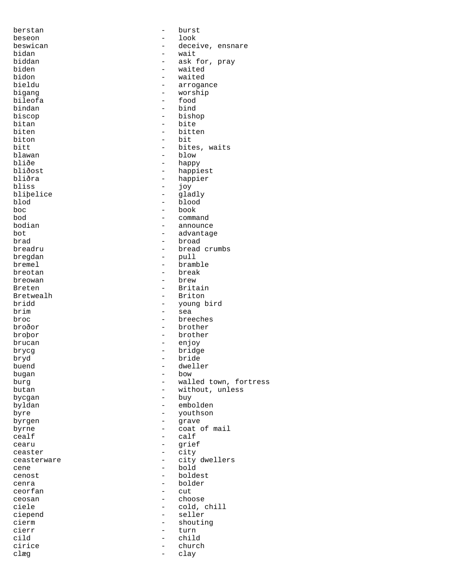berstan - burst beseon - look beswican - deceive, ensnare bidan - deceive, ensnare bidan bidan - wait biddan - ask for, pray biden - waited bidon - waited bieldu - arrogance bigang - worship bileofa - food - bind biscop - bishop bitan - bite biten - bitten - bitten biton - bit<br>bitt - bite<br>- bite bitt - bites, waits<br>blawan - blow - blow blawan - blow bliðe - happy bliðe - happy - happy bliðost - happy - happy - happy - happy - happy - happy - happy - happy - happy - happy - happy - happy - happy - happy - happy - happy - happy - happy - happy - happy - happy - happy bliðost - happiest<br>bliðra - - - - - happiest bliðra - happier bliss - joy bliþelice - gladly<br>blod - blood - blood blod - blood boc - book bod - command - announce bot - advantage brad - broad breadru - bread crumbs bregdan - pull bremel - bramble breotan - break breowan - brew - Britain Bretwealh - Briton - Briton - Briton - Briton - Briton - Briton - Briton - Briton - Briton - Briton - Briton bridd - young bird<br>brim - sea brim - sea<br>broc - bree - bree - breeches broðor - brother broþor - brother brucan - enjoy brycg - bridge bryd - bride - dweller<br>- bow bugan<br>burq burg  $-$  walled town, fortress butan  $-$  without, unless - without, unless bycgan - buy byldan - embolden byre - youthson<br>
byre - youthson<br>
- grave byrgen - grave byrne  $\qquad \qquad -$  coat of mail cealf - calf<br>cearu - calf cearu - grief<br>
ceaster - city<br>
- city ceaster - city - city dwellers<br>- bold cene - bold<br>
cenest - bold<br>
- bolde cenost - boldest cenra - bolder ceorfan - cut ceosan - choose ciele - cold, chill ciepend - seller cierm - shouting<br>
cierr - turn cierr - turn<br>cild - child - child cirice - church<br>clæg - church<br>- clay clæg - clay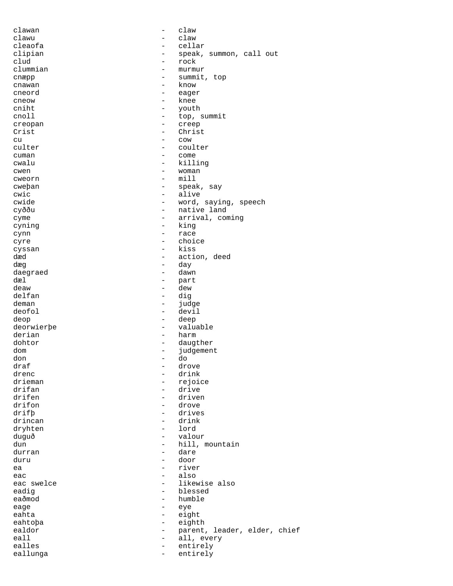| clawan     | -                        | claw                         |
|------------|--------------------------|------------------------------|
| clawu      |                          | claw                         |
| cleaofa    |                          | cellar                       |
| clipian    | $\qquad \qquad -$        | speak, summon, call out      |
| clud       | -                        | rock                         |
| clummian   |                          |                              |
|            |                          | murmur                       |
| cnæpp      |                          | summit, top                  |
| cnawan     | $\overline{\phantom{0}}$ | know                         |
| cneord     | $\overline{\phantom{0}}$ | eager                        |
| cneow      | $\overline{\phantom{0}}$ | knee                         |
| cniht      | $\overline{\phantom{0}}$ | youth                        |
| cnoll      | $\overline{\phantom{0}}$ | top, summit                  |
|            |                          |                              |
| creopan    | -                        | creep                        |
| Crist      | $\overline{\phantom{0}}$ | Christ                       |
| cu         |                          | COW                          |
| culter     | $\overline{\phantom{0}}$ | coulter                      |
| cuman      | -                        | come                         |
| cwalu      | -                        | killing                      |
|            | -                        |                              |
| cwen       |                          | woman                        |
| cweorn     | $\overline{\phantom{0}}$ | min11                        |
| cweban     | $-$                      | speak, say                   |
| cwic       | $\qquad \qquad -$        | alive                        |
| cwide      | $\qquad \qquad -$        | word, saying, speech         |
| cyððu      | $\qquad \qquad -$        | native land                  |
| cyme       | $\overline{\phantom{m}}$ | arrival, coming              |
|            |                          |                              |
| cyning     | -                        | king                         |
| cynn       | -                        | race                         |
| cyre       |                          | choice                       |
| cyssan     | $\overline{\phantom{0}}$ | kiss                         |
| dæd        | $\overline{\phantom{0}}$ | action, deed                 |
| dæq        | $\overline{\phantom{0}}$ | day                          |
| daegraed   | $\overline{\phantom{0}}$ | dawn                         |
| dæl        | $\qquad \qquad -$        | part                         |
| deaw       | $-$                      | dew                          |
| delfan     | $\overline{\phantom{0}}$ | dig                          |
|            |                          |                              |
| deman      | $\overline{\phantom{0}}$ | judge                        |
| deofol     | $\overline{\phantom{0}}$ | devil                        |
| deop       | $\qquad \qquad -$        | deep                         |
| deorwierbe | $\qquad \qquad -$        | valuable                     |
| derian     | $\overline{\phantom{0}}$ | harm                         |
| dohtor     | $\overline{\phantom{a}}$ | daugther                     |
| dom        | $\sim$                   | judgement                    |
|            | $\overline{\phantom{0}}$ |                              |
| don        |                          | do                           |
| draf       | $\equiv$                 | drove                        |
| drenc      |                          | drink                        |
| drieman    | -                        | rejoice                      |
| drifan     | -                        | drive                        |
| drifen     | $\overline{\phantom{0}}$ | driven                       |
| drifon     |                          | drove                        |
| drifb      | $\overline{\phantom{0}}$ | drives                       |
|            |                          |                              |
| drincan    | -                        | drink                        |
| dryhten    | -                        | lord                         |
| duguð      |                          | valour                       |
| dun        | $-$                      | hill, mountain               |
| durran     | -                        | dare                         |
| duru       | $\overline{\phantom{0}}$ | door                         |
| ea         |                          | river                        |
| eac        | $\overline{\phantom{0}}$ | also                         |
|            |                          | likewise also                |
| eac swelce | -                        |                              |
| eadig      | $\overline{\phantom{0}}$ | blessed                      |
| eaðmod     | -                        | humble                       |
| eage       | $\overline{\phantom{0}}$ | eye                          |
| eahta      | $\overline{\phantom{0}}$ | eight                        |
| eahtopa    | $\qquad \qquad -$        | eighth                       |
| ealdor     | -                        | parent, leader, elder, chief |
| eall       | $\overline{\phantom{0}}$ | all, every                   |
| ealles     | $-$                      | entirely                     |
| eallunga   | $\overline{\phantom{0}}$ | entirely                     |
|            |                          |                              |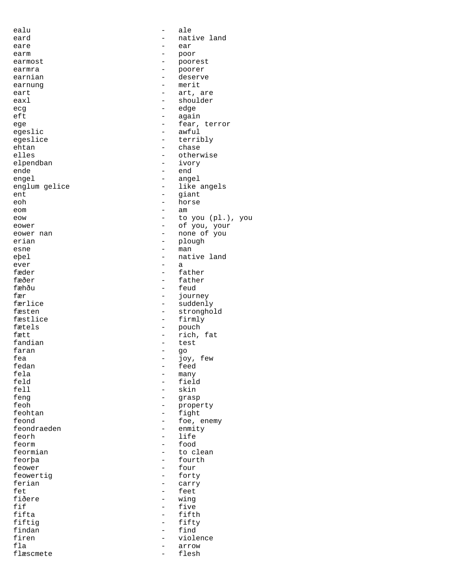| ealu          |                          | ale               |
|---------------|--------------------------|-------------------|
| eard          |                          | native land       |
|               |                          |                   |
| eare          |                          | ear               |
| earm          |                          | poor              |
| earmost       | $\overline{\phantom{0}}$ | poorest           |
| earmra        | $\qquad \qquad -$        | poorer            |
| earnian       | $\overline{\phantom{0}}$ | deserve           |
| earnung       |                          | merit             |
| eart          |                          | art, are          |
| eaxl          |                          | shoulder          |
| ecg           | -                        | edge              |
| eft           |                          |                   |
|               |                          | again             |
| ege           | $\overline{\phantom{0}}$ | fear, terror      |
| egeslic       | $\overline{\phantom{0}}$ | awful             |
| egeslice      | $\qquad \qquad -$        | terribly          |
| ehtan         |                          | chase             |
| elles         | $\overline{\phantom{0}}$ | otherwise         |
| elpendban     |                          | ivory             |
| ende          | -                        | end               |
| engel         |                          | angel             |
|               |                          |                   |
| englum gelice | $\overline{\phantom{0}}$ | like angels       |
| ent           | $\overline{\phantom{0}}$ | giant             |
| eoh           | $\qquad \qquad -$        | horse             |
| eom           |                          | am                |
| eow           |                          | to you (pl.), you |
| eower         |                          | of you, your      |
| eower nan     | -                        | none of you       |
|               |                          |                   |
| erian         | -                        | plough            |
| esne          |                          | man               |
| eþel          |                          | native land       |
| ever          | $\overline{\phantom{0}}$ | а                 |
| fæder         | $\overline{\phantom{0}}$ | father            |
| fæðer         |                          | father            |
| fæhðu         |                          | feud              |
| fær           |                          |                   |
|               |                          | journey           |
| færlice       | -                        | suddenly          |
| fæsten        |                          | stronghold        |
| fæstlice      | $\qquad \qquad -$        | firmly            |
| fætels        | -                        | pouch             |
| fætt          | -                        | rich, fat         |
| fandian       |                          | test              |
| faran         | $\overline{\phantom{0}}$ | go                |
| fea           |                          | joy, few          |
| fedan         |                          |                   |
|               | -                        | feed              |
| fela          |                          | many              |
| feld          |                          | field             |
| fell          |                          | skin              |
| feng          |                          | grasp             |
| feoh          |                          | property          |
| feohtan       | $\overline{\phantom{0}}$ | fight             |
| feond         | -                        | foe, enemy        |
| feondraeden   | $\overline{\phantom{0}}$ | enmity            |
|               |                          |                   |
| feorh         | -                        | life              |
| feorm         | $\overline{\phantom{0}}$ | food              |
| feormian      |                          | to clean          |
| feorþa        |                          | fourth            |
| feower        |                          | four              |
| feowertig     |                          | forty             |
| ferian        | -                        | carry             |
| fet           | $\overline{\phantom{0}}$ | feet              |
|               |                          |                   |
| fiðere        | -                        | wing              |
| fif           | $\overline{\phantom{0}}$ | five              |
| fifta         | $\overline{\phantom{0}}$ | fifth             |
| fiftig        | -                        | fifty             |
| findan        | -                        | find              |
| firen         |                          | violence          |
| fla           | -                        | arrow             |
| flæscmete     | $\overline{\phantom{0}}$ | flesh             |
|               |                          |                   |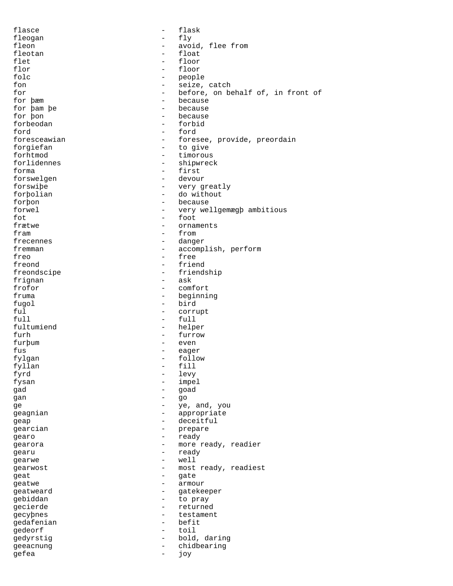| flasce       | -                        | flask                             |
|--------------|--------------------------|-----------------------------------|
| fleogan      | $\overline{\phantom{0}}$ | fly                               |
| fleon        | $\overline{\phantom{0}}$ | avoid, flee from                  |
| fleotan      | $\overline{\phantom{0}}$ | float                             |
| flet         | $\qquad \qquad -$        | floor                             |
|              |                          |                                   |
| flor         | $-$                      | floor                             |
| folc         | Ξ.                       | people                            |
| fon          |                          | seize, catch                      |
| for          | $\overline{\phantom{0}}$ | before, on behalf of, in front of |
| for bæm      | $\overline{\phantom{0}}$ | because                           |
| for þam þe   |                          | because                           |
| for pon      |                          | because                           |
| forbeodan    | $\overline{\phantom{0}}$ | forbid                            |
|              |                          |                                   |
| ford         | $-$                      | ford                              |
| foresceawian | $-$                      | foresee, províde, preordain       |
| forgiefan    |                          | to give                           |
| forhtmod     | $\overline{\phantom{0}}$ | timorous                          |
| forlidennes  | $-$                      | shipwreck                         |
| forma        | $-$                      | first                             |
| forswelgen   | $\overline{\phantom{0}}$ | devour                            |
| forswibe     | -                        | very greatly                      |
|              |                          | do without                        |
| forbolian    | $-$                      |                                   |
| forbon       | $\overline{\phantom{0}}$ | because                           |
| forwel       | -                        | very wellgemægb ambitious         |
| fot          | -                        | foot                              |
| frætwe       | -                        | ornaments                         |
| fram         | -                        | from                              |
| frecennes    | Ξ.                       | danger                            |
| fremman      | $\overline{\phantom{0}}$ |                                   |
|              |                          | accomplish, perform               |
| freo         | $\qquad \qquad -$        | free                              |
| freond       | $\overline{\phantom{0}}$ | friend                            |
| freondscipe  | -                        | friendship                        |
| frignan      |                          | ask                               |
| frofor       | -                        | comfort                           |
| fruma        | $-$                      | beginning                         |
| fugol        | $\equiv$                 | bird                              |
| ful          | $-$                      | corrupt                           |
|              |                          |                                   |
| full         | $\overline{\phantom{0}}$ | full                              |
| fultumiend   | $-$                      | helper                            |
| furh         | -                        | furrow                            |
| furbum       | $-$                      | even                              |
| fus          | $\qquad \qquad -$        | eager                             |
| fylgan       | $ -$                     | follow                            |
| fyllan       |                          | fill                              |
| fyrd         |                          | levy                              |
|              |                          |                                   |
| fysan        |                          | impel                             |
| gad          | -                        | goad                              |
| gan          |                          | go                                |
| ge           | $\overline{\phantom{0}}$ | ye, and, you                      |
| geagnian     | -                        | appropriate                       |
| geap         | $\overline{\phantom{0}}$ | deceitful                         |
| gearcian     | -                        | prepare                           |
|              | $-$                      |                                   |
| gearo        |                          | ready                             |
| gearora      | $\overline{\phantom{0}}$ | more ready, readier               |
| qearu        | $\overline{\phantom{0}}$ | ready                             |
| gearwe       | $\overline{\phantom{0}}$ | well                              |
| gearwost     | -                        | most ready, readiest              |
| geat         | -                        | gate                              |
| geatwe       | $\overline{\phantom{0}}$ | armour                            |
| geatweard    | -                        | gatekeeper                        |
| gebiddan     | $-$                      | to pray                           |
|              | $-$                      |                                   |
| gecierde     |                          | returned                          |
| gecypnes     | $-$                      | testament                         |
| gedafenian   | $-$                      | befit                             |
| gedeorf      | $-$                      | toil                              |
| gedyrstig    | $-$                      | bold, daring                      |
| geeacnung    | $\qquad \qquad -$        | chidbearing                       |
| gefea        | $-$                      | јоу                               |
|              |                          |                                   |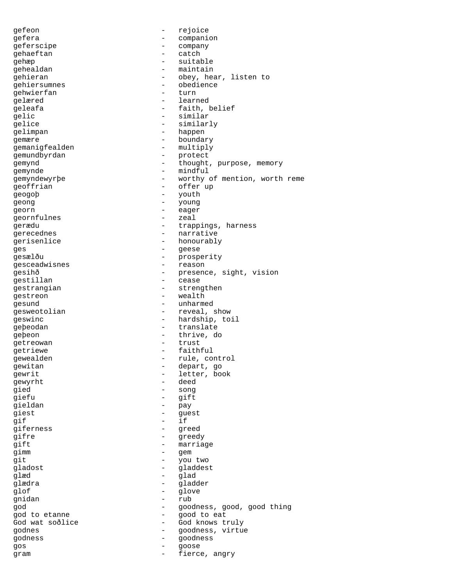gefeon - rejoice gefera - companion geferscipe - company<br>gehaeftan - catch - catch gehaeftan - catcher - catcher - catcher - catcher - catcher gehæp - suitable<br>cehealdan - maintain gehealdan - maintain<br>
gehieran - obey he gehieran - obey, hear, listen to gehiersumnes - obedience gehwierfan gelæred - learned geleafa - faith, belief qelic - similar gelice - similarly gelimpan - happen gemære - boundary gemanigfealden - multiply gemundbyrdan - protect gemynd - thought, purpose, memory gemynde - mindful - mindful gemyndewyrþe - worthy of mention, worth reme geoffrian - offer up geogoþ - youth geong - young - - eager<br>georn - eager<br>αeornfulnes - zeal geornfulnes gerædu - trappings, harness gerecednes - narrative gerisenlice - honourably ges - geese - prosperity<br>gesceadwisnes - prosperity<br>- reason gesceadwisnes gesihð - presence, sight, vision<br>gestillan gestillan - cease gestrangian - strengthen gestreon - wealth gesund - unharmed qesweotolian - reveal, show geswinc - hardship, toil geþeodan - translate geþeon - thrive, do<br>qetreowan - trust - trust getreowan - trust trust that the set of the set of the set of the set of the set of the set of the set of the s getriewe - faithful gewealden - rule, control gewitan  $\qquad \qquad -$  depart, go gewrit - letter, book gewyrht - deed gied - song<br>qiefu - gift<br>- gift - gift gieldan - pay giest - guest  $\frac{1}{\pi}$  if giferness - greed gifre - greedy gift - marriage gimm - gem git  $\begin{array}{ccc} - &$  you two gladost  $\begin{array}{ccc} - &$  gladost  $\end{array}$ gladost - gladdest glæd - glad - gladder<br>- glove glof - glove - rub god - goodness, good, good thing god to etanne  $\overline{\phantom{0}}$  - good to eat God wat soðlice  $\qquad \qquad -$  God knows truly godnes - goodness, virtue godness - goodness gos - goose gram  $-$  fierce, angry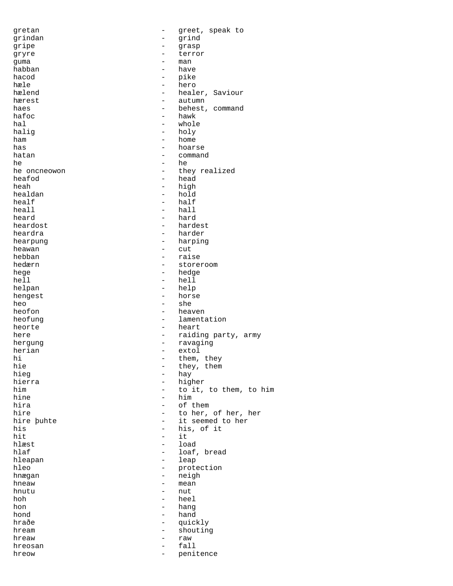| gretan       | -                        | greet, speak to        |
|--------------|--------------------------|------------------------|
| grindan      |                          | grind                  |
| gripe        | -                        | grasp                  |
| gryre        |                          | terror                 |
| guma         | $\qquad \qquad -$        | man                    |
| habban       | -                        | have                   |
| hacod        | -                        | pike                   |
| hæle         |                          |                        |
|              |                          | hero                   |
| hælend       | $\qquad \qquad -$        | healer, Saviour        |
| hærest       | -                        | autumn                 |
| haes         |                          | behest, command        |
| hafoc        | $\overline{\phantom{0}}$ | hawk                   |
| hal          | $\overline{\phantom{0}}$ | whole                  |
| halig        | $-$                      | holy                   |
| ham          | $\overline{\phantom{0}}$ | home                   |
| has          |                          | hoarse                 |
| hatan        | $\overline{\phantom{0}}$ | command                |
| he           | -                        | he                     |
| he oncneowon | $\qquad \qquad -$        | they realized          |
| heafod       | $\overline{\phantom{0}}$ | head                   |
| heah         | $\overline{\phantom{0}}$ | high                   |
| healdan      | $\qquad \qquad -$        | hold                   |
|              |                          |                        |
| healf        | $\overline{\phantom{0}}$ | half                   |
| heall        | $\overline{\phantom{0}}$ | hall                   |
| heard        | $\overline{\phantom{0}}$ | hard                   |
| heardost     | $\overline{\phantom{0}}$ | hardest                |
| heardra      | $\overline{\phantom{0}}$ | harder                 |
| hearpung     | $\overline{\phantom{0}}$ | harping                |
| heawan       | $\overline{\phantom{0}}$ | cut                    |
| hebban       | $\qquad \qquad -$        | raise                  |
| hedærn       | -                        | storeroom              |
| hege         | -                        | hedge                  |
| hell         | -                        | hell                   |
| helpan       | $\qquad \qquad -$        | help                   |
| hengest      | -                        | horse                  |
| heo          | $\overline{a}$           | she                    |
| heofon       | $\overline{\phantom{0}}$ | heaven                 |
|              | $\overline{\phantom{0}}$ |                        |
| heofung      |                          | lamentation            |
| heorte       | $-$                      | heart                  |
| here         | $\overline{\phantom{0}}$ | raiding party, army    |
| hergung      | $\overline{\phantom{0}}$ | ravaging               |
| herian       | $\overline{\phantom{a}}$ | extol                  |
| hi           | $-$                      | them, they             |
| hie          | -                        | they, them             |
| hieg         |                          | hay                    |
| hierra       | $\overline{\phantom{0}}$ | higher                 |
| him          | $\qquad \qquad -$        | to it, to them, to him |
| hine         | $\equiv$                 | him                    |
| hira         | $-$                      | of them                |
| hire         | $\overline{\phantom{0}}$ | to her, of her, her    |
| hire buhte   | $\overline{\phantom{0}}$ | it seemed to her       |
| his          | $\qquad \qquad -$        | his, of it             |
| hit          | $-$                      | it                     |
| hlæst        | $\overline{\phantom{0}}$ | load                   |
| hlaf         |                          |                        |
| hleapan      |                          |                        |
|              | $\qquad \qquad -$        | loaf, bread            |
|              | $-$                      | leap                   |
| hleo         | -                        | protection             |
| hnægan       | -                        | neigh                  |
| hneaw        | $\overline{\phantom{0}}$ | mean                   |
| hnutu        | $-$                      | nut                    |
| hoh          | $\overline{\phantom{0}}$ | heel                   |
| hon          | $-$                      | hang                   |
| hond         | $\overline{\phantom{0}}$ | hand                   |
| hraðe        | $\overline{\phantom{0}}$ | quickly                |
| hream        | $\overline{\phantom{0}}$ | shouting               |
| hreaw        | $\overline{\phantom{0}}$ | raw                    |
| hreosan      | $\qquad \qquad -$        | fall                   |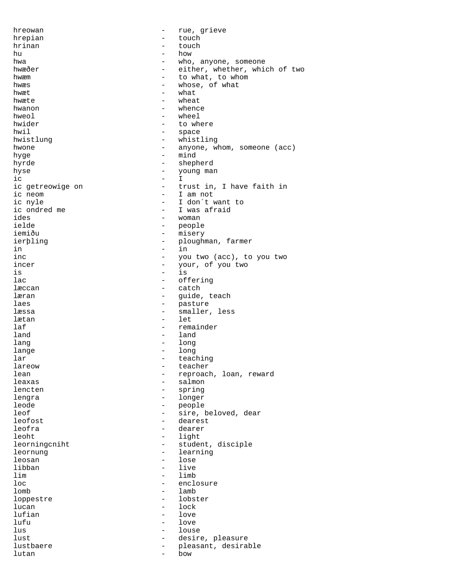hreowan - rue, grieve hrepian - touch<br>hrinan - touch<br>- touch hrinan - touch hu - touch - touch hu - how hu - how - how hwa - who, anyone, someone hwæðer - either, whether, which of two<br>hwæm - to what, to whom hwæm - to what, to whom hwæs - whose, of what hwæt - what hwæte  $-$  wheat  $h$ wanon  $h$ weol  $h$ weol  $-$  whence hweol - wheel<br>hwider - to wh - to where hwil - space hwistlung - whistling hwone  $-$  anyone, whom, someone (acc) hyge - mind<br>hyrde - mind<br>- shen hyrde - shepherd hyse - young man ic - I ic getreowige on  $\begin{array}{cccc} - &$  trust in, I have faith in ic neom  $\begin{array}{cccc} - &$  I am not ic neom - I am not<br>ic nyle - I don't v ic nyle<br>
ic ondred me<br>  $\begin{array}{ccc} - & I \text{ don't want to} \\ - & I \text{ was afraid} \end{array}$ ic ondred me  $\overline{a}$  - I was afraid ides ides - woman - people iemiðu - misery<br>ierþling - misery - plough ierþling - ploughman, farmer<br>in - in in the contract of the contract of  $\mathbf{r}$  in inc  $\begin{array}{cccc} - &$  you two (acc), to you two incer incer - your, of you two<br>is - is  $\frac{1}{15}$  is  $\frac{1}{15}$ lac - offering - catch læran  $\qquad \qquad$  - guide, teach laes extended to the pasture of the pasture læssa  $-$  smaller, less lætan - let laf  $-$  remainder land - land - land - land - land - land - land - land - land - land - land - land - land - land - land - land - land - land - land - land - land - land - land - land - land - land - land - land - land - land - land - land lang - long lange - long<br>lar - tead lar  $-$  teaching lareow - teacher lean - reproach, loan, reward<br>leaxas - salmon - salmon leaxas - salmon - salmon - salmon - salmon - salmon - salmon - salmon - salmon - salmon - salmon - salmon - sa - spring lengra - longer leode - people - sire, beloved, dear leofost - dearest leofra - dearer leoht - light<br>leorningcniht - studer leorningcniht - student, disciple<br>leornung - learning leornung - learning leosan - lose libban<br>lim lim - limb - enclosure lomb - lamb loppestre - lobster  $lucan$   $lock$ lufian - love lufu - love<br>lus - lous lus - louse - louse lust  $-$  desire, pleasure lustbaere - pleasant, desirable<br>lutan lutan - bow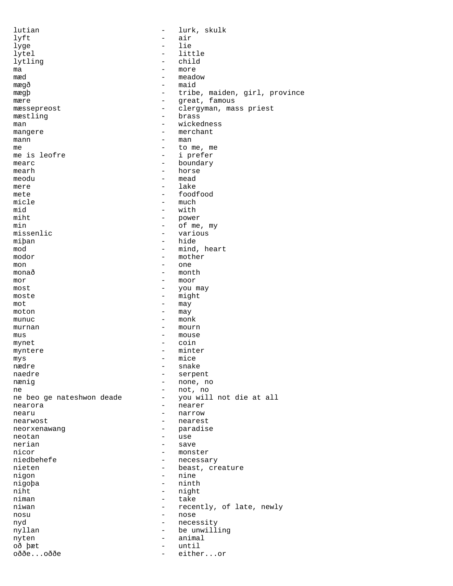| lutian                    | $\overline{\phantom{0}}$ | lurk, skulk                   |
|---------------------------|--------------------------|-------------------------------|
| lyft                      |                          | air                           |
| lyge                      | $\overline{\phantom{0}}$ | lie                           |
| lytel                     | $\overline{\phantom{0}}$ | little                        |
| lytling                   |                          | child                         |
| ma                        | -                        | more                          |
| mæd                       | $\qquad \qquad -$        | meadow                        |
| mæqð                      | $\qquad \qquad -$        | maid                          |
| mægþ                      | $\qquad \qquad -$        | tribe, maiden, girl, province |
| mære                      | -                        | great, famous                 |
| mæssepreost               | $\overline{\phantom{0}}$ | clergyman, mass priest        |
| mæstling                  | $\overline{\phantom{0}}$ | brass                         |
| man                       |                          | wickedness                    |
| mangere                   | -                        | merchant                      |
| mann                      | $\overline{\phantom{0}}$ | man                           |
| me                        | $\overline{\phantom{0}}$ | to me, me                     |
| me is leofre              | $\qquad \qquad -$        | i prefer                      |
| mearc                     | -                        | boundary                      |
| mearh                     | $\qquad \qquad$          | horse                         |
| meodu                     | -                        | mead                          |
| mere                      | $\qquad \qquad$          | lake                          |
| mete                      | -                        | foodfood                      |
| micle                     | $\overline{\phantom{0}}$ | much                          |
| mid                       | $-$                      | with                          |
| miht                      | $\qquad \qquad -$        | power                         |
| min                       | $\overline{\phantom{0}}$ | of me, my                     |
| missenlic                 | $\overline{\phantom{0}}$ | various                       |
|                           |                          |                               |
| miban                     | $\overline{\phantom{0}}$ | hide                          |
| mod                       | $\overline{\phantom{0}}$ | mind, heart                   |
| modor                     | -                        | mother                        |
| mon                       | -                        | one                           |
| monað                     | $\qquad \qquad -$        | month                         |
| mor                       | -                        | moor                          |
| most                      | -                        | you may                       |
| moste                     | -                        | might                         |
| mot                       | $\overline{\phantom{0}}$ | may                           |
| moton                     | -                        | may                           |
| munuc                     | -                        | monk                          |
| murnan                    | -                        | mourn                         |
| mus                       | $\overline{\phantom{0}}$ | mouse                         |
| mynet                     | $\overline{\phantom{0}}$ | coin                          |
| myntere                   | $\qquad \qquad -$        | minter                        |
| mys                       |                          | mice                          |
| nædre                     | $\overline{\phantom{0}}$ | snake                         |
| naedre                    | -                        | serpent                       |
| nænig                     | -                        | none, no                      |
| ne                        | $\qquad \qquad -$        | not, no                       |
| ne beo ge nateshwon deade | $\overline{\phantom{0}}$ | you will not die at all       |
| nearora                   | $\overline{\phantom{0}}$ | nearer                        |
| nearu                     | $\overline{\phantom{0}}$ | narrow                        |
| nearwost                  | -                        | nearest                       |
| neorxenawang              | $\overline{\phantom{0}}$ | paradise                      |
| neotan                    | $-$                      | use                           |
| nerian                    | $\qquad \qquad -$        | save                          |
| nicor                     | $\qquad \qquad -$        | monster                       |
| niedbehefe                | -                        | necessary                     |
| nieten                    | $-$                      | beast, creature               |
| nigon                     | $-$                      | nine                          |
| nigopa                    | -                        | ninth                         |
| niht                      | $-$                      |                               |
| niman                     | $-$                      | night<br>take                 |
|                           | $\overline{\phantom{0}}$ |                               |
| niwan                     |                          | recently, of late, newly      |
| nosu                      | $-$                      | nose                          |
| nyd                       | $\overline{\phantom{0}}$ | necessity                     |
| nyllan                    | $-$                      | be unwilling                  |
| nyten                     | $-$                      | animal                        |
| oð þæt                    | $\overline{\phantom{0}}$ | until                         |
| oððeoððe                  | $\overline{\phantom{0}}$ | eitheror                      |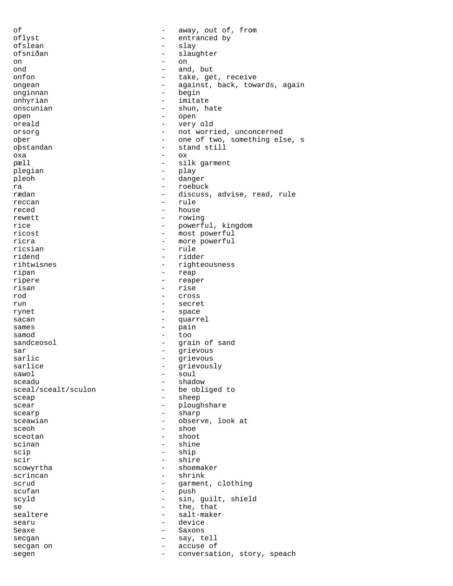of  $-$  away, out of, from oflyst - entranced by<br>
ofslean - slav ofslean - slay ofsniðan - slaughter on - on ond - and, but take, get, receive ongean - against, back, towards, again<br>onginnan - begin<br>- begin onginnan - begin - imitate onscunian - shun, hate open - open oreald - very old orsorg example and the not worried, unconcerned oþer - one of two, something else, s o<br>bstandan - stand still oxa - ox pæll - silk garment plegian - play<br>pleob - dang pleoh - danger ra - roebuck - roebuck<br>rædan - discuss - discuss, advise, read, rule reccan - rule - house rewett - rowing rice  $\qquad \qquad - \qquad \qquad \text{powerful}, \qquad \text{kingdom}$ ricost - most powerful ricra  $\qquad \qquad -$  more powerful ricsian - rule ridend - ridder rihtwisnes - righteousness ripan - reap ripere - reaper - rise rod - cross run - secret rynet - space sacan - quarrel sames - pain samod - too sandceosol - grain of sand<br>sar - grain of sand<br>- grievous sar - grievous sarlic - grievous grievously sawol - soul - shadow<br>- be obliged to sceal/scealt/sculon sceap - sheep scear - ploughshare scearp - sharp sceawian - observe, look at sceoh - shoe<br>sceotan - shoot sceotan - shoot scinan - shine - shine - shine - shine - shine - shine - shine - shine - shine - shine - shine - shine - shine - shine - shine - shine - shine - shine - shine - shine - shine - shine - shine - shine - shine - shine - shine  $\begin{array}{ccc}\n\text{scip} & - & \text{ship} \\
\text{scir} & - & \text{ship}\n\end{array}$ scir - shire - shire - shire - shoem shoemaker scrincan - shrink<br>scrud - shrink<br>- garment scrud - garment, clothing<br>scufan - bush - push - push scyld - sin, guilt, shield se  $-$  the, that sealtere - salt-maker searu - device Seaxe - Saxons secgan - say, tell<br>secgan on - say, tell secgan on  $\qquad$  - accuse of segen - conversation, story, speach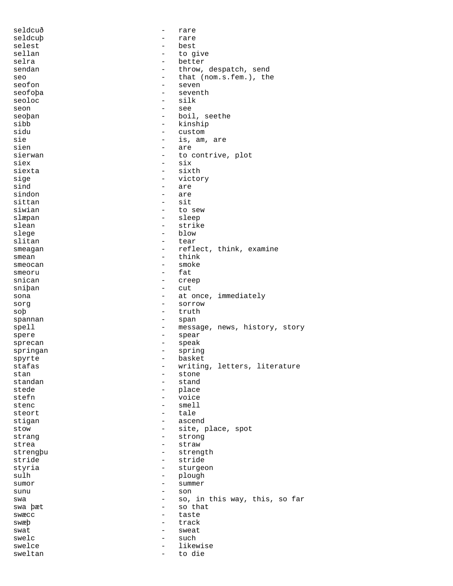| seldcuð  | $\overline{\phantom{0}}$ | rare                          |
|----------|--------------------------|-------------------------------|
| seldcub  |                          | rare                          |
| selest   |                          | best                          |
| sellan   |                          | to give                       |
| selra    | $\overline{\phantom{0}}$ | better                        |
| sendan   | $\overline{\phantom{m}}$ | throw, despatch, send         |
| seo      | $\overline{\phantom{0}}$ | that (nom.s.fem.), the        |
| seofon   | $\qquad \qquad$          | seven                         |
|          | $\overline{\phantom{0}}$ | seventh                       |
| seofoþa  |                          |                               |
| seoloc   | $\overline{\phantom{0}}$ | silk                          |
| seon     | $\overline{\phantom{0}}$ | see                           |
| seoban   | $\overline{\phantom{0}}$ | boil, seethe                  |
| sibb     | $\overline{\phantom{m}}$ | kinship                       |
| sidu     | $\overline{\phantom{m}}$ | custom                        |
| sie      |                          | is, am, are                   |
| sien     | $\overline{\phantom{0}}$ | are                           |
| sierwan  |                          | to contrive, plot             |
| siex     | $\qquad \qquad -$        | six                           |
| siexta   | $\qquad \qquad -$        | sixth                         |
| sige     | $\overline{\phantom{a}}$ | victory                       |
| sind     | $\qquad \qquad -$        | are                           |
| sindon   | $\overline{\phantom{a}}$ | are                           |
| sittan   | $\overline{\phantom{m}}$ | sit                           |
| siwian   | $\overline{\phantom{0}}$ | to sew                        |
|          | $\overline{\phantom{0}}$ | sleep                         |
| slæpan   | $\overline{\phantom{0}}$ |                               |
| slean    |                          | strike                        |
| slege    | $\overline{\phantom{m}}$ | blow                          |
| slitan   | $\overline{\phantom{0}}$ | tear                          |
| smeagan  | $\qquad \qquad -$        | reflect, think, examine       |
| smean    | $\overline{\phantom{0}}$ | think                         |
| smeocan  | $\overline{\phantom{0}}$ | smoke                         |
| smeoru   | $\overline{\phantom{0}}$ | fat                           |
| snican   | $\overline{\phantom{0}}$ | creep                         |
| sniban   | $\overline{\phantom{0}}$ | cut                           |
| sona     | $\overline{\phantom{0}}$ | at once, immediately          |
| sorg     | $\overline{\phantom{0}}$ | SOYYOW                        |
| sob      | $\overline{\phantom{0}}$ | truth                         |
| spannan  | $\overline{\phantom{m}}$ | span                          |
|          | $\qquad \qquad -$        | message, news, history, story |
| spell    |                          |                               |
| spere    | $\qquad \qquad -$        | spear                         |
| sprecan  | $\qquad \qquad -$        | speak                         |
| springan | $\overline{\phantom{a}}$ | spring                        |
| spyrte   |                          | basket                        |
| stafas   |                          | writing, letters, literature  |
| stan     |                          | stone                         |
| standan  |                          | stand                         |
| stede    | -                        | place                         |
| stefn    | $\overline{\phantom{0}}$ | voice                         |
| stenc    |                          | smell                         |
| steort   | -                        | tale                          |
| stigan   | $\qquad \qquad -$        | ascend                        |
| stow     | -                        | site, place, spot             |
| strang   | $\overline{\phantom{0}}$ | strong                        |
| strea    | $\overline{\phantom{0}}$ | straw                         |
|          | -                        | strength                      |
| strengbu |                          |                               |
| stride   | $\overline{\phantom{m}}$ | stride                        |
| styria   |                          | sturgeon                      |
| sulh     | -                        | plough                        |
| sumor    | $\overline{\phantom{0}}$ | summer                        |
| sunu     | $\overline{\phantom{0}}$ | son                           |
| swa      |                          | so, in this way, this, so far |
| swa bæt  | -                        | so that                       |
| swæcc    |                          | taste                         |
| swæþ     | -                        | track                         |
| swat     |                          | sweat                         |
| swelc    | $\overline{\phantom{0}}$ | such                          |
| swelce   |                          | likewise                      |
|          |                          | to die                        |
| sweltan  |                          |                               |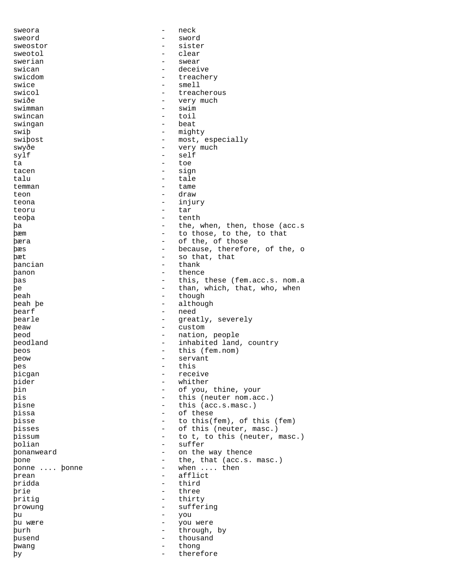| sweora        | $\overline{\phantom{a}}$ | neck                          |
|---------------|--------------------------|-------------------------------|
| sweord        | -                        | sword                         |
| sweostor      |                          | sister                        |
| sweotol       | -                        | clear                         |
| swerian       |                          | swear                         |
| swican        | $\overline{\phantom{a}}$ | deceive                       |
| swicdom       | $\qquad \qquad -$        | treachery                     |
| swice         | $\qquad \qquad -$        | smel1                         |
| swicol        |                          | treacherous                   |
| swiðe         | $\overline{\phantom{m}}$ | very much                     |
|               | $\qquad \qquad -$        | swim                          |
| swimman       | $\overline{\phantom{a}}$ | toil                          |
| swincan       |                          |                               |
| swingan       |                          | beat                          |
| swip          | $\overline{\phantom{a}}$ | mighty                        |
| swipost       | $\overline{\phantom{0}}$ | most, especially              |
| swyðe         | $\overline{\phantom{a}}$ | very much                     |
| sylf          | $\overline{\phantom{a}}$ | self                          |
| ta            | $\overline{\phantom{0}}$ | toe                           |
| tacen         | $\qquad \qquad -$        | sign                          |
| talu          | $\overline{\phantom{a}}$ | tale                          |
| temman        | $\overline{\phantom{0}}$ | tame                          |
| teon          | $\overline{\phantom{0}}$ | draw                          |
| teona         | $\overline{\phantom{a}}$ | injury                        |
| teoru         | $\qquad \qquad -$        | tar                           |
| teopa         | $\qquad \qquad -$        | tenth                         |
|               |                          |                               |
| þa            |                          | the, when, then, those (acc.s |
| <b>b</b> æm   | $\equiv$                 | to those, to the, to that     |
| þæra          | $\qquad \qquad -$        | of the, of those              |
| þæs           | $\qquad \qquad =$        | because, therefore, of the, o |
| þæt           | $\qquad \qquad -$        | so that, that                 |
| þancian       | $\overline{\phantom{a}}$ | thank                         |
| panon         | $\qquad \qquad =$        | thence                        |
| þas           | $\overline{\phantom{a}}$ | this, these (fem.acc.s. nom.a |
| þe            | -                        | than, which, that, who, when  |
| þeah          | $\overline{\phantom{a}}$ | though                        |
| beah be       | $\overline{\phantom{0}}$ | although                      |
| þearf         | $\overline{\phantom{a}}$ | need                          |
| bearle        | $\overline{\phantom{a}}$ | greatly, severely             |
| beaw          | $\overline{\phantom{a}}$ | custom                        |
| beod          | $-$                      | nation, people                |
| peodland      | $-$                      |                               |
|               |                          | inhabited land, country       |
| beos          | $\overline{\phantom{a}}$ | this (fem.nom)                |
| peow          |                          | servant                       |
| bes           | -                        | this                          |
| þicgan        | $\overline{\phantom{0}}$ | receive                       |
| pider         |                          | whither                       |
| þin           | $\overline{\phantom{a}}$ | of you, thine, your           |
| þis           | $\overline{\phantom{0}}$ | this (neuter nom.acc.)        |
| þisne         | $\overline{\phantom{0}}$ | this (acc.s.masc.)            |
| þissa         | $\overline{\phantom{0}}$ | of these                      |
| pisse         | $\qquad \qquad -$        | to this(fem), of this (fem)   |
| bisses        | $\overline{\phantom{0}}$ | of this (neuter, masc.)       |
| <b>pissum</b> | $\qquad \qquad =$        | to t, to this (neuter, masc.) |
| polian        | $\equiv$                 | suffer                        |
| bonanweard    | $\qquad \qquad -$        | on the way thence             |
|               |                          |                               |
| bone          | $\overline{\phantom{0}}$ | the, that (acc.s. masc.)      |
| bonne  bonne  | $-$                      | when  then                    |
| brean         | $\equiv$                 | afflict                       |
| pridda        | $\overline{\phantom{0}}$ | third                         |
| þrie          | $\overline{\phantom{0}}$ | three                         |
| pritig        | $\equiv$                 | thirty                        |
| prowung       | $\overline{\phantom{0}}$ | suffering                     |
| þu            | $\overline{\phantom{0}}$ | you                           |
| bu wære       | $\overline{\phantom{a}}$ | you were                      |
| þurh          | $-$                      | through, by                   |
| busend        | $\sim$                   | thousand                      |
| bwang         | $ \,$                    | thong                         |
| þу            | $\overline{\phantom{0}}$ | therefore                     |
|               |                          |                               |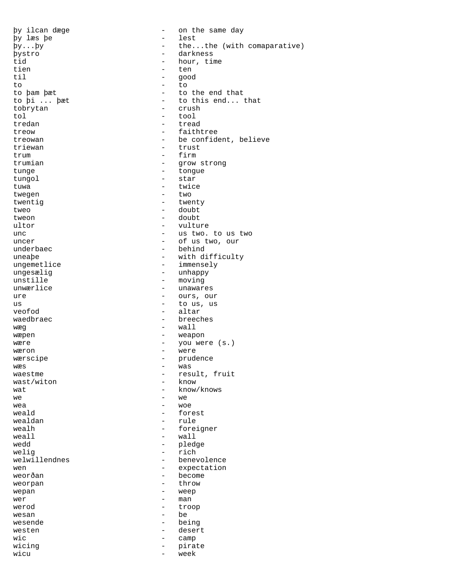þy læs þe - lest tien en de beste behalfte behalfte behalfte behalfte behalfte behalfte behalfte behalfte behalfte behalfte beh til a good<br>to the to the to to to the contract of the to the top of the to the top of the top of the top of the top of the top of the top o tobrytan tol - tool tredan - tread triewan - trust trum - firm - firm - firm - firm - firm - firm - firm - firm - firm - firm - firm - firm - firm - firm - firm - firm - firm - firm - firm - firm - firm - firm - firm - firm - firm - firm - firm - firm - firm - firm - firm tunge - tongue tungol - star tuwa - twice twegen  $-$  two twentig  $-$  twenty tweo - doubt tweon - doubt underbaec - behind<br>uneabe - with di unstille - moving veofod - altar wæg - wall wæpen - weapon - weapon wæron - were wæs - was wast/witon  $we$ <br>  $w = 2$ <br>  $w = 2$ <br>  $w = 2$ <br>  $w = 2$ <br>  $w = 2$ wea - woe weald  $\qquad \qquad -$  forest wealdan - rule weall  $-$  wall wedd - pledge welig - rich weorpan wepan - weep<br>wer - man wer - man werod - troop wesan behavior and the behavior of the behavior of the behavior of the behavior of the behavior of the behavior wesende - being westen - desert wic  $-$  camp wicing  $-$  pirate wicu - week

þy ilcan dæge - on the same day þy...þy - the...the (with comaparative) þystro - darkness id - darkness - darkness - darkness - darkness - darkness - darkness - darkness - darkness tid - hour, time<br>tien - ten - ten to þam þæt  $-$  to the end that to þi ... þæt - to this end... that to brvtan - crush treow - faithtree treowan - be confident, believe trumian - grow strong<br>tunge - tongue - vulture unc  $\qquad \qquad -$  us two. to us two uncer - of us two, our uneaþe - with difficulty<br>ungemetlice - immensely immensely ungesælig - unhappy - unawares ure - ours, our us - to us, us - breeches wære - you were (s.) wærscipe - prudence waestme - result, fruit<br>wast/witon - know  $\quad$  -  $\quad$  know/knows  $\quad$  -  $\quad$  know/knows  $\quad$ wealh - foreigner - benevolence<br>- expectation wen - expectation - become<br>- throw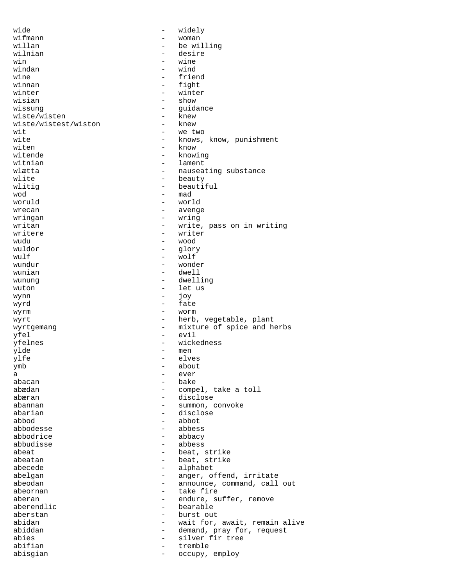wide  $-$  widely wifmann - woman - woman - woman - woman - woman - woman - woman - woman - woman - woman - woman - woman - woman - woman - woman - woman - woman - woman - woman - woman - woman - woman - woman - woman - woman - woman - woma be willing wilnian - desire win - wine windan - wind wine - friend<br>winnan - fight - fight winnan - fight<br>winter - winter - winter winter - winter wisian - show - show<br>wissung - quid - guidance<br>- knew wiste/wisten - knew<br>wiste/wistest/wiston - knew wiste/wistest/wiston wit  $-$  we two wite  $-$  knows, know, punishment<br>witen  $-$  know witen  $\begin{array}{ccc} - &$  know witende  $\end{array}$  - know  $\begin{array}{ccc} - &$  know witende  $\begin{array}{ccc} - & \text{known} \\ \text{within} \end{array}$ witnian - lament wlætta - nauseating substance<br>wlite - heauty wlite - beauty wlitig  $\begin{array}{ccc} \text{wality} & - & \text{bcautiful} \\ \text{wod} & - & \text{mad} \end{array}$ wod - mad woruld - world wrecan  $\overline{\phantom{a}}$  avenge wringan - wring writan - write, pass on in writing writere  $\frac{1}{2}$  writer  $\frac{1}{2}$  writer wudu - wood<br>wuldor - alor wuldor - glory  $\begin{array}{cccc}\text{wulf} & - & \text{wolf} & -\\ \text{wundur} & - & \text{wond} & -\\ \end{array}$ wundur - wonder dwell wunung dwelling - dwelling wuton  $\overline{\phantom{a}}$  - let us  $\overline{\phantom{a}}$  - let us wynn - joy wyrd - fate wyrm - worm wyrt  $-$  herb, vegetable, plant wyrtgemang  $-$  mixture of spice and herbs yfel - evil yfelnes - wickedness ylde - men ylfe - elves - about<br>- ever a - ever abacan - bake - compel, take a toll abæran - disclose - summon, convoke abarian - disclose abbod - abbot abbodesse - abbess abbodrice - abbacy abbudisse - abbess abeat - beat, strike<br>abeatan - beat strike abeatan - beat, strike - beat, strike - beat, strike - beat, strike - beat, strike - beat, strike - beat, strike - beat, strike - beat, strike - beat, strike - beat, strike - beat, strike - beat, strike - beat, strike - be abecede - alphabet abelgan - anger, offend, irritate<br>abeodan - announce, command, call - announce, command, call out abeornan - take fire<br>aberan - endure subsetsion aberan - endure, suffer, remove<br>aberendlic - bearable - bearable - bearable<br>- burst out aberstan - burst out abidan - wait for, await, remain alive abiddan - demand, pray for, request - silver fir tree abifian - tremble abisgian - occupy, employ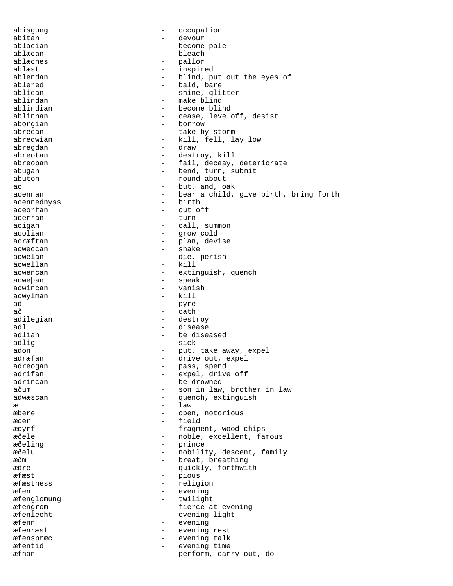abisgung  $\qquad \qquad -$  occupation abitan - devour ablacian - become pale ablæcan - bleach ablæcnes – pallor<br>ablæst – pallor – pallor ablæst - inspired ablendan - blind, put out the eyes of ablendan - bald, bare ablered - bald, bare<br>ablican - bald, bare<br>ablican - shine, qlit - shine, glitter ablindan - make blind ablindian - become blind ablinnan ablinnan - cease, leve off, desist aborgian - borrow - borrow abrecan - take by storm abredwian - kill, fell, lay low abregdan - draw abreotan - destroy, kill abreoþan - fail, decaay, deteriorate<br>abugan - hend turn submit abugan - bend, turn, submit<br>abuton - round about  $\begin{tabular}{lllllllll} \multicolumn{3}{l}{} \multicolumn{3}{l}{} \multicolumn{3}{l}{} \multicolumn{3}{l}{} \multicolumn{3}{l}{} \multicolumn{3}{l}{} \multicolumn{3}{l}{} \multicolumn{3}{l}{} \multicolumn{3}{l}{} \multicolumn{3}{l}{} \multicolumn{3}{l}{} \multicolumn{3}{l}{} \multicolumn{3}{l}{} \multicolumn{3}{l}{} \multicolumn{3}{l}{} \multicolumn{3}{l}{} \multicolumn{3}{l}{} \multicolumn{3}{l}{} \multicolumn{3}{l}{} \multicolumn{3}{l}{} \multicolumn{3}{l$ ac  $\qquad \qquad -$  but, and, oak acennan - bear a child, give birth, bring forth<br>
- birth<br>
- birth acennednyss aceorfan - cut off acerran acertan - turn acigan - call, summon acolian - grow cold acræftan  $\qquad \qquad -$  plan, devise acweccan acwers and the shake shake acwelan - die, perish acwellan - die, perish - kill acwellan - killan - killan - killan - killan - killan - killan - killan - killan - killan - killan - killan - killan - killan - killan - killan - killan - killan - killan - killan - killan - killan - killan - killan - kill acwencan - extinguish, quench acweþan - speak acwincan - vanish acwylman  $ad$  - pyre<br>að - oath að - oath adilegian - destroy adl - disease adlian - be diseased adlig - sick adon - put, take away, expel adræfan - drive out, expel adreogan - pass, spend<br>adrifan - expel.drive adrifan - expel, drive off adrincan - be drowned aðum - son in law, brother in law adwæscan - quench, extinguish<br>  $\overline{x}$  -  $\overline{a}$ æ law æbere - open, notorious æcer - field æcyrf - fragment, wood chips æðele - noble, excellent, famous æðeling - prince æðelu - nobility, descent, family<br>að - hreat breathing æðm - breat, breathing ædre - quickly, forthwith - pious æfæstness - religion æfen - evening æfenglomung - twilight æfengrom - fierce at evening æfenleoht - evening light æfenn - evening æfenræst - evening rest æfenspræc - evening talk æfentid - evening time æfnan - perform, carry out, do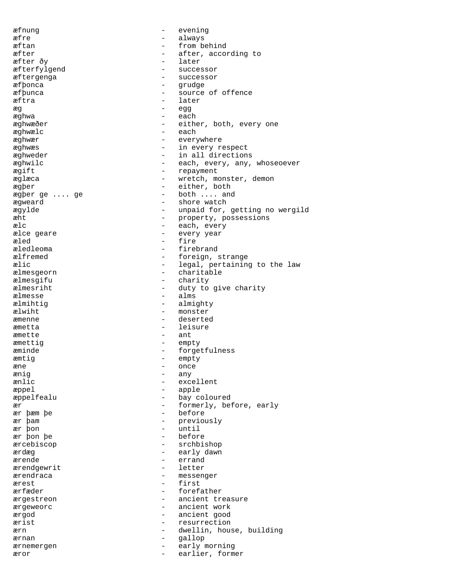æfnung - evening æfre - always æftan  $-$  from behind æfter  $\overline{c}$  after, according to  $\overline{c}$  after, according to  $\overline{c}$ æfter ðy - later var - later var - later var - later var - later var - later var - later var - later var - later var - later var - later var - later var - later var - later var - later var - later var - later var - later v æfterfylgend - successor<br>
æftergenga - successor<br>
- successor æftergenga - successor æfþonca - grudge source of offence æftra  $\frac{1}{2}$  ater æg - egg æghwa - each æghwæðer - either, both, every one æghwælc - each æghwær - everywhere æghwæs - in every respect æghweder - in all directions æghwilc - each, every, any, whoseoever<br>  $\overline{r}$ ægift - repayment æglæca - wretch, monster, demon<br>argber - either, both ægþer  $\begin{array}{ccccccc}\n \text{ægper} & & & - & \text{either, both} \\
 \text{ægper ge} & \dots & \text{ge} & & - & \text{both} & \dots & \text{and}\n \end{array}$ - both  $\ldots$  and ægweard - shore watch ægylde - unpaid for, getting no wergild æht  $\begin{array}{ccc} e & - & - \\ - & e & - \end{array}$  property, possessions and  $\begin{array}{ccc} - & - & - \\ - & e & - \end{array}$ - each, every ælce geare  $\qquad \qquad$  - every year æled - fire æledleoma - firebrand ælfremed - foreign, strange<br>
alic - legal, pertaining ælic - legal, pertaining to the law<br>
almesgeorn - charitable - charitable - charitable<br>- charity ælmesgifu - charity - charity - charity - charity - charity - charity - charity - charity - charity - charity ælmesriht - duty to give charity<br>
ælmesse - alms - alms ælmihtig  $\qquad \qquad -$  almighty ælwiht - monster æmenne - deserted æmetta - leisure æmette - ant æmettig – empty æminde - forgetfulness æmtig – empty<br>ane – once æne - once<br>
ænig - anv ænig - any - excellent æppel - apple æppelfealu - bay coloured ær  $\begin{array}{cccc} \texttt{ex} & \texttt{ex} \\ \texttt{ex} & \texttt{bem} \end{array}$  before, early - before ær þam  $-$  previously ær þon - until before ærcebiscop - srchbishop ærdæg - early dawn ærende - errand<br>ærendgewrit - letter ærendgewrit - letter arrendraga ærendraca - messenger ærest - first ærfæder en medlemmer en medlemmer forefather ærgestreon - ancient treasure ærgeweorc - ancient work ærgod - ancient good ærist - resurrection ærn en medlemmens og en medlemmens og en medlemmens og en medlemmens og en medlemmens og en medlemmens og en m ærnan - gallop ærnemergen - early morning æror - earlier, former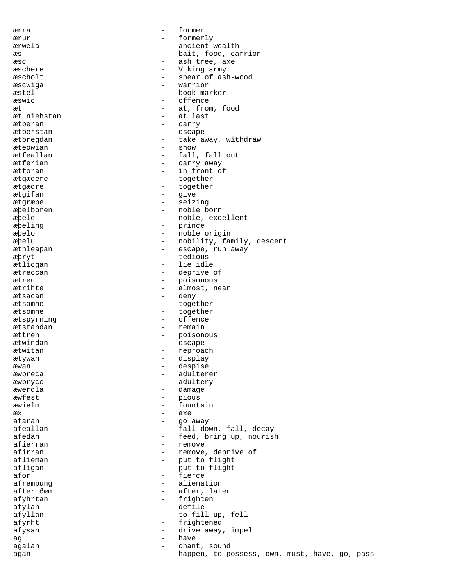ærra - former ærur - formerly ærwela - ancient wealth æs  $-$  bait, food, carrion æsc  $-$  ash tree, axe æschere - Viking army<br>
æscholt - spear of as æscholt - spear of ash-wood æscwiga - warrior æstel – book marker<br>
= offence æswic - offence æt  $\begin{array}{ccc}\n & \text{at, from, food} \\
\text{at, in.}\n\end{array}$ æt niehstan ætberan - carry ætberstan - escape ætbregdan - take away, withdraw æteowian - show ætfeallan - fall, fall out ætferian - carry away<br>
atforan - in front of ætforan - in front of<br> *a*tgædere - together ætgædere  $\frac{1}{2}$  atgædere  $\frac{1}{2}$  atgædere  $\frac{1}{2}$  atgædere  $\frac{1}{2}$  atgædere  $\frac{1}{2}$  atgædere  $\frac{1}{2}$  at  $\frac{1}{2}$  and  $\frac{1}{2}$  at  $\frac{1}{2}$  and  $\frac{1}{2}$  and  $\frac{1}{2}$  and  $\frac{1}{2}$  and  $\frac{1}{2}$  and  $\frac{1}{2}$ ætgædre - together ætgifan - give ætgræpe - seizing æþelboren - noble born æþele - noble, excellent æþeling - prince æþelo - noble origin æþelu - nobility, family, descent æthleapan - escape, run away æþryt - tedious<br>
ætliggan - lie idle ætlicgan - lie idle ætreccan - deprive of ætren - poisonous ætrihte - almost, near ætsacan - deny ætsamne - together ætsomne - together ætspyrning - offence ætstandan - remain ættren - poisonous<br>ætwindan - escape - escape ætwindan - escape ætwitan - reproach ætywan - display - display<br>
awan - despise æwan - despise æwbreca - adulterer æwbryce - adultery æwerdla - damage æwfest - pious æwielm - fountain  $\overline{a}$  axe  $\overline{a}$ afaran  $\qquad \qquad$  - go away afeallan  $-$  fall down, fall, decay afedan - feed, bring up, nourish afierran  $-$  remove afirran - remove, deprive of aflieman - put to flight<br>afligan - put to flight afligan - put to flight<br>afor - fierce afor  $-$  fierce afremþung - alienation after ðæm - after, later afyhrtan - frighten afylan - defile to fill up, fell afyrht - frightened afysan - drive away, impel ag - have agalan - chant, sound agan external comparent width the possess, own, must, have, go, pass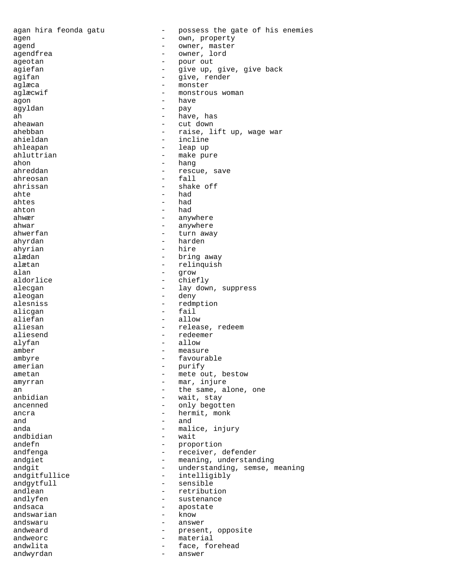agan hira feonda gatu - possess the gate of his enemies agen - own, property agend  $\overline{\phantom{a}}$  - owner, master agendfrea - owner, lord ageotan - pour out agiefan - Group - give up, give, give back agifan - give, render aglæca - monster - monster<br>aglæcwif - monstrou - monstrous woman agon - have agyldan - pay ah - have, has aheawan - cut down ahebban - raise, lift up, wage war ahieldan - incline ahleapan - leap up ahluttrian  $-$  make pure ahon - hang rescue, save ahreosan - fall ahrissan - shake off<br>ahte - had - had ahtes - had  $a$ hton  $a$ ahwær - anywhere ahwar - anywhere ahwerfan - turn away ahyrdan - harden ahyrian - hire - bring away alætan - relinquish alan - grow aldorlice alecgan - lay down, suppress aleogan deny and aleogan aleogan alesniss - redmption<br>alicoan - fail alicgan aliefan - allow aliesan - release, redeem aliesend - redeemer alyfan  $-$  allow  $-$  allow amber - measure ambyre - favourable amerian - purify ametan - mete out, bestow amyrran - mar, injure an an the same, alone, one anbidian - wait, stay<br>ancenned - only headth - only begotten ancra  $-$  hermit, monk and  $-$  and  $-$  and  $-$  and  $$ anda - malice, injury<br>andbidian - wait andbidian - wait andefn - proportion andfenga - receiver, defender andgiet - meaning, understanding<br>andgit<br>andgit - understanding, semse, understanding andgit - understanding, semse, meaning<br>andgitfullice - intelligibly - intelligibly andgytfull - sensible - retribution andlyfen - sustenance andsaca - apostate - apostate - apostate - apostate - apostate - apostate - apostate - apostate - apostate - apostate - apostate - apostate - apostate - apostate - apostate - apostate - apostate - apostate - apostate - apo andswarian andswaru - answer andweard  $\qquad \qquad -$  present, opposite andweorc - material andwlita - face, forehead andwyrdan - answer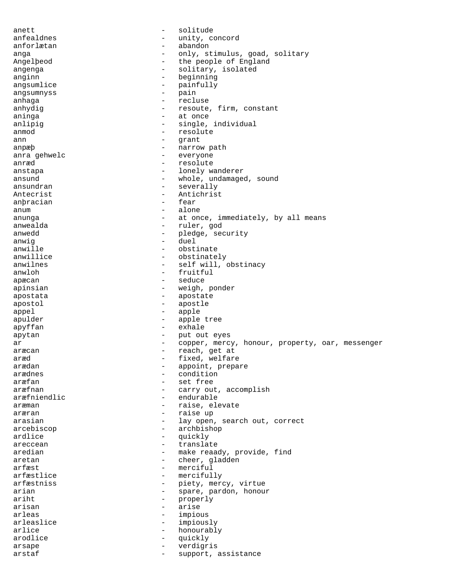anett - solitude anfealdnes - unity, concord<br>anforlætan - abandon anforlætan - abandon<br>anga - anjv st anga  $\qquad \qquad - \qquad \text{only, stimulus, good, solitary}$ Angelþeod - the people of England angenga - solitary, isolated<br>anginn anginn - beginning<br>angsumlige - painfully angsumlice - painfully<br>angsumpyss angsumnyss - pain anhaga - recluse anhydig  $-$  resoute, firm, constant aninga - at once anlipig  $-$  single, individual anmod - resolute ann - grant anpæþ - narrow path anra gehwelc  $-$  everyone anræd - resolute - lonely wanderer ansund - whole, undamaged, sound ansundran - severally - Antichrist<br>- fear anbracian anum - alone anunga - at once, immediately, by all means anwealda - ruler, god anwedd - pledge, security<br>anwig anwig - duel anwille - obstinate anwillice  $\overline{a}$  - obstinately<br>anwilnes - self will anwilnes - self will, obstinacy<br>anwloh - fruitful anwloh - fruitful apæcan - seduce apinsian - weigh, ponder apostata - apostate apostol - apostle appel - apple - apple tree apyffan - exhale apytan - put out eyes<br>ar - conner merci ar external copper, mercy, honour, property, oar, messenger aræcan - reach, get at aræd - reach, get at aræd - reach, get at aræd - reach, get at aræd - reach aræd - reach aræd - fixed, welfare - appoint, prepare arædnes - condition aræfan - set free aræfnan - carry out, accomplish aræfniendlic - endurable aræman - raise, elevate aræran - raise up arasian - lay open, search out, correct arcebiscop - archbishop<br>ardlice - archbishop<br>- muickly ardlice - quickly areccean - translate - make reaady, provide, find<br>- cheer gladden aretan - cheer, gladden<br>
arfæst - merciful arfæst - merciful - mercifully arfæstniss - piety, mercy, virtue arian  $-$  spare, pardon, honour ariht - properly<br>arisan - arise arisan - arise arleas - impious arleaslice - impiously<br>arlice - honourable arlice - honourably arodlice - quickly arsape - verdigris arstaf - support, assistance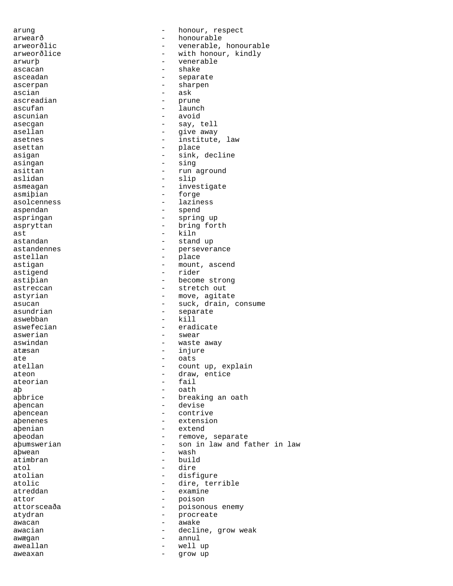arung arung - honour, respect arwearð - honourable arweorðlic - venerable, honourable arweorðlice - with honour, kindly arwurþ - venerable ascacan asceadan - separate ascerpan - sharpen  $\overline{\text{a}}$ scian  $\overline{\text{a}}$ ascreadian - prune ascufan - launch - launch ascunian - avoid asecgan - say, tell asellan  $-$  give away asetnes - institute, law asettan - place asigan - sink, decline<br>asingan - sing - sing asingan - singan - singan - singan - singan - singan - singan - singan - singan - singan - singan - singan - singan - singan - singan - singan - singan - singan - singan - singan - singan - singan - singan - singan - singa asittan - run aground - slip asmeagan extraordinate the investigate asmiþian - forge asolcenness - laziness aspendan aspendan - spend aspringan - spring up aspryttan - bring forth ast - kiln astandan - stand up astandennes - perseverance - place astigan - mount, ascend<br>astigend - mount, ascend<br>- rider - rider astipian - become strong astreccan - stretch out astyrian extensive the move, agitate asucan - suck, drain, consume asundrian - separate aswebban - kill aswefecian - eradicate aswerian - swear - swear aswindan  $-$  waste away atæsan - injure ate - oats count up, explain ateon - draw, entice<br>ateorian - draw, entice - fail aþ - oath abbrice - breaking an oath aþencan - devise abencean - contrive aþenenes - extension aþenian - extend aþeodan - remove, separate aþumswerian - son in law and father in law<br>abwean - wash - wash aþwean - wash - wash - wash - wash - wash - wash - wash - wash - wash - wash - wash - wash - wash - wash - wash atimbran - buildings and buildings at a building  $\frac{1}{2}$ atol - dire atolian - disfigure<br>atolic - dire, term - dire, terrible atreddan - examine attor - poison attorsceaða - poisonous enemy atydran - procreate<br>awacan - awake - awake awacan - awake awacian - decline, grow weak awægan - annul aweallan  $-$  well up aweaxan - grow up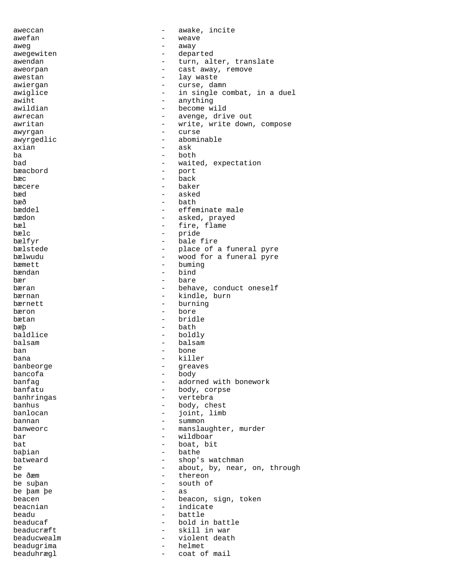aweccan awake, incite awefan - weave aweg  $-$  away awegewiten - departed - turn, alter, translate aweorpan - cast away, remove awestan - cast away, remove awestan - cast away, remove - lay waste<br>- Gurse dan awiergan - curse, damn<br>awiglige awiglice  $\begin{array}{ccc}\n\text{awight} & - & \text{in single combat, in a duel} \\
\text{awiht} & - & \text{awihina}\n\end{array}$ awiht - anything awildian  $-$  become wild awrecan - avenge, drive out<br>awritan - write write down awritan  $-$  write, write down, compose awyrgan - curse awyrgedlic - abominable - abominable - axian - ask axian - ask ba - both - waited, expectation<br>- port bæacbord - port bæc - back bæcere - baker bæd - asked bæð - bath bæddel - effeminate male bædon - asked, prayed - fire, flame bælc - pride - pride - pride - pride - bale fire - bale fine - bale - bale - bale - bale - bale - bale - bale - bale - bale - bale - bale - bale - bale - bale - bale - bale - bale - bale - bale - bale - bale - bale - bale bælfyr - bale fire bælstede - - - - - - - - - - - - place of a funeral pyre bælwudu - wood for a funeral pyre bæmett - buming<br>bændan - bind bændan - bind bær - bare bæran - behave, conduct oneself<br>
bærnan - kindle, burn - kindle, burn bærnett - burning bæron – bore<br>hætan – hrid bætan - bridle bæþ - bath baldlice - boldly balsam - balsam ban - bone bana - killer<br>banbeorge - creave banbeorge - greaves bancofa - body banfag - adorned with bonework<br>banfatu - body, corpse - body, corpse<br>- vertebra banhringas - vertebra banhus - body, chest<br>
banlocan - ioint. limb banlocan - joint, limb bannan - summon banweorc **banwere** - manslaughter, murder bar - wildboar bat  $-$  boat, bit baþian - bathe - bathe - bathe - bathe - bathe - bathe - bathe - bathe - bathe - bathe - bathe - bathe - bathe - bathe - bathe - bathe - bathe - bathe - bathe - bathe - bathe - bathe - bathe - bathe - bathe - bathe - bathe batweard  $\begin{array}{ccc} \text{b} & - & \text{shop's watchman} \\ \text{be} & - & \text{about} & \text{by} & \text{near} \end{array}$ be  $\begin{array}{cccc}\n\text{be} & - & \text{about, by, near, on, through} \\
\text{be } \delta \text{cm} & - & \text{thereon}\n\end{array}$ be ðæm - thereon - south of<br>- as be þam þe - as beacen - bei beacen beacen - beacon, sign, token beacnian - indicate<br>headu - hattle beadu - battle beaducaf - battle beaducaf - battle beaducaf - battle - bold in the beadule of the beadule of the bold in the beadule of the beadule of the beadule of the beadule of the beadule of the beadule of the beadule - bold in battle beaducræft - skill in war beaducwealm - violent death beadugrima - helmet - helmet beaduhrægl <br/> - coat of mail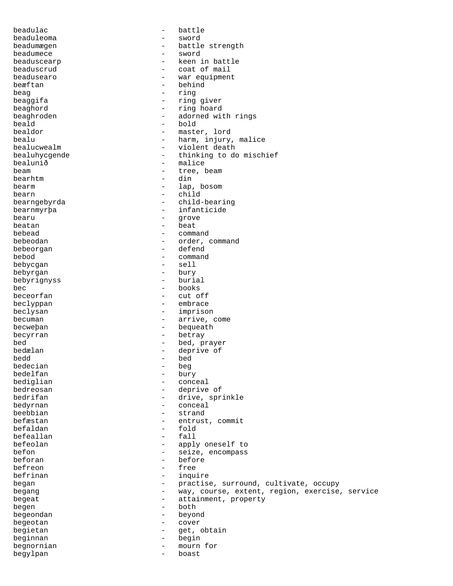| beadulac<br>$\qquad \qquad -$            | battle                                         |
|------------------------------------------|------------------------------------------------|
| beaduleoma<br>$\qquad \qquad -$          | sword                                          |
| beadumægen<br>$\overline{\phantom{0}}$   | battle strength                                |
| beadumece<br>$\qquad \qquad -$           | sword                                          |
| beaduscearp<br>$-$                       | keen in battle                                 |
| beaduscrud<br>$\qquad \qquad -$          | coat of mail                                   |
| beadusearo<br>$\qquad \qquad -$          | war equipment                                  |
| beæftan                                  | behind                                         |
| beaq<br>$\overline{\phantom{0}}$         | ring                                           |
| $\overline{\phantom{0}}$                 | ring giver                                     |
| beaggifa                                 |                                                |
| beaghord<br>$-$                          | ring hoard                                     |
| beaghroden<br>$-$                        | adorned with rings                             |
| beald<br>$-$                             | bold                                           |
| bealdor<br>$-$                           | master, lord                                   |
| bealu<br>$-$                             | harm, injury, malice                           |
| bealucwealm<br>$-$                       | violent death                                  |
| bealuhycgende<br>$-$                     | thinking to do mischief                        |
| bealunið<br>$\overline{\phantom{0}}$     | malice                                         |
| beam<br>$\qquad \qquad -$                | tree, beam                                     |
| bearhtm<br>$\overline{\phantom{0}}$      | din                                            |
| bearm<br>$-$                             |                                                |
|                                          | lap, bosom                                     |
| bearn<br>$-$                             | child                                          |
| bearngebyrda<br>$\overline{\phantom{0}}$ | child-bearing                                  |
| bearnmyrþa<br>$-$                        | infanticide                                    |
| bearu<br>$\qquad \qquad -$               | grove                                          |
| beatan<br>$-$                            | beat                                           |
| bebead<br>$\overline{\phantom{0}}$       | command                                        |
| bebeodan<br>$-$                          | order, command                                 |
| bebeorgan<br>$-$                         | defend                                         |
| bebod<br>$\overline{\phantom{0}}$        | command                                        |
|                                          |                                                |
| bebycgan<br>$\qquad \qquad -$            | sell                                           |
| bebyrgan<br>$\qquad \qquad -$            | bury                                           |
| bebyrignyss                              | burial                                         |
| bec<br>$-$                               | books                                          |
| beceorfan<br>$\overline{\phantom{0}}$    | cut off                                        |
| beclyppan<br>$-$                         | embrace                                        |
| beclysan<br>$-$                          | imprison                                       |
| becuman<br>$-$                           | arrive, come                                   |
| becweþan<br>$\overline{\phantom{0}}$     | bequeath                                       |
| $-$                                      | betray                                         |
| becyrran                                 |                                                |
| bed<br>$\qquad \qquad -$                 | bed, prayer                                    |
| bedælan<br>$\overline{\phantom{0}}$      | deprive of                                     |
| hedd<br>$ -$                             | bed                                            |
| bedecian<br>$\overline{\phantom{a}}$     | beg                                            |
| bedelfan                                 | bury                                           |
| bediglian<br>$\overline{\phantom{0}}$    | conceal                                        |
| bedreosan<br>$\overline{\phantom{0}}$    | deprive of                                     |
| bedrifan<br>$\overline{\phantom{0}}$     | drive, sprinkle                                |
| bedyrnan<br>$\overline{\phantom{0}}$     | conceal                                        |
| beebbian                                 | strand                                         |
|                                          |                                                |
| befæstan<br>$\qquad \qquad -$            | entrust, commit                                |
| befaldan<br>$\overline{\phantom{0}}$     | fold                                           |
| befeallan<br>$\overline{\phantom{0}}$    | fall                                           |
| befeolan                                 | apply oneself to                               |
| befon<br>$\qquad \qquad -$               | seize, encompass                               |
| beforan<br>$\overline{\phantom{0}}$      | before                                         |
| befreon<br>$\qquad \qquad -$             | free                                           |
| befrinan<br>$\overline{\phantom{0}}$     | inquire                                        |
| began<br>$\overline{\phantom{0}}$        | practise, surround, cultivate, occupy          |
| begang<br>$-$                            | way, course, extent, region, exercise, service |
|                                          |                                                |
| begeat<br>$-$                            | attainment, property                           |
| begen<br>$\qquad \qquad -$               | both                                           |
| begeondan<br>$\qquad \qquad -$           | beyond                                         |
| begeotan<br>$\overline{\phantom{0}}$     | cover                                          |
| begietan<br>$\overline{\phantom{0}}$     | get, obtain                                    |
| beginnan<br>$\overline{\phantom{0}}$     | begin                                          |
| begnornian<br>$\overline{\phantom{0}}$   | mourn for                                      |
| begylpan<br>$-$                          | boast                                          |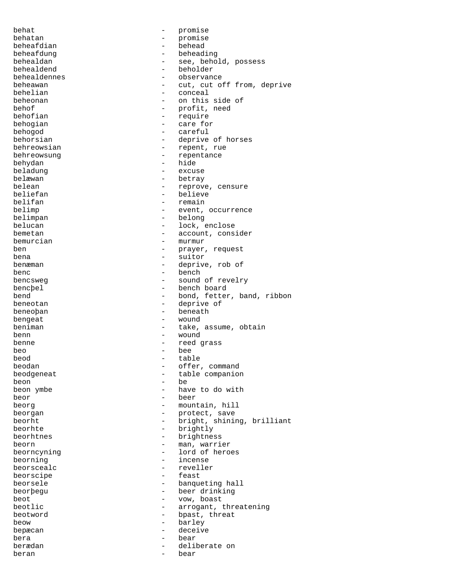behat  $-$  promise behatan - promise beheafdian beheafdung - beheading behealdan - see, behold, possess behealdend - beholder behealdennes - observance beheawan - cut, cut off from, deprive<br>behelian - conceal - conceal - conceal beheonan - on this side of behof - profit, need<br>
behofian - require - require behogian  $-$  care for behogod - careful behorsian - deprive of horses behreowsian extended to the contract of the repent, rue behreowsung extended to the contract of the repentance behydan - hide - hide - hide - hide - hide - hide - hide - hide - hide - hide - hide - hide - hide - hide - hide - hide - hide - hide - hide - hide - hide - hide - hide - hide - hide - hide - hide - hide - hide - hide - hi beladung - excuse belæwan - betray - betray - betray - betray - betray - betray - betray - betray - betray - betray - betray -  $\sim$  reproved and  $\sim$  reproved by the set of the set of the set of the set of the set of the set of the set of t belean - reprove, censure<br>
beliefan - reprove, censure beliefan - believe beliefan - believe beliefan - believe - believe - believe - believe - believe - believe - believe - believe - believe - believe - believe - believe - believe - believe - believe - believe - believe - bel - remain belimp  $-$  event, occurrence belimpan - belong belucan - lock, enclose bemetan  $-$  account, consider bemurcian - murmur ben - prayer, request bena - suitor benæman  $-$  deprive, rob of benc - bench<br>bencsweg - bench<br>- sound - sound bencsweg - sound of revelry bencþel - bench board<br>hend - bond fetter bend - bond, fetter, band, ribbon<br>
beneotan - deprive of - deprive of beneoþan - beneath bengeat - wound beniman  $-$  take, assume, obtain benn - wound benne - reed grass beo - bee beod - table offer, command beodgeneat extensive table companion beon - be - have to do with beor - beer beorg beorg - mountain, hill beorgan - protect, save beorht - bright, shining, brilliant beorhte - brightly beorhtnes - brightness beorn - man, warrier - lord of heroes<br>- incense beorning - incense - reveller beorscipe - feast beorsele - banqueting hall<br>beorbegu - beer drinking - beer drinking beot - vow, boast<br>
beotlic - arrogant i - arrogant, threatening beotword **beotword** - bpast, threat beow - barley bepæcan - deceive bera - bear berædan - deliberate on beran - bear - bear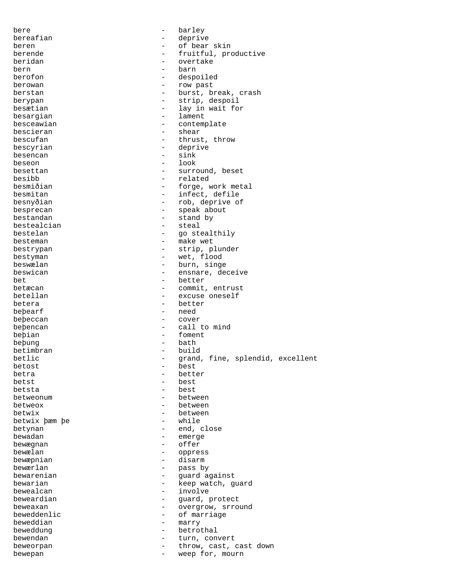bere  $-$  barley bereafian - deprive beren - of bear skin berende  $-$  fruitful, productive beridan - overtake bern - barn - barn berofon - despoiled<br>herowan - row nast berowan - row past berstan - burst, break, crash berypan - strip, despoil<br>besætian - lay in wait for - lay in wait for<br>- lament besargian besceawian - contemplate bescieran - shear bescufan - thrust, throw bescyrian - deprive<br>besencan - sink - sink besencan and the sink of the sink of the sink of the sink of the sink of the sink of the sink of the sink of the sink of the sink of the sink of the sink of the sink of the sink of the sink of the sink of the sink of the s beseon – look – look – look – look – look – look – look – look – look – look – look – look – look – look – look – look – look – look – look – look – look – look – look – look – look – look – look – look – look – look – loo besettan - surround, beset besibb - related besmiðian - forge, work metal - infect, defile besnyðian - rob, deprive of besprecan - speak about bestandan - stand by bestealcian bestelan - go stealthily besteman  $-$  make wet bestrypan - strip, plunder bestyman - wet, flood<br>heswalan - hurn singe beswælan - burn, singe<br>beswican - ensnare de beswican - ensnare, deceive bet - better - commit, entrust betellan - excuse oneself betera - better beþearf - need beþeccan - cover beþencan - call to mind beþian - foment bebung - bath - bath - bath - bath - bath - bath - bath - bath - bath - bath - bath - bath - bath - bath - bath - bath - bath - bath - bath - bath - bath - bath - bath - bath - bath - bath - bath - bath - b beþung - bath betimbran - builded and the settle state of the set of the set of the set of the set of the set of the set of the set of the set of the set of the set of the set of the set of the set of the set of the set of the set of th betlic - grand, fine, splendid, excellent<br>hetost - hest<br>- hest betost - best<br>hetra - hetti betra - better betst - best betsta - best betweonum extensive the between betweox - between betwix  $\rho$  between<br>betwix  $\rho$  am be betwix þæm þe betynan - end, close bewadan emerge bewægnan - offer oppress bewæpnian - disarm bewærlan - pass by bewarenian - guard against - keep watch, guard bewealcan - involve beweardian - guard, protect - beweardian - guard, protect - guard, protect - bewearding over the set of  $\sim$  - cycle over the set of  $\sim$  - cycle over the set of  $\sim$  - cycle over the set of  $\sim$  - cycle over the set of  $\$ - overgrow, srround beweddenlic extensive the of marriage beweddian - marry beweddung extensive the betrothal bewendan  $-$  turn, convert beweorpan  $-$  throw, cast, cast down bewepan - weep for, mourn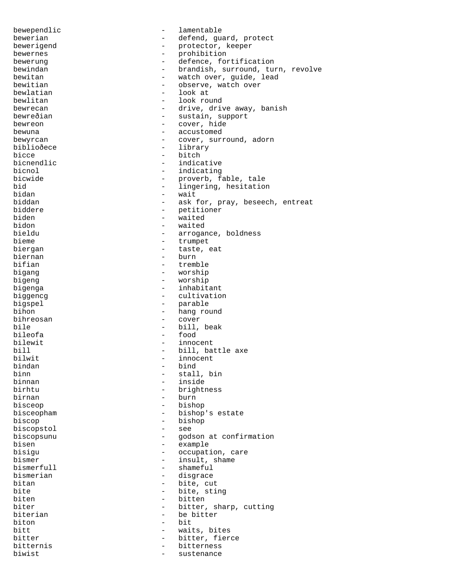bewependlic  $-$  lamentable bewerian  $-$  defend, guard, protect bewerigend - protector, keeper<br>
bewernes - probibition bewernes - prohibition bewerung extension to the defence, fortification bewindan - brandish, surround, turn, revolve<br>bewitan - watch over, quide, lead bewitan - watch over, guide, lead<br>bewitian - bewitian - observe, watch over bewitian  $-$  observe, watch over bewlatian  $-$  look at - look at bewlitan  $-$  look round bewrecan - drive, drive away, banish bewreðian - sustain, support bewreon  $-$  cover, hide bewuna - accustomed bewyrcan - cover, surround, adorn biblioðece - library - library<br>bicce - bitch bicce - bitch - bitch<br>bicnendlic - indica bicnendlic  $\begin{array}{ccc} \text{biconend} & - & \text{indicative} \\ \text{biconol} & - & \text{indicating} \end{array}$ bicnol - indicating bicwide  $\begin{array}{ccc}\n\text{b} & - & \text{b} \\
\text{b} & - & \text{c} \\
\text{b} & - & \text{d} \\
\end{array}$ bid - lingering, hesitation<br>bidan - wait bidan - wait<br>biddan - ask biddan - ask for, pray, beseech, entreat<br>hiddere - petitioner biddere - petitioner biden - waited<br>
bidon - waited<br>
- waited - waited bieldu - arrogance, boldness bieme - trumpet biergan - taste, eat<br>biernan - burn - burn biernan - burn - tremble bigang - worship bigeng - worship bigenga  $-$  inhabitant biggencg extensive the cultivation bigspel - parable<br>
bihon - hang rou - hang round<br>- cover bihreosan bile - bill, beak bileofa - food bilewit - innocent<br>bill - bill bat bill  $\qquad \qquad -$  bill, battle axe<br>bilwit  $\qquad \qquad -$  innocent bilwit - innocent bindan - bind binn - stall, bin binnan - inside - brightness birnan - burn bisceop - bishop bisceopham - bishop's estate biscop - bishop - bishop - bishop - bishop - bishop - bishop - bishop - bishop - bishop - bishop - see biscopstol biscopsunu - godson at confirmation bisen - example bisigu  $-$  occupation, care bismer<br>bismerfull  $\qquad \qquad -$  insult, shame<br>bismerfull  $\qquad \qquad -$  shameful bismerfull  $\qquad \qquad \qquad$  - shameful bismerian  $\qquad \qquad \qquad$  - disgrace bismerian  $\qquad \qquad -$  disgrace<br>bitan  $\qquad \qquad -$  bite, cu bitan - bite, cut<br>bite - bite, sti bite - bite, sting<br>hiten - bitten - bitten biten - bitten - bitten - bitten - bitten - bitten - bitten - bitten - bitten - bitten - bitten - bitten - bitten - bitten - bitten - bitten - bitten - bitten - bitten - bitten - bitten - bitten - bitten - bitten - bitten - bitter, sharp, cutting biterian - be bitter biton - bit bitt  $-$  waits, bites bitter - bitter, fierce bitternis - bitterness - bitterness biwist - sustenance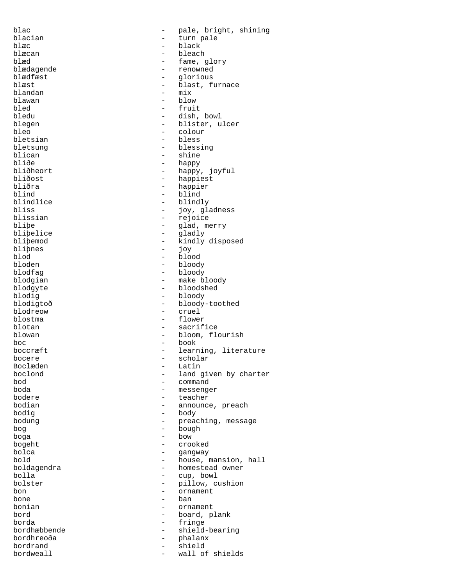blac - pale, bright, shining blacian - turn pale blæc<br>blæcan - bleach - bleach<br>blæcan - bleach blæcan - bleach blæd - fame, glory<br>blædagende - renowned - renowned blædagende - renowned blædfæst - glorious blæst - blast, furnace blandan - mix blawan - blow<br>bled - frui bled - fruit<br>bledu - dish. bledu - dish, bowl<br>blegen - blister.u - blister, ulcer bleo - colour - colour bletsian - bless bletsung  $\qquad \qquad -$  blessing<br>blican  $\qquad \qquad -$  shine blican - shine<br>bliðe - shine<br>- happy bliðe - happy bliðheort - happy - happy - happy - happy - happy - happy - happy - happy - happy - happy - happy - happy - happy - happy - happy - happy - happy - happy - happy - happy - happy - happy - happy - happy - happ bliðheort - happy, joyful<br>bliðost - happiest bliðost - happiest<br>bliðra - happiest bliðra - happier<br>blind - hind - blind blind - blind blindlice - blindly<br>bliss - blindly<br>- ioverlaps bliss - joy, gladness<br>blissian - rejoice - rejoice blissian - rejoice<br>blipe - alad.me - glad, merry bliþelice - gladly<br>bliþemod - kindly - kindly disposed<br>- iov bliþnes - joy<br>blod - blod - blo blod - blood bloden - bloody blodfag - bloody blodgian - make bloody<br>blodgyte - bloodshed - bloodshed - bloodshed blodig - bloody blodigtoð - bloody-toothed<br>blodreow - cruel blodreow - cruel<br>blostma - flower - flower blotan - sacrifice blowan - bloom, flourish boc - book - learning, literature<br>- scholar bocere - scholar Boclæden<br>boclond boclond - land given by charter<br>
bod - command bod - command boda - messenger bodere - teacher - announce, preach bodig - body bodung  $-$  preaching, message bog - bough<br>bog - bough<br>hoga - bow  $boga$  - bow - bow - bow - bow - bow - bow - bow - bow - bow -  $cca$ bogeht - crooked bolca - gangway bold<br>boldagendra - house, mansion, hall<br>homestead owner boldagendra - homestead owner<br>
bolla - cup, bowl bolla - cup, bowl<br>bolster - pillow, cup - pillow, cushion<br>- ornament bon - ornament<br>
bone - ban bone - ban<br>bonian - crns bonian - ornament - board, plank borda - fringe - shield-bearing bordhreoða - phalanx bordrand - shield bordweall - shield bordweall - shield bordweall - shield bordweall - shield bordweall - shield bordweall - shield bordweall - shield bordweall - shield bordweall - shield bordweall - shield bordweall - sh wall of shields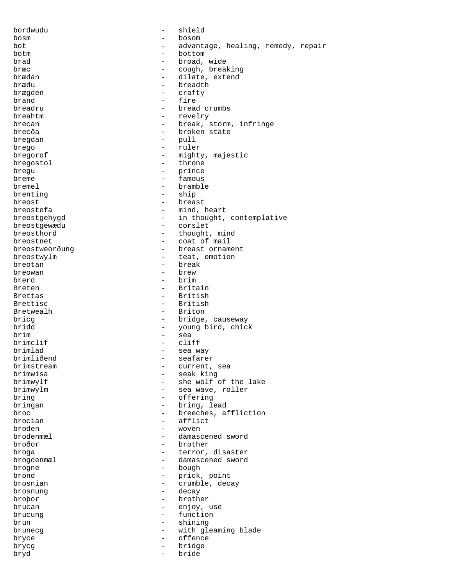| bordwudu                     | $\qquad \qquad -$        | shield                               |
|------------------------------|--------------------------|--------------------------------------|
| bosm                         | -                        | bosom                                |
| bot                          |                          | advantage, healing, remedy, repair   |
| botm                         |                          | bottom                               |
| brad                         | $\overline{\phantom{0}}$ | broad, wide                          |
| bræc                         | $-$                      | cough, breaking                      |
| brædan                       | $-$                      | dilate, extend                       |
| brædu                        |                          | breadth                              |
| brægden                      | $-$                      | crafty                               |
| brand                        | $\sim$                   | fire                                 |
|                              | $\overline{\phantom{0}}$ |                                      |
| breadru                      |                          | bread crumbs                         |
| breahtm                      | $\overline{\phantom{0}}$ | revelry                              |
| brecan                       | $\overline{\phantom{0}}$ | break, storm, infringe               |
| brecða                       | $\overline{\phantom{0}}$ | broken state                         |
| bregdan                      | $\qquad \qquad -$        | pull                                 |
| brego                        | $\overline{\phantom{0}}$ | ruler                                |
| bregorof                     | $\equiv$                 | mighty, majestic                     |
| bregostol                    | $-$                      | throne                               |
| brequ                        | $\overline{\phantom{0}}$ | prince                               |
| breme                        | $-$                      | famous                               |
| bremel                       | $\equiv$                 | bramble                              |
| brenting                     | $-$                      | ship                                 |
| breost                       | $-$                      | breast                               |
| breostefa                    | $-$                      | mind, heart                          |
|                              |                          |                                      |
| breostgehygd<br>breostgewædu |                          | in thought, contemplative<br>corslet |
|                              | $-$                      |                                      |
| breosthord                   | $-$                      | thought, mind                        |
| breostnet                    | $\overline{\phantom{0}}$ | coat of mail                         |
| breostweorðung               |                          | breast ornament                      |
| breostwylm                   | $\overline{\phantom{0}}$ | teat, emotion                        |
| breotan                      | $-$                      | break                                |
| breowan                      | $-$                      | brew                                 |
| brerd                        |                          | brim                                 |
| Breten                       | $-$                      | Britain                              |
| <b>Brettas</b>               | $-$                      | British                              |
| Brettisc                     | $-$                      | British                              |
| Bretwealh                    | $\overline{\phantom{0}}$ | Briton                               |
| bricq                        | $\overline{\phantom{0}}$ | bridge, causeway                     |
| bridd                        | $\overline{\phantom{0}}$ | young bird, chick                    |
| brim                         | $\qquad \qquad -$        | sea                                  |
| brimclif                     | $\overline{\phantom{0}}$ | cliff                                |
| brimlad                      | $\qquad \qquad -$        |                                      |
|                              |                          | sea way                              |
| brimliðend                   |                          | seafarer                             |
| brimstream                   |                          | current, sea                         |
| brimwisa                     | $\overline{\phantom{0}}$ | seak king                            |
| brimwylf                     |                          | she wolf of the lake                 |
| brimwylm                     | -                        | sea wave, roller                     |
| bring                        | $-$                      | offering                             |
| bringan                      | $-$                      | bring, lead                          |
| broc                         | $\overline{\phantom{0}}$ | breeches, affliction                 |
| brocian                      | $\overline{\phantom{0}}$ | afflict                              |
| broden                       | -                        | woven                                |
| brodenmæl                    | -                        | damascened sword                     |
| broðor                       |                          | brother                              |
| broga                        | $-$                      | terror, disaster                     |
| brogdenmæl                   | $-$                      | damascened sword                     |
| brogne                       | $\sim$ $-$               | bough                                |
| brond                        |                          | prick, point                         |
|                              |                          |                                      |
| brosnian                     | $\overline{\phantom{0}}$ | crumble, decay                       |
| brosnung                     | $-$                      | decay                                |
| brobor                       | $\overline{\phantom{0}}$ | brother                              |
| brucan                       | $-$                      | enjoy, use                           |
| brucung                      | $\overline{\phantom{0}}$ | function                             |
| brun                         | $-$                      | shining                              |
| brunecg                      | $\overline{\phantom{0}}$ | with gleaming blade                  |
| bryce                        | $\overline{\phantom{0}}$ | offence                              |
| brycg                        | $-$                      | bridge                               |
| bryd                         | $-$                      | bride                                |
|                              |                          |                                      |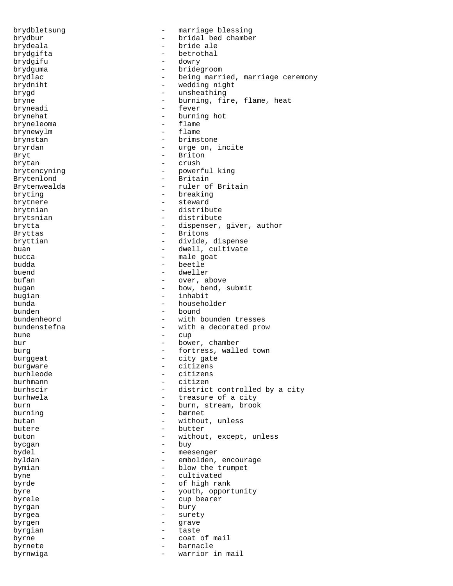brydbletsung - marriage blessing brydbur - bridal bed chamber<br>brydeala - bride ale - bride ale - bride ale brydgifta - betrothal brydgifu - dowr - dowr - dowr - dowr - dowr - dowr - dowr - dowr - dowr - dowr brydguma - bridegroom brydlac - being married, marriage ceremony brydniht - wedding night brygd - unsheathing bryne - burning, fire, flame, heat bryneadi - fever brynehat - burning hot<br>bryneleoma bryneleoma brynewylm - flame brynstan - brimstone bryrdan - urge on, incite Bryt - Briton brytan - crush brytencyning - crush - crush - crush - crush - crush - crush - crush - crush - crush - crush - crush - crush - crush - crush - crush - crush - crush - crush - crush - crush - crush - crush - crush - crush brytencyning - powerful king<br>Brytenlond - Britain Brytenlond - Britain<br>Brytenwealda - ruler of Brytenwealda - ruler of Britain<br>bryting - ruler breaking - breaking brytnere - steward brytnian - distribute brytsnian - distribute brytta - distribute brytta - dispenser, - dispenser, giver, author Bryttas - Britons bryttian - divide, dispense buan - dwell, cultivate bucca - male goat budda - beetle buend - dweller - over, above bugan - bow, bend, submit bugian - inhabit bunda - householder bunden - bound bundenheord - with bounden tresses bundenstefna - with a decorated prow bune - cup bur - bower, chamber burg  $-$  fortress, walled town burggeat - city gate<br>burgware - citizens burgware - citizens burhleode - citizens burhmann - citizen - district controlled by a city burhwela  $-$  treasure of a city burn - burn, stream, brook burning - bærnet butan - without, unless butere - butter buton - without, except, unless bycgan - buy bydel - meesenger byldan - embolden, encourage bymian - blow the trumpet byne - cultivated byrde - of high rank byre - youth, opportunity<br>
byrele - cup bearer byrele - cup bearer byrgan - bury byrgea - surety byrgen - grave byrgian - taste byrne  $\qquad$  - coat of mail byrnete barnacle barnacle byrnwiga - warrior in mail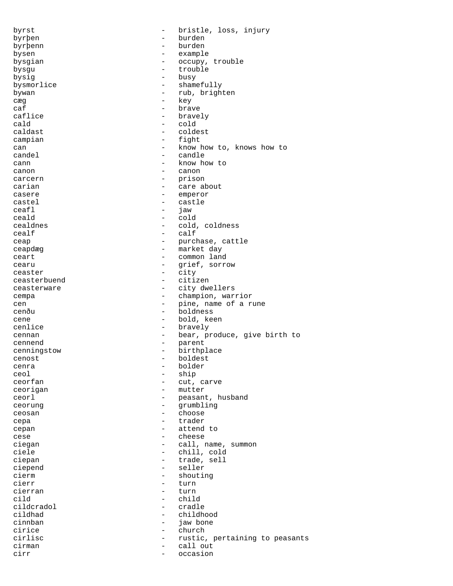byrst - bristle, loss, injury byrþen - burden byrþenn - burden bysen - example bysgian - occupy, trouble bysgu - trouble<br>
bysic - trouble<br>
- busy bysig busy<br>bysmorlice - busy<br>bysmorlice - shame bysmorlice - shamefully bywan - rub, brighten - cæg – key caf - brave caflice  $\qquad \qquad -$  bravely cald - cold caldast - coldest campian - fight can - know how to, knows how to<br>candel - candle candel - candle  $\frac{1}{2}$  cann  $\frac{1}{2}$  canon  $\frac{1}{2}$  canon  $\frac{1}{2}$  canon canon - canon carcern - prison<br>carian - care al carian - care about casere - emperor castel - castle<br>
ceafl - iaw ceafl - jaw ceald - cold<br>
cealdnes - cold<br>
- cold - cold, coldness  $\begin{tabular}{ccc}~~\multicolumn{2}{c}c} {cealf} & & & \multicolumn{2}{c}c} \\ \multicolumn{2}{c}c} {cealf} & & \multicolumn{2}{c}c} \\ \multicolumn{2}{c}c} {cealf} & & \multicolumn{2}{c}c} \end{tabular}$ ceap - purchase, cattle ceapdæg - market day ceart - common land<br>cearu - crief sorr cearu - grief, sorrow<br>ceaster - city ceaster - city<br>ceasterbuend - citizen ceasterbuend ceasterware  $-$  city dwellers cempa - champion, warrior cen  $-$  pine, name of a rune cenðu - boldness cene - bold, keen cenlice - bravely cennan - bear, produce, give birth to<br>
- parent - parent cennend - parent cenningstow - birthplace<br>
cenost - boldest cenost - boldest<br>cenra - holder - holder cenra - bolder ceol - ship - cut, carve ceorigan - mutter ceorl end to the ceorl of the peasant, husband ceorung - grumbling ceosan - choose cepa - trader cepan - attend to cese - cheese ciegan - call, name, summon ciele - chill, cold ciele - chill, cold<br>
ciepan - trade, sell<br>
- trade, sell - trade, sell<br>- seller ciepend - seller<br>cierm - shoutil cierm - shouting<br>cierr - turn - turn - turn cierran - turn cild - child<br>cildcradol - child - cradlı cildcradol - cradle - childhood cinnban - jaw bone cirice - church cirlisc  $-$  rustic, pertaining to peasants cirman - call out cirr - occasion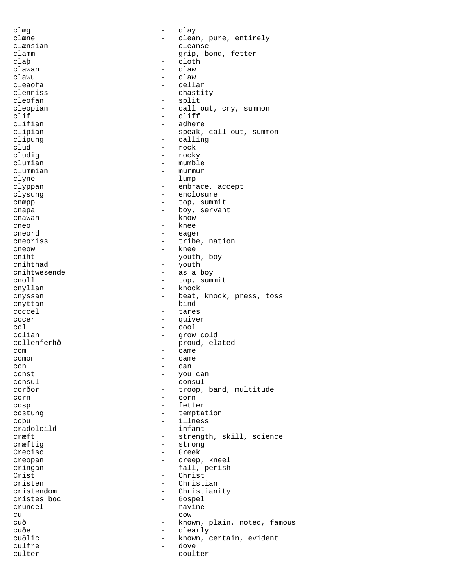clæg - clay clæne  $\qquad \qquad -$  clean, pure, entirely clænsian - cleanse clamm - grip, bond, fetter claþ - cloth<br>clawan - claw clawan - claw clawu<br>cleaofa cleaofa - cellar - chastity cleofan - split cleopian - call out, cry, summon clif - cliff<br>clifian - cliff - cliff - adhere clipian  $-$  speak, call out, summon clipung - calling - calling<br>clud - rock clud - rock - rock - rock - rock - rock - rock - rock - rock - rock - rock - rock - rock - rock - rock - rock - rock - rock - rock - rock - rock - rock - rock - rock - rock - rock - rock - rock - rock - rock - rock - rock - rocky clumian - mumble<br>clummian - murmur clummian - murmur<br>clyne - lump - lump - lump clyppan - embrace, accept clysung - enclosure cnæpp  $-$  top, summit cnapa - boy, servant cnawan - know cneo - knee cneord - eager cneoriss - tribe, nation cneow - knee cniht<br>
cnihthad<br>
cnihthad<br>
cnihthad<br>
cnihthad<br>
cnihthad<br>
cnihthad<br>
cnihthad cnihthad - youth<br>cnihtwesende - as a l cnihtwesende - as a boy<br>cnoll - top, summ cnoll - top, summit<br>cnyllan - knock - knock - knock cnyssan - beat, knock, press, toss cnyttan - bind coccel  $\qquad \qquad -$  tares cocer - quiver  $col$  -  $cool$ colian - grow cold collenferhð - proud, elated com - came comon - came<br>con - came con - can const - you can<br>consul - consul - consul consul - consul corðor - troop, band, multitude corn - corn cosp - fetter costung  $-$  temptation coþu - illness cradolcild - infant cræft - strength, skill, science cræftig – strong<br>Crecisc – Greek Crecisc – Green – Green – Green – Green – Green – Green – Green – Green – Green – Green – Green – Green – Green – G creopan - creep, kneel<br>cringan - creep, kneel<br>- fall perish cringan - fall, perish Crist - Christ - Christ<br>cristen - Christ - Christian cristendom - Christianity cristes boc - Gospel crundel - ravine<br>
cu - cow - cow cu e cow cuð - known, plain, noted, famous<br>cuðe - clearly - clearly cuðe - clearly cuðlic - known, certain, evident culfre - dove culter - coulter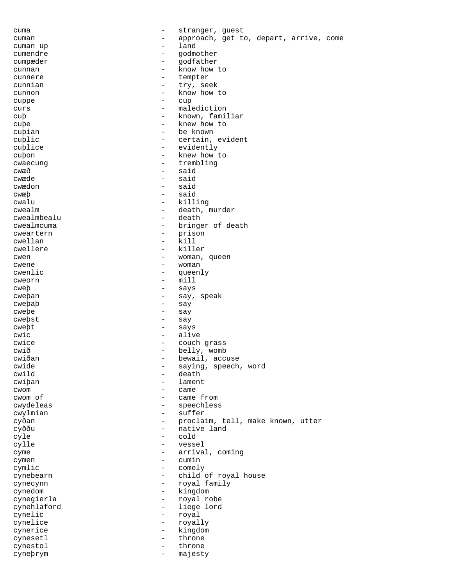cuma - stranger, guest cuman  $\qquad \qquad -$  approach, get to, depart, arrive, come<br>cuman up cuman up  $-$  land cumendre - godmother cumpæder - godfather cunnan - know how to<br>cunnere - tempter cunnere - tempter<br>cunnian - try.se cunnian - try, seek<br>cunnon - know how cunnon - know how to<br>cunne cuppe - cup curs - malediction<br>
- malediction<br>
- known fami cuþ - known, familiar<br>cube - knew how to cuþe - knew how to cuþian - be known cuþlic - certain, evident - certain, evident - certain, evident - certain, evident - certain, evident - certain, evident - certain, evident - certain, evident - certain, evident - certain, evident - certain, evident - cert cublice - evidently cuþon - knew how to cwaecung - trembling cwaecung - trembling cwæð - said - said<br>- said cwædon cwæþ - said cwalu - killing cwealm - death, murder<br>
cwealmbealu - death - death cwealmbealu - death - death - death - death - death - death - death - death - death - death - death - death cwealmcuma - bringer of death cweartern - prison - prison<br>cwellan - kill cwellan - kill cwellere - killere - killere - killere - killere - killere - killere - killere - killere - killere - killere cwen - woman, queen - woman, queen - woman, queen - woman, queen - woman, queen - woman, queen - woman, queen - woman, queen - woman, queen - woman, queen - woman, queen - woman, queen - woman, queen - woman, queen - woman cwene - woman<br>
cwenlic - cueen cwenlic - queenly<br>
cweorn - mill<br>
- mill cweorn - mill cweþ - says cweþan - say, speak  $\text{cwe}\text{p}$ aþ - say - say - say - say - say - say - say - say - say - say - say - say - say - say - say - say - say - say - say - say - say - say - say - say - say - say - say - say - say - say - say - say - say - say cweþe - say cweþst - say cweþt - says cwic  $-$  alive cwice  $-$  couch grass cwið - belly, womb<br>
cwiðan - bewail, acc cwiðan - bewail, accuse<br>
cwide - saying, speech cwide - saying, speech, word<br>
- death<br>
- death - death<br>- lament cwiþan - lament - lament - lament - came cwom - came cwom of  $\qquad$  - came from cwydeleas - speechless cwylmian - suffer cyðan - proclaim, tell, make known, utter cyððu - native land cyle - cold cylle  $-$  vessel cyme - arrival, coming<br>
cymen - cumin<br>
- cumin cymen - cumin<br>cymlic - comely cymlic - comely<br>
cynebearn - child cynebearn - child of royal house cynecynn - royal family cynedom - kingdom cynegierla - royal robe cynehlaford - liege lord cynelic - royal cynelice - royally<br>cynerice - royally cynerice - kingdom cynesetl - throne cynestol - throne cyneþrym - majesty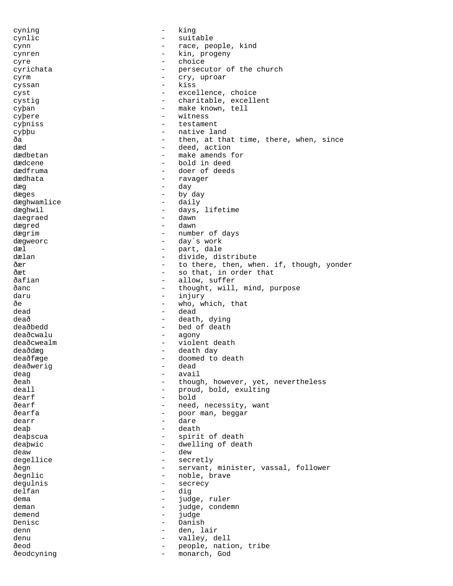cyning - king cynlic - suitable - suitable cynn - race, people, kind cynren - kin, progeny cyre - choice cyrichata - persecutor of the church<br>
cyrm cyrm - cry, uproar<br>
cyrsen - kies cyssan - kiss cyst  $-$  excellence, choice cystig  $-$  charitable, excellent cyþan - make known, tell cyþere - witness<br>cybniss - testamen cyþniss - testament cyþþu - native land ða - then, at that time, there, when, since dæd - deed, action dædbetan - make amends for<br>dædcene - hold in deed dædcene - bold in deed<br>dædfruma dædfruma - doer of deeds<br>dædhata - ravager dædhata - ravager - ravager<br>dæd dæg - day dæges - by day dæghwamlice dæghwil - days, lifetime<br>daegraed - dawn - dawn daegraed - dawn dægred dægrim  $\qquad -$  number of days dægweorc <br />
- day´s work dæl - part, dale dælan - divide, distribute<br>Åær - divide, distribute ðær  $-$  to there, then, when. if, though, yonder<br>  $\frac{1}{2}$  and that, in order that ðæt - so that, in order that ðafian - allow, suffer<br>
1989 - allow, suffer<br>
1989 - allow, suffer ðanc - thought, will, mind, purpose<br>daru - thought, will, mind, purpose daru - injury - injury<br>Ae - <sup>who w</sup>  $\delta$ e  $\delta$ e  $\delta$  - who, which, that  $\delta$ ead  $\delta$ dead - dead deað - death, dying deaðbedd - bed of death deaðcwalu - agony deaðcwealm - violent death deaðdæg - death day<br>deaðfæge - domed to deaðfæge - doomed to death<br>deaðwerig - dead deaðwerig - deadwerig - deadwerig - deadwerig - deadwerig - deadwerig - deadwerig - deadwerig - deadwerig - de<br>deadwerig - deadwerig - deadwerig - deadwerig - deadwerig - deadwerig - deadwerig - deadwerig - deadwerig - de deag - avail ðeah - though, however, yet, nevertheless<br>deall - eroud, bold, exulting - proud, bold, exulting  $\begin{tabular}{ccc} \multicolumn{2}{c}{} \multicolumn{2}{c}{} \multicolumn{2}{c}{} \multicolumn{2}{c}{} \multicolumn{2}{c}{} \multicolumn{2}{c}{} \multicolumn{2}{c}{} \multicolumn{2}{c}{} \multicolumn{2}{c}{} \multicolumn{2}{c}{} \multicolumn{2}{c}{} \multicolumn{2}{c}{} \multicolumn{2}{c}{} \multicolumn{2}{c}{} \multicolumn{2}{c}{} \multicolumn{2}{c}{} \multicolumn{2}{c}{} \multicolumn{2}{c}{} \multicolumn{2}{c}{} \multicolumn{2}{c}{} \multicolumn{2}{c}{} \mult$ ðearf - need, necessity, want ðearfa - poor man, beggar dearr - dare deaþ - death - death deaþscua - spirit of death deaþwic - dwelling of death deaw - dew degellice - secretly<br>
- servant.<br>
- servant. ðegn - servant, minister, vassal, follower<br>ðegnlic - - - - - - - - - - - - noble, brave ðegnlic - noble, brave - secrecy<br>- dig delfan - dig dema - judge, ruler<br>deman - judge, ruler<br>deman - judge, conde deman - judge, condemn<br>demend - judge, condemn<br>- judge demend - judge Denisc - Danish denn - den, lair denu - valley, dell ðeod - people, nation, tribe ðeodcyning - monarch, God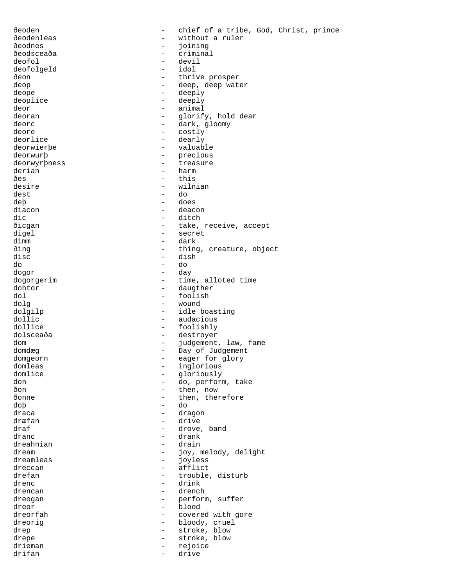| ðeoden               |                                 | chief of a tribe, God, Christ, prince |
|----------------------|---------------------------------|---------------------------------------|
| ðeodenleas           |                                 | without a ruler                       |
| ðeodnes              |                                 | joining                               |
| ðeodsceaða           |                                 | criminal                              |
| deofol               | $\overline{\phantom{0}}$        | devil                                 |
| deofolgeld           | $\overline{\phantom{0}}$        | idol                                  |
| ðeon                 | $\overline{\phantom{0}}$        | thrive prosper                        |
| deop                 |                                 | deep, deep water                      |
| deope                |                                 | deeply                                |
| deoplice             | $\qquad \qquad -$               | deeply                                |
| deor                 | $\overline{\phantom{0}}$        | animal                                |
| deoran               | $\qquad \qquad -$               | glorify, hold dear                    |
| deorc                | $\overline{\phantom{0}}$        | dark, gloomy                          |
| deore                | $\overline{\phantom{0}}$        | costly                                |
| deorlice             | $\qquad \qquad -$               | dearly                                |
| deorwierbe           | $\qquad \qquad -$               | valuable                              |
| deorwurp             | $\overline{\phantom{0}}$        | precious                              |
| deorwyrpness         | $\overline{\phantom{0}}$        | treasure                              |
| derian               | $\overline{\phantom{0}}$        | harm                                  |
| ðes                  | $\overline{\phantom{0}}$        | this                                  |
| desire               | $\overline{\phantom{0}}$        | wilnian                               |
| dest                 | $\overline{\phantom{0}}$        | do                                    |
| deb                  | $\qquad \qquad -$               | does                                  |
| diacon               | $\qquad \qquad -$               | deacon                                |
| dic                  |                                 | ditch                                 |
| ðicgan               |                                 | take, receive, accept                 |
| digel                | $\overline{\phantom{0}}$        | secret                                |
| dimm                 | $\qquad \qquad -$               | dark                                  |
| ðing                 | $\qquad \qquad -$               |                                       |
| disc                 | $\qquad \qquad -$               | thing, creature, object<br>dish       |
|                      | $\qquad \qquad -$               | do                                    |
| do<br>dogor          | $\qquad \qquad -$               | day                                   |
|                      |                                 | time, alloted time                    |
| dogorgerim<br>dohtor |                                 | daugther                              |
| dol                  | $\qquad \qquad -$               | foolish                               |
| dolg                 | $\overline{\phantom{0}}$        | wound                                 |
| dolgilp              | $\overline{\phantom{0}}$        | idle boasting                         |
| dollic               | $\overline{\phantom{0}}$        | audacious                             |
| dollice              | $\qquad \qquad -$               | foolishly                             |
| dolsceaða            | $\qquad \qquad -$               | destroyer                             |
| dom                  | $\qquad \qquad -$               | judgement, law, fame                  |
| domdæg               | $\overline{\phantom{0}}$        | Day of Judgement                      |
| domgeorn             |                                 | eager for glory                       |
| domleas              | $\overline{\phantom{0}}$        | inglorious                            |
| domlice              |                                 | gloriously                            |
| don                  | $\overline{\phantom{0}}$        | do, perform, take                     |
| ðon                  |                                 | then, now                             |
| ðonne                |                                 | then, therefore                       |
| dob                  | -                               | do                                    |
| draca                |                                 | dragon                                |
| dræfan               |                                 | drive                                 |
| draf                 | $\overline{\phantom{0}}$        | drove, band                           |
| dranc                | $-$                             | drank                                 |
| dreahnian            |                                 | drain                                 |
| dream                |                                 | joy, melody, delight                  |
| dreamleas            | $-$                             | joyless                               |
| dreccan              | $-$                             | afflict                               |
| drefan               |                                 | trouble, disturb                      |
| drenc                | $-$                             | drink                                 |
|                      | $\overline{\phantom{0}}$        |                                       |
| drencan              |                                 | drench                                |
| dreogan              | $-$<br>$\overline{\phantom{0}}$ | perform, suffer<br>blood              |
| dreor<br>dreorfah    | $\overline{\phantom{0}}$        |                                       |
|                      | -                               | covered with gore                     |
| dreorig              | $\overline{\phantom{0}}$        | bloody, cruel                         |
| drep                 |                                 | stroke, blow                          |
| drepe                | $\qquad \qquad -$               | stroke, blow                          |
| drieman              | $-$                             | rejoice                               |
| drifan               | -                               | drive                                 |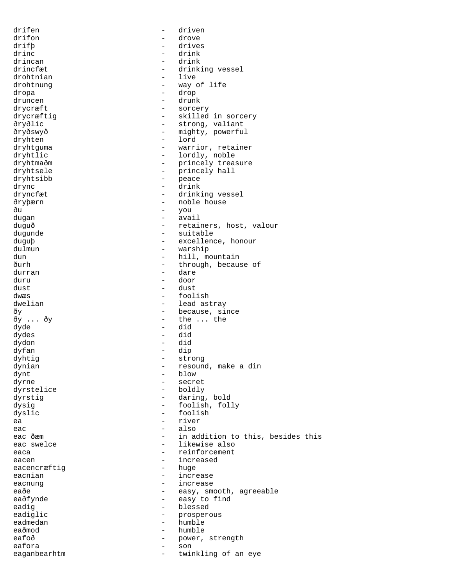drifen - driven drifon - drove drifþ - drives drinc - drink drincan - drink - drinking vessel<br>- live drohtnian drohtnung extending the state of life dropa - drop druncen - drunk - drunk drycræft - sorcery drycræftig - skilled in sorcery ðryðlic - strong, valiant ðryðswyð - mighty, powerful dryhten - lord dryhtguma - warrior, retainer dryhtlic  $-$  lordly, noble dryhtmaðm - princely treasure dryhtsele - princely hall - princely hall - peace dryhtsibb drync - drink - drink<br>dryncfæt - drinki - drinki - drinking vessel ðryþærn - noble house ðu - you dugan - avail duguð - retainers, host, valour dugunde - suitable - suitable duguþ - excellence, honour dulmun - warship dun - hill, mountain ðurh - through, because of durran - dare duru - door dust - dust dwæs - foolish dwelian  $\qquad \qquad -$  lead astray ðy ... ðy ... extra since = because, since = because, since = because, since = because, since = because, since - the ... the dyde - did dydes - did dydon - did dyfan - dip dyhtig - strong dynian  $\frac{1}{2}$  - resound, make a din dynt - blow dyrne - secret - boldly dyrstig - daring, bold dysig - foolish, folly dyslic - foolish ea - river eac - also eac ðæm  $-$  in addition to this, besides this eac swelce  $\qquad \qquad -$  likewise also eaca - reinforcement eacen - increased<br>eacencræftig - huge - huge eacencræftig eacnian - increase eacnung eacn and the set of the set of the set of the set of the set of the set of the set of the set of the s eaðe - easy, smooth, agreeable eaðfynde  $-$  easy to find eadig each each of the blessed eadiglic  $-$  prosperous eadmedan - humble eaðmod - humble eafoð - power, strength eafora - son eaganbearhtm - twinkling of an eye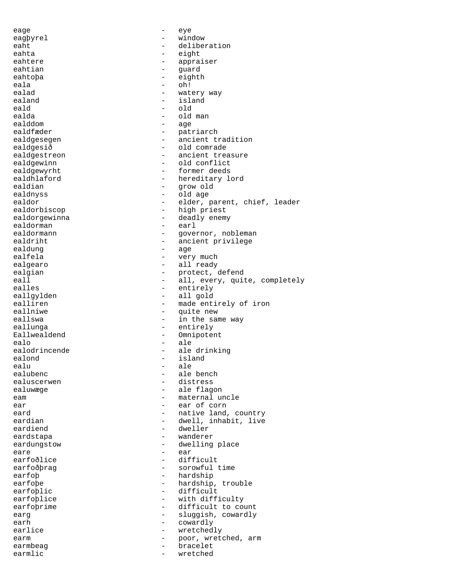eage - eye eagþyrel - window eaht - deliberation eahta - eight eahtere - appraiser eahtian - guard<br>eahtopa - eighth eahtoþa - eig<br>eala - oh! - eig eala - oh! ealad - watery way<br>ealand - island - island ealand - island<br>eald - old eald - old<br>ealda - old - old ealda - old man<br>ealddom - old man - age ealdfæder - patriarch ealdgesegen ealdgesegen - ancient tradition ealdgesið - old comrade ealdgestreon ealds - ancient treasure ealdgewinn - old conflict<br>ealdgewyrht - - - - - - - - - - - - former deeds ealdgewyrht - former deeds ealdhlaford - hereditary lord ealdian - grow old - old age ealdor - elder, parent, chief, leader ealdorbiscop - high priest ealdorgewinna - deadly enemy<br>ealdorman - earl ealdorman ealdormann - governor, nobleman ealdriht - ancient privilege ealdung ealfela - very much<br>ealgearo - all ready ealgearo - all ready ealgian - protect, defend<br>eall - all, every, qui eall - all, every, quite, completely<br>
ealles - entirely eallgylden - all gold<br>ealliren - made ent: ealliren - made entirely of iron<br>eallniwe - mite new eallniwe - quite new - in the same way eallunga - entirely Eallwealdend - Omnipotent - Computed by Communication - Omnipotent - Omnipotent - Communication - Communication - Communication - Communication - Communication - Communication - Communication - Communication - Communicatio ealo - ale ealodrincende - ale drinking<br>ealond - island ealond - island ealu - ale - ale - ale - ale - ale - ale - ale - ale - ale - ale - ale - ale - ale - ale - ale - ale - ale - ale - ale - ale - ale - ale - ale - ale - ale - ale - ale - ale - ale - ale - ale - ale - ale - ale - ale - ale ealubenc - ale bench<br>
ealuscerwen - distress ealuscerwen - distress<br>ealuwæge - ale flag - ale flagon eam earnal uncle ear ear - ear of corn eard  $-$  native land, country eardian - dwell, inhabit, live eardiend - dweller<br>eardstapa - wanderen eardstapa - wanderer<br>eardungstow - dwelling eardungstow - dwelling place<br>eare - ear eare - ear - ear - ear - ear - ear - ear - ear - ear - ear - ear - ear - ear - ear - ear - ear - ear - ear - e difficult earfoðþrag - sorowful time earfoþ - hardship<br>earfoþe - hardship - hardship - hardship, trouble earfoblic - difficult earfoblice - with difficulty earfobrime - difficult to count earg earg - sluggish, cowardly earh - cowardly<br>earlice - cowardly<br>earlice - wretched earlice  $-$  wretchedly earm  $\qquad \qquad -$  poor, wretched, arm earmbeag bracelet earmlic  $-$  wretched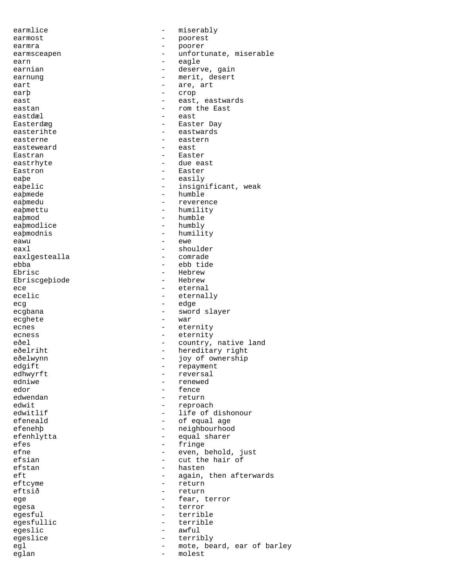earmlice - miserably earmost - poorest earmra - poorer - poorer - poorer - poorer - poorer - poorer - poorer - poorer - poorer - poorer - poorer - poorer - poorer - poorer - poorer - poorer - poorer - poorer - poorer - poorer - poorer - poorer - poorer - poorer earmsceapen - unfortunate, miserable earn - eagle earnian - deserve, gain - merit, desert eart - are, art earþ - crop east east - east, eastwards eastan - rom the East<br>eastdæl - east - east - east Easterdæg - Easter Day easterihte - eastwards easterne - easterne - easterne - easterne - easterne - easterne - easterne - east easteweard Eastran - Easter eastrhyte - due east Eastron **Easter** eaþe - easily eaþelic - insignificant, weak<br>eaþmede - insignificant, weak - humble eaþmedu - reverence eaþmettu - humility eaþmod - humble eaþmodlice - humbly ea**þmodnis** - humility eawu - ewe eaxl - shoulder eaxlgestealla ebba - ebb tide - Hebrew<br>- Hebrew Ebriscgeþiode ece - eternal ecelic - eternally ecg - edge ecgbana - sword slayer ecghete - war ecnes - eternity ecness - eternity eðel - country, native land<br>
eðelriht - hereditary right - hereditary right eðelwynn - joy of ownership edgift - repayment edhwyrft - reversal<br>edniwe - renewed edniwe - renewed<br>edor - renewed<br>- fence edor - fence<br>edwendan - fence<br>- return - return edwit - reproach - life of dishonour efeneald  $\qquad \qquad -$  of equal age efenehþ - neighbourhood efenhlytta - equal sharer efes - fringe - fringe - fringe - fringe - fringe - fringe - fringe - fringe - fringe - fringe - fringe - fringe - fringe - fringe - fringe - fringe - fringe - fringe - fringe - fringe - fringe - fringe - fringe - fringe efne - even, behold, just<br>
efsian - even, behold, just<br>
- cut the hair of efsian - cut the hair of<br>
efstan - hasten efstan - hasten - hasten - hasten - hasten - hasten - hasten - hasten - hasten - hasten - hasten - hasten - hasten - hasten - hasten - hasten - hasten - hasten - hasten - hasten - hasten - hasten - hasten - hasten - hasten eft - again, then afterwards<br>eftcyme - return - return - return eftsið - return ege  $-$  fear, terror egesa - terror egesful - terrible egesfullic - terrible egeslic - awful egeslice - terribly egl end the mote, beard, ear of barley eglan - molest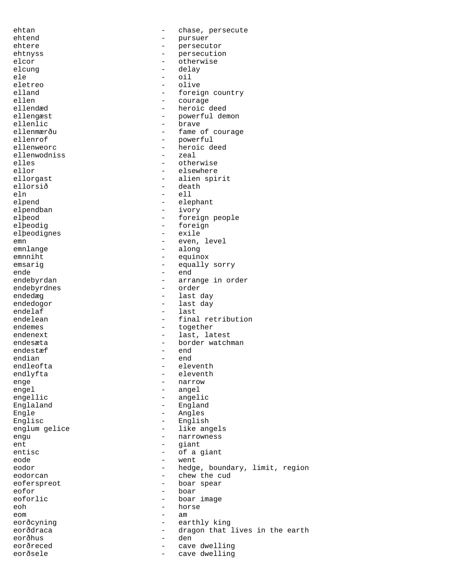ehtan - chase, persecute ehtend - pursuer - pursuer - pursuer - pursuer - pursuer - pursuer - pursuer - pursuer - pursuer - pursuer - pursuer - pursuer - pursuer - pursuer - pursuer - pursuer - pursuer - pursuer - pursuer - pursuer - pursuer - pur ehtere - persecutor ehtnyss - persecution elcor - otherwise<br>elcung - delay elcung - delay<br>ele - cil ele - oil eletreo - olive - olive<br>elland - forei elland  $\qquad -$  foreign country<br>ellen  $\qquad -$  courage ellen - courage<br>ellendæd - heroic - heroic deed ellengæst - powerful demon<br>ellenlic - brave - brave - brave ellenmærðu - fame of courage<br>ellenrof - bowerful ellenrof - powerful ellenweorc<br>
ellenwodniss<br>
ellenwodniss<br>
a
component of the seal<br>  $\frac{1}{2}$  and  $\frac{1}{2}$  and  $\frac{1}{2}$  and  $\frac{1}{2}$  and  $\frac{1}{2}$  and  $\frac{1}{2}$  and  $\frac{1}{2}$  and  $\frac{1}{2}$  and  $\frac{1}{2}$  and  $\frac{1}{2}$  and  $\frac{1}{2}$  and  $\frac$ ellenwodniss - zeales - zeales - zeales - zeales - zeales - zeales - zeales - zeales - zeales - zeales - zeales elles - otherwise<br>ellor - otherwise<br>- elsewhere ellor - elsewhere ellorgast - alien spirit<br>ellorsið - death - death ellorsið - death<br>eln - ell eln - ell elpend - elephant<br>elpendban - ivory elpendban - ivory<br>elbeod - forei - foreign people elþeodig - foreign<br>elþeodignes - exile elþeodignes emn - even, level emnlange - even, level emnlange - even, level emnlange - even en en en en en en en en en en e emnlange - along emnniht - equinox<br>emsario - equinox<br>emsario - equally emsarig - equally sorry ende - end - arrange in order<br>- order endebyrdnes<br>endedæg - last day endedogor - last day endelaf - last<br>endelean - final - final retribution endemes - together endenext - last, latest endesæta - border watchman endestæf – end<br>endian – end endian - end endleofta - eleventh - eleventh enge - narrow - angel engellic - angelic Englaland - England Engle - Angles Englisc - English englum gelice  $-$  like angels engu - narrowness<br>ent - narrowness<br>- qiant ent - giant<br>entisc - cf a giant entisc - of a giant<br>eode - went - went eode - went eodor - hedge, boundary, limit, region<br>
eodorcan - chew the cud eodorcan - chew the cud - boar spear eofor - boar eoforlic  $\qquad \qquad -$  boar image eoh - horse eom - am eorðcyning - earthly king<br>eorðdraca - earthly king eorðdraca - dragon that lives in the earth eorðhus - den eorðreced - cave dwelling<br>eorðsele - cave dwelling eorðsele - cave dwelling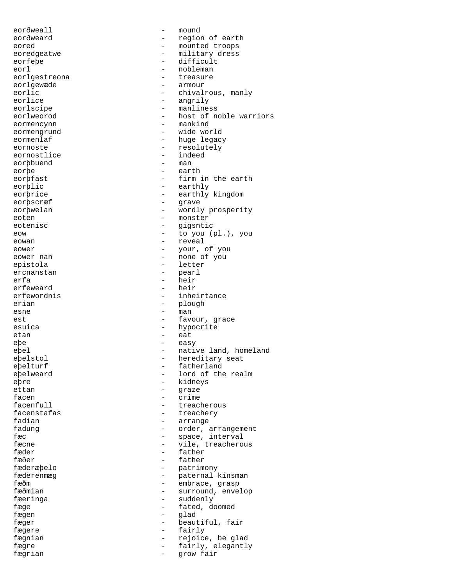eorðweall - mound eorðweard - region of earth eored - mounted troops eoredgeatwe - military dress eorfeþe - difficult<br>eorl - nobleman eorl - nobleman eorlgestreona<br>eorlgewæde eorlgewæde - armour eorlic - chivalrous, manly<br>
eorlice - chivalrous, manly<br>
- angrily - angrily eorlscipe  $\overline{\phantom{a}}$  - manliness eorlweorod - host of noble warriors<br>
eormencynn eormencynn eormengrund - wide world eormenlaf - huge legacy eornoste <br/> - resolutely <br/> - resolutely eornostlice - indeed eorþbuend - man - man - man - man - man - man - man - man - man - man - man - man - man - man - man - man - man - man - man - man - man - man - man - man - man - man - man - man - man - man - man - man - man - man - man eorþe<br>eorþfast - firm in the earth eorþlic - earthly<br>eorþrice - earthly - earthly kingdom eorbscræf - grave eorþwelan - wordly prosperity eoten - monster eotenisc - gigsntic eow - to you (pl.), you eowan - reveal eower - your, of you eower nan  $\sim$   $\sim$   $\sim$   $\sim$   $\sim$  none of you epistola - letter ercnanstan - pearl erfa - heir<br>erfeweard - heir - heir erfeweard<br>erfewordnis erfewordnis - inheirtance<br>erian - plough - plough esne - man est - favour, grace esuica - hypocrite etan - eat eþe - easy epel - native land, homeland eþelstol - hereditary seat<br>eþelturf - fatherland - fatherland e<br>belweard - lord of the realm eþre - kidneys - kidneys<br>ettan - sagar - sagar - sagar - graze facen - crime<br>facenfull - tread - treacherous facenstafas  $\overline{\phantom{a}}$  - treachery fadian  $\qquad \qquad -$  arrange fadung extending the condex, arrangement fæc - space, interval<br>fæcne - space, interval fæcne - vile, treacherous<br>fæder - father - father fæder - father fæðer - father<br>fæderæþelo - - father - patrim - patrimony fæderenmæg - paternal kinsman<br>fæðm - embrace, grasp fæðm - embrace, grasp<br>fæðmian - embrace, grasp<br>fæðmian - surround, enve fæðmian - surround, envelop<br>fæeringa - suddenly - suddenly - suddenly fæge  $-$  fated, doomed fægen - glad fæger - beautiful, fair fægere  $-$  fairly fægnian 1988 - rejoice, be glad fægre - fairly, elegantly<br>fægrian - fairly, elegantly fægrian - grow fair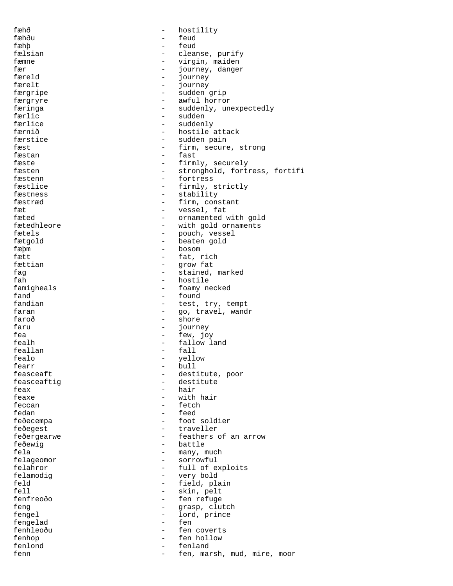fæhð - hostility fæhðu - feud<br>fæhb - feud fæhþ - feud fælsian - cleanse, purify fæmne - virgin, maiden<br>fær - virgin, maiden fær 1999 – fær 1999 – færeld 1999 – færeld 1999 – færeld 1999 – færeld 1999 – færeld 1999 – færeld 1999 – færeld 1999 – færeld 1999 – færeld 1999 – færeld 1999 – færeld 1999 – færeld 1999 – færeld 1999 – færeld 1999 – fære færeld - journey færelt - journey - sudden grip færgryre - awful horror færinga <br/> - suddenly, unexpectedly færlic - sudden - sudden - sudden - sudden - sudden - sudden - sudden - sudden - sudden - sudden - sudden - sudden - sudden - sudden - sudden - sudden - sudden - sudden - sudden - sudden - sudden - sudden - sudden - sudden - suddenly færnið  $-$  hostile attack færstice - sudden pain fæst  $-$  firm, secure, strong fæstan – fast<br>fæste – firm fæste  $\begin{array}{ccc} \text{fæsten} & - & \text{firmly, securely} \\ \text{fæsten} & - & \text{stronahold, fort} \end{array}$ fæsten - stronghold, fortress, fortifi<br>fæstenn - fortress fæstenn - fortress<br>fæstlice - firmly, fæstlice - firmly, strictly<br>fæstness - firmly, strictly - stability fæstræd - firm, constant fæt - vessel, fat fæted - ornamented with gold<br>fætedhleore - with gold ornaments - with gold ornaments fætels  $-$  pouch, vessel fætgold - beaten gold fæþm - bosom fætt  $-$  fat, rich fættian - grow fat fag - stained, marked fah - hostile famigheals - hostile for the form of the form of  $\sim$  form  $\sim$  form  $\sim$  form  $\sim$  form  $\sim$  form  $\sim$  form  $\sim$  form  $\sim$  form  $\sim$  form  $\sim$  form  $\sim$  form  $\sim$  form  $\sim$  form  $\sim$  form  $\sim$  form  $\sim$  form famigheals - foamy necked fand - found<br>fandian - test. - test, try, tempt faran  $-$  go, travel, wandr faroð - shore faru - journey fea - few, joy fealh - fallow land feallan - fallon - fallon - fallon - fallon - fallon - fallon - fallon - fallon - fallon - fallon - fallon - fallon - fallon - fallon - fallon - fallon - fallon - fallon - fallon - fallon - fallon - fallon - fallon - fallo fealo - yellow - bull feasceaft - destitute, poor feasceaftig  $\qquad \qquad -$  destitute<br>feax  $\qquad \qquad -$  hair feax - hair - hair<br>feaxe - with - with hair feccan - fetch fedan - feed feðecempa - foot soldier feðegest - traveller feðergearwe - feathers of an arrow feðewig - battle fela  $-$  many, much felageomor - sorrowful felahror - full of exploits<br>felamodig - very bold felamodig  $\begin{array}{ccc} - & \text{very bold} \\ \text{feld} & - & \text{field} \\ \end{array}$ feld - field, plain<br>fell - field, plain<br>- skin, pelt fell - skin, pelt - fen refuge feng  $-$  grasp, clutch fengel - lord, prince<br>fengelad - fen fengelad - fen fenhleoðu - fen coverts fenhop - fen hollow<br>fenlond - fenland - fenland fenlond - fenland fenn - fen, marsh, mud, mire, moor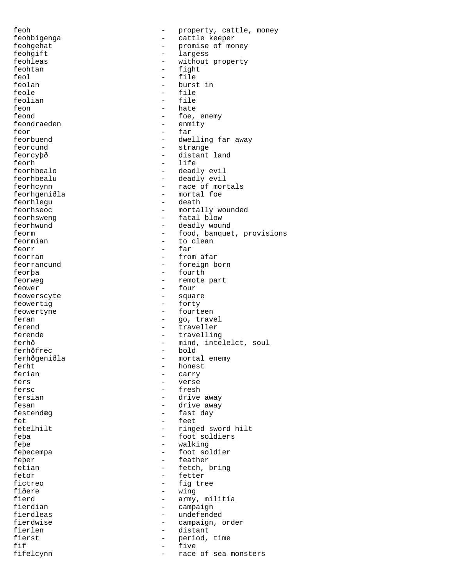feoh  $-$  property, cattle, money feohbigenga - cattle keeper feohgehat - promise of money feohgift - largess feohleas - without property feohtan - fight feol - file feolan - burst in teole<br>feole - file - file - file feolian - file feon - hate<br>feond - foe feond - foe, enemy - enmity feor - far feorbuend  $-$  dwelling far away feorcund - strange feorcyþð - distant land<br>feorh - life feorh - life feorhbealo - deadly evil feorhbealu - deadly evil<br>feorhcynn - race of mor feorhcynn - race of mortals - mortal foe feorhlegu - death feorhseoc - mortally wounded feorhsweng - fatal blow feorhwund - deadly wound feorm  $\qquad \qquad -$  food, banquet, provisions feormian - to clean feorr - far feorran  $-$  from afar feorrancund - foreign born feorþa - fourth feorweg  $\qquad \qquad -$  remote part<br>feower  $\qquad \qquad -$  four feower - four feowerscyte - square feowertig  $-$  forty feowertyne - fourteen feran  $-$  go, travel ferend - traveller ferende  $-$  travelling ferhð - mind, intelelct, soul<br>ferhðfrec - bold - bold ferhðfrec ferhðgeniðla - mortal enemy ferht - honest<br>ferian - carry - carry ferian - carry - carry<br>fers - verse fers - verse - fresh fersian - drive away fesan  $-$  drive away festendæg - fast day fet en andere en andere en andere en andere en andere en andere en andere en andere en andere en andere en and fetelhilt - ringed sword hilt feþa - foot soldiers feþe - walking feþecempa - foot soldier<br>feber - feather feþer - feather<br>fetian - fetch. fetian - fetch, bring<br>fetor - fetter - fetter fetor - fetter fictreo - fig tree<br>fiðere - wing - mang fiðere - wing<br>fierd - army fierd - army, militia<br>fierdian - campaign fierdian - campaign<br>fierdleas - undefende - undefended fierdwise - campaign, order fierlen - distant fierst - period, time<br>fif - five<br>- five fif  $-$  five fifelcynn - race of sea monsters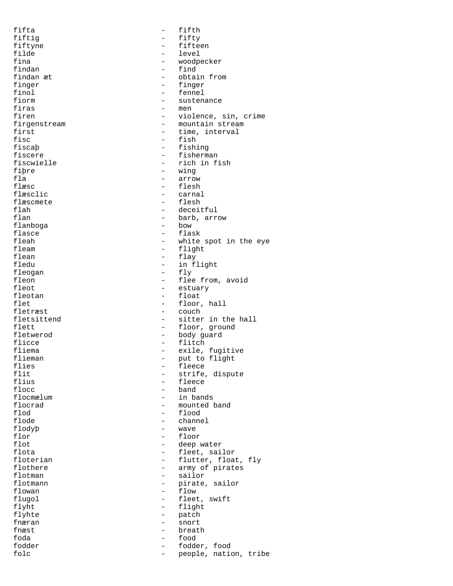fifta - fifth fiftig - fifty fiftyne - fifteen<br>filde - Fifteen<br>- level filde - level - level - level - level - level - level - level - level - level - level - level - level - level - level - level - level - level - level - level - level - level - level - level - level - level - level - level fina - woodpecker findan - find findan æt  $\qquad \qquad -$  obtain from finger finger - finger finol - fennel<br>fiorm - susten fiorm - sustenance<br>firas - men firas - men<br>firen - viol - violence, sin, crime firgenstream external control of the mountain stream first  $-$  time, interval fisc<br>fiscab - fish<br>fiscab - fishi - fishing fiscere - fisherman<br>fiscwielle - rich in f: fiscwielle - rich in fish<br>fibre - ving - ving fiþre - wing<br>fla - arrov fla - arrow flæsc<br>flæsclic - flesh - flesh<br>flæsclic - carnal flæsclic - carnal<br>flæscmete - flesh flæscmete - flesh flah - deceitful - barb, arrow<br>- bow flanboga flasce - flask fleah - white spot in the eye fleam - flight<br>flean - flav flean - flay - flay - flay - flay - flay - flay - flay - flay - flay - flay - flay - flay - flay - flay - flay - flay - flay - flay - flay - flay - flay - flay - flay - flay - flay - flay - flay - flay - flay - flay - flay - in flight fleogan - fly<br>fleon - flee - flee fleon - flee from, avoid<br>fleot - estuary - estuary fleot - estuary fleotan - float<br>flet - float<br>float - float flet - floor, hall<br>fletræst - couch - couch fletræst – couch<br>fletsittend – sitter - sitter in the hall flett  $\qquad \qquad -$  floor, ground fletwerod - body guard flicce - flitch - flitch<br>fliema - exile, fliema - exile, fugitive<br>flieman - exile, fugitive<br>- put to flight flieman - put to flight flies - fleece flit  $\begin{array}{cccc} - & & & \\ - & & & \end{array}$  strife, dispute flius flius - fleece<br>flocc - hand flocc - band<br>flocmælum - in band flocmælum - in bands<br>flocrad - mounted l flocrad - mounted band<br>flod - flood - flood flod - flood flode - channel flodyþ - wave flor - floor<br>flot - floor<br>- deep v flot the contract of the fleet sail flota that the contract of the contract of the contract of the fleet sail.<br>The contract of the contract of the fleet sail. flota - fleet, sailor<br>floterian - flutter, floa floterian - flutter, float, fly<br>flothere - army of pirates flothere  $\qquad \qquad - \qquad \qquad \qquad \qquad \text{array of pixels}$ <br>flotman  $\qquad \qquad - \qquad \qquad \text{salor}$ flotman - sailor - pirate, sailor flowan - flow flugol - fleet, swift<br>flyht - flight<br>- flight - flight flyhte - patch fnæran - snort - snort - snort - snort - snort - snort - snort - snort - snort - snort - snort - snort - snort - snort - snort - snort - snort - snort - snort - snort - snort - snort - snort - snort - snort - snort - snort fnæst - breath foda - food fodder - fodder, food folc  $\qquad \qquad -$  people, nation, tribe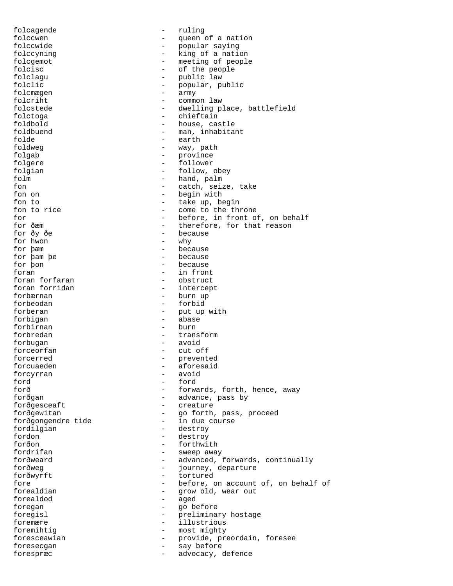folcagende - ruling folccwen - queen of a nation<br>folccwide - popular saving folccwide - popular saying folccyning  $-$  king of a nation folcgemot - meeting of people folcisc  $-$  of the people folclagu - public law<br>folclic - public law folclic - popular, public<br>folcme.com folcmægen - army folcriht - common law folcstede - dwelling place, battlefield folctoga - chieftain foldbold - house, castle foldbuend - man, inhabitant folde - earth foldweg  $-$  way, path folgaþ - province folgere - follower folgian - follow, obey folm  $\begin{array}{ccc} - & - \\ - & - \end{array}$  hand, palm fon fon  $\begin{array}{ccc} - & - & \text{catch, seize, take} \\ - & \text{beqin with} \end{array}$ - begin with fon to  $\frac{1}{2}$  take up, begin<br>fon to rice  $\frac{1}{2}$  - come to the thi - come to the throne for  $\frac{1}{2}$  - before, in front of, on behalf<br>for  $\delta$ æm - therefore, for that reason - therefore, for that reason for ðy ðe - because for hwon<br>for pæm - because<br>- because for þam þe<br>for þon - because foran  $\frac{1}{2}$  foran forfaran  $\frac{1}{2}$  foran forfaran  $\frac{1}{2}$  for  $\frac{1}{2}$  for  $\frac{1}{2}$  for  $\frac{1}{2}$  for  $\frac{1}{2}$  for  $\frac{1}{2}$  for  $\frac{1}{2}$  for  $\frac{1}{2}$  for  $\frac{1}{2}$  for  $\frac{1}{2}$  for  $\frac{1}{2}$  for  $\frac{1}{2}$  fo foran forfaran 1999 - Obstruct 1999 - Contract Coran forridan 1999 - Contract 1999 - Contract 1999 - Contract 1999 - Contract 1999 - Contract 1999 - Contract 1999 - Contract 1999 - Contract 1999 - Contract 1999 - Contract - intercept forbærnan - burn up forbeodan - forbid forberan - put up with forbigan - abase forbirnan forbredan - transform forbugan - avoid forceorfan - cut off forcerred  $\qquad \qquad -$  prevented forcuaeden - aforesaid<br>forcurran - avoid - avoid forcyrran ford - ford - forwards, forth, hence, away forðgan - advance, pass by forðgesceaft - creature forðgewitan - go forth, pass, proceed forðgongendre tide - in due course fordilgian - destroy fordon - destroy forðon - forthwith fordrifan - sweep away forðweard - advanced, forwards, continually<br>forðweg - iourney departure forðweg - journey, departure<br>forðwyrft - fortured forðwyrft - tortured fore  $-$  before, on account of, on behalf of forealdian - grow old, wear out - aged foregan - go before<br>foregisl - preliminan foregisl  $-$  preliminary hostage foremære - illustrious foremihtig<br>foresceawian - most mighty<br>- provide, pr foresceawian - provide, preordain, foresee foresecgan - say before forespræc - advocacy, defence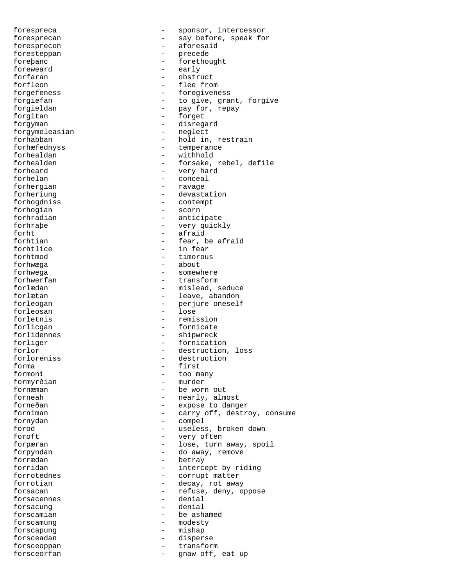forespreca  $\qquad \qquad -$  sponsor, intercessor foresprecan - say before, speak for foresprecen - aforesaid foresteppan - precede foreþanc - forethought foreweard  $-$  early<br>forfaran  $-$  obstruct forfaran - obstructure - obstructure - obstructure - obstructure - obstructure - obstructure - obstructure - o<br>The structure - obstructure - obstructure - obstructure - obstructure - obstructure - obstructure - obstructur forfleon  $\overline{f}$  - flee from  $\overline{f}$  - flee from  $\overline{f}$  - foregiven - foregiveness forgiefan - to give, grant, forgive forgieldan - pay for, repay forgitan - forget forgyman - disregard<br>forgymeleasian - neglect forgymeleasian forhabban - hold in, restrain forhæfednyss - temperance forhealdan - withhold<br>forhealden - forsake, - forsake, rebel, defile forheard - very hard forhelan - conceal<br>forhergian - ravage forhergian<br>forheriung - devastation forhogdniss - contempt forhogian - scorn forhradian - anticipate forhraþe - very quickly forht - afraid forhtian  $-$  fear, be afraid forhtlice  $-$  in fear forhtmod - timorous forhwæga - about 1992 - about 1992 - about 1992 - about 1992 - about 1992 - about 1992 - about 1992 - about 19<br>Eksterne in de later 1992 - about 1992 - about 1992 - about 1992 - about 1992 - about 1992 - about 1992 - about forhwega - somewhere forhwerfan - transform - mislead, seduce forlætan  $-$  leave, abandon forleogan - perjure oneself<br>forleosan - lose<br>- lose forleosan forletnis  $-$  remission forlicgan - fornicate forlidennes - shipwreck forliger - fornication forlor  $-$  destruction, loss forloreniss  $\overline{\phantom{a}}$  - destruction<br>forma forma - first formoni - too many formyrðian - murder<br>fornæman - - be worl - be worn out forneah - nearly, almost forneðan - expose to danger forniman - carry off, destroy, consume fornydan - compel forod - useless, broken down foroft - very often forpæran  $\qquad \qquad -$  lose, turn away, spoil forpyndan - do away, remove<br>forrædan - hetrav forrædan - betray forridan - intercept by riding<br>forrotednes - corrupt matter corrupt matter forrotian - decay, rot away - refuse, deny, oppose<br>- denial forsacennes - denial<br>forsacung - denial forsacung forscamian  $-$  be ashamed forscamung - modesty forscapung - mishap forsceadan - disperse<br>forsceoppan - transform forsceoppan - transform forsceorfan - gnaw off, eat up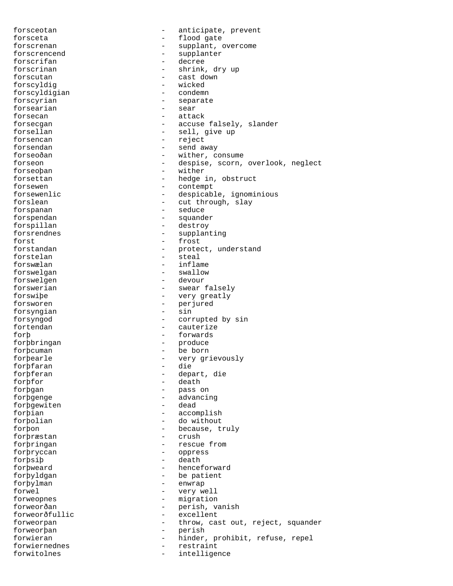forsceotan  $\qquad \qquad -$  anticipate, prevent forsceta - flood gate forscrenan - supplant, overcome forscrencend - supplanter forscrifan - decree<br>forscrinan - shrink. - shrink, dry up<br>- cast down forscutan - cast down forscyldig - wicked forscyldigian forscyrian  $\overline{z}$  - separate<br>forsearian - sear forsearian forsecan - attack forsecgan - accuse falsely, slander forsellan - sell, give up forsencan - reject forsendan - send away forseoðan - wither, consume forseon - despise, scorn, overlook, neglect forseoþan - wither forsettan - hedge in, obstruct forsewen - contempt forsewenlic  $\qquad \qquad -$  despicable, ignominious forslean - cut through, slay forspanan - seduce forspendan - squander forspillan - destroy forsrendnes - supplanting forst - frost forstandan - protect, understand forstelan - steal forswælan - inflame forswelgan - swallow forswelgen forswerian  $-$  swear falsely forswiþe - very greatly forsworen - perjured forsyngian forsyngod - corrupted by sin fortendan extendis and the cauterize forþ<br>forþbringan - forwards<br>forþbringan - produce forþbringan - produce forþcuman - be born forþearle - very grievously<br>forbfaran - die - die forþfaran forþferan - depart, die forþfor - death forþgan - pass on forþgenge - advancing<br>forbgewiten - dead forbgewiten forþian - accomplish forþolian - do without forþon - because, truly<br>forþræstan - crush - crush forþræstan - crush forþringan - rescue from forþryccan - oppress forþsiþ - death forþweard - henceforward forþyldgan - be patient forþylman - enwrap forwel - very well forweopnes - migration forweorðan - perish, vanish<br>forweorðfullic - excellent forweorðfullic - excellent forweorpan  $\qquad \qquad -$  throw, cast out, reject, squander<br>forweorban  $\qquad \qquad -$  perish forweorþan - perish forwieran - hinder, prohibit, refuse, repel forwiernednes - restraint forwitolnes - intelligence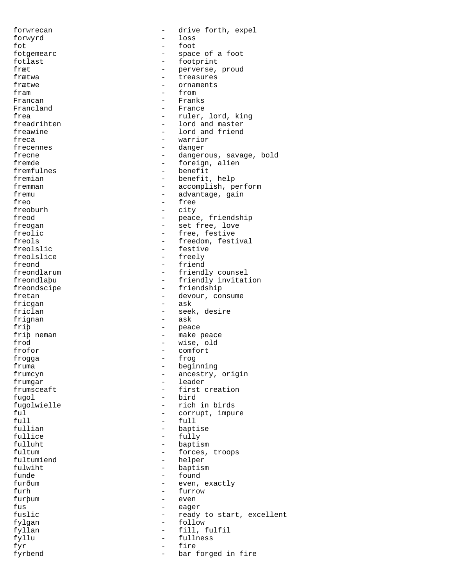forwrecan  $-$  drive forth, expel forwyrd - loss fot - foot fotgemearc  $-$  space of a foot fotlast - footprint fræt - perverse, proud treasures frætwe – ornaments<br>fram – from – from fram - from Francan - Franks<br>Francland - France - France frea - ruler, lord, king<br>freadrihten - lord and master - lord and master freawine  $\qquad \qquad -$  lord and friend freca - warrior - warrior frecennes - danger frecne  $\qquad \qquad -$  dangerous, savage, bold fremde - foreign, alien<br>fremfulnes - benefit fremfulnes - benefit fremian - benefit, help<br>fremman - accomplish, p fremman - accomplish, perform<br>fremu - advantage, gain - advantage, gain freo - free - free - free - free - free - free - free - free - free - free - free - free - free - free - free - free - free - free - free - free - free - free - free - free - free - free - free - free - free - free - free - city freod  $-$  peace, friendship freogan - set free, love freolic  $\qquad \qquad -$  free, festive freols - freedom, festival - festive<br>- freely freolslice - freedy - free states - free states - free states - free states - free states - free states - free states - free states - free states - free states - free states - free states - free states - free states - free freond  $\begin{array}{ccc} - & \text{friend} \\ \text{freondlarum} & \text{freondlarm} \end{array}$ freondlarum - friendly counsel<br>freondlapu - friendly invitat freondlaþu - friendly invitation<br>freondscipe - friendship - friendship fretan - devour, consume fricgan - ask friclan - seek, desire frignan friþ - peace friþ neman - make peace frod - wise, old frofor  $\overline{r}$  - comfort  $\overline{r}$  - comfort  $\overline{r}$ frogga - frog fruma - beginning frumcyn - ancestry, origin frumgar - leader<br>frumsceaft - first d - first creation fugol - bird fugolwielle - rich in birds ful  $\qquad \qquad -$  corrupt, impure  $\begin{tabular}{ccc} \bf full & \bf & \bf & \bf & \bf & \bf \end{tabular}$ fullian - baptise fullice - fully<br>fulluht - fully<br>- bapti; - baptism fultum - forces, troops<br>fultumiend - helper fultumiend fulwiht - baptism funde - found - found - found - found - found - found - found - found - found - found - found - found - found - found - found - found - found - found - found - found - found - found - found - found - found - found - found - even, exactly furh - furrow furþum - even fus - eager fuslic  $-$  ready to start, excellent fylgan - follow fyllan - fill, fulfil fyllu - fullness fyr - fire fyrbend  $-$  bar forged in fire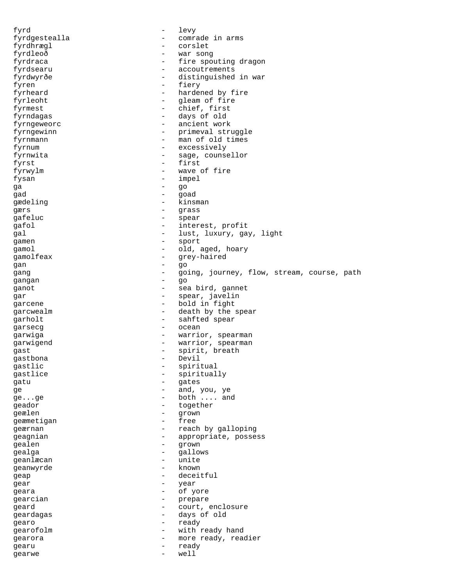fyrd - levy fyrdgestealla - comrade in arms fyrdhrægl - corslet fyrdleoð - war song fyrdraca - fire spouting dragon fyrdsearu - accoutrements<br>fyrdwyrðe - accoutrements fyrdwyrðe - distinguished in war<br>fyren - fierv fyren - fiery fyrheard  $-$  hardened by fire fyrleoht - gleam of fire fyrmest - chief, first fyrndagas - days of old fyrngeweorc extended to the contract of the ancient work fyrngewinn - brimeval struggle fyrnmann - man of old times fyrnum - excessively fyrnwita - sage, counsellor fyrst - first - first - first - first - first - first - first - first - first - first - first - first - first - first - first - first - first - first - first - first - first - first - first - first - first - first - first fyrwylm - wave of fire<br>fysan - impel fysan - impel  $\frac{1}{2}$  -  $\frac{1}{2}$  -  $\frac{1}{2}$  -  $\frac{1}{2}$  -  $\frac{1}{2}$  -  $\frac{1}{2}$  -  $\frac{1}{2}$  -  $\frac{1}{2}$  -  $\frac{1}{2}$  -  $\frac{1}{2}$  -  $\frac{1}{2}$  -  $\frac{1}{2}$  -  $\frac{1}{2}$  -  $\frac{1}{2}$  -  $\frac{1}{2}$  -  $\frac{1}{2}$  -  $\frac{1}{2}$  -  $\frac$ ga - go - go - go gad - goad - goad gædeling - kinsman gærs - grass - grass - grass - grass - grass - grass - grass - grass - grass - grass - grass - grass - grass - grass - grass - grass - grass - grass - grass - grass - grass - grass - grass - grass - grass - grass - grass qafeluc - spear gafol  $-$  interest, profit gal  $-$  lust, luxury, gay, light gamen - sport gamol - old, aged, hoary gamolfeax - grey-haired gan - go gang  $-$  going, journey, flow, stream, course, path gangan - go ganot - sea bird, gannet gar - spear, javelin garcene  $\qquad \qquad -$  bold in fight garcwealm - death by the spear<br>
arholt - sahfted spear garholt - sahfted spear garsecg extensive the contract of the contract of the contract of the contract of the contract of the contract of the contract of the contract of the contract of the contract of the contract of the contract of the contract garwiga - warrior, spearman garwigend  $-$  warrior, spearman gast - spirit, breath<br>
and - spirit, breath<br>
- Devil gastbona - Devil - Devil - Devil - Devil - Devil - Devil - Devil - Devil - Devil - Devil - Devil - D gastlic - spiritual<br>gastlice - spiritual gastlice - spiritually<br>
status - spiritually<br>
status - spiritually gatu - gates ge - and, you, ye ge...ge - both .... and geador - together geælen - grown - grown<br>deæmetigan - free geæmetigan geærnan - reach by galloping geagnian - appropriate, possess gealen - grown gealga - gallows<br>geanlægan - gallows - gallows geanlæcan - unite geanwyrde – known – known – known – known – known – known – known – known – known – known – known – known – known – k geap deceitful gear - year<br>
geara - year<br>
- of y geara - of yore gearcian - prepare<br>
geard - court geard  $\qquad \qquad -$  court, enclosure geardagas - days of old gearo - ready gearofolm  $-$  with ready hand gearora - more ready, readier gearu - ready gearwe - well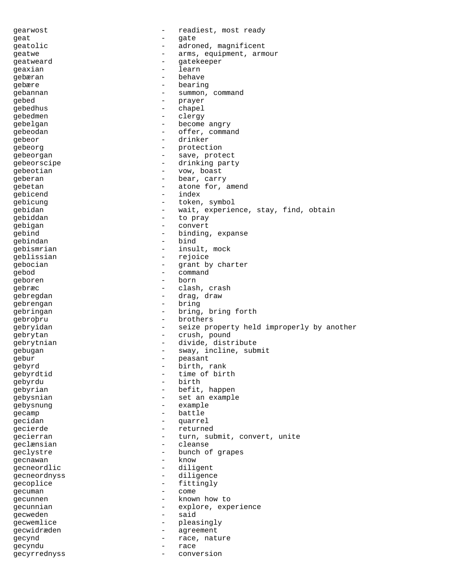gearwost - readiest, most ready geat - gate geatolic  $\qquad \qquad -$  adroned, magnificent geatwe  $-$  arms, equipment, armour geatweard - gatekeeper geaxian - learning the state of the state of the state of the state of the state of the state of the state of the state of the state of the state of the state of the state of the state of the state of the state of the stat gebæran - behave<br>cebære - behave gebære - bearing gebannan - summon, command gebed - prayer gebedhus - chapel<br>
gebedhus - chapel gebedmen - clergy gebelgan - become angry gebeodan - offer, command gebeor - drinker gebeorg entitled by the protection gebeorgan - save, protect gebeorscipe - drinking party<br>
gebeorian<br>
- 
vow boast<br>
- 
vow boast gebeotian - vow, boast geberan - bear, carry<br>
cabatan - atone for gebetan  $\qquad \qquad -$  atone for, amend  $\qquad \qquad -$  index gebicend - index - index - index - index - index - index - index - index - index - index - index - index - index - index - index - index - index - index - index - index - index - index - index - index - index - index - ind gebicung - token, symbol<br>
cebidan - wait experie gebidan - wait, experience, stay, find, obtain<br>
cebiddan - to pray gebiddan - to pray gebigan - convert gebind - binding, expanse gebindan di bindan bindan bindan bindan bindan bindan bindan bindan bindan bindan bindan bindan bindan bindan gebismrian - insult, mock<br>geblissian - rejoice - rejoice geblissian - reporting the contract of the contract of the contract of the contract of the contract of the contract of the contract of the contract of the contract of the contract of the contract of the contract of the con gebocian - grant by charter<br>
gebod<br>
- command<br>
- command gebod - command geboren – borne – borne – borne – borne – borne – borne – borne – borne – borne – borne – borne – borne – born gebræc - clash, crash gebregdan - drag, draw gebrengan - bring gebringan - bring, bring forth gebroþru - brothers gebryidan - seize property held improperly by another gebrytan - crush, pound gebrytnian - divide, distribute gebugan - sway, incline, submit gebur - peasant<br>
gebyrd - hirth 1 gebyrd - birth, rank gebyrdtid - time of birth<br>qebyrdu - hirth - hirth gebyrdu gebyrian - befit, happen gebysnian - set an example gebysnung - example gecamp - battle gecidan - quarrel gecierde - returned<br>
gecierran - returned gecierran - turn, submit, convert, unite<br>
eclænsian - cleanse geclænsian - cleanse geclystre - bunch of grapes gecnawan –<br>gecneordlic gecneordlic - diligent gecneordnyss - diligence<br>
geconlige - fittingly gecoplice - fittingly<br>
gecuman - come gecuman extensive come come gecunnen - known how to gecunnian - explore, experience<br>
- said<br>
- said gecweden gecwemlice - pleasingly gecwidræden - agreement gecynd and a race, nature gecyndu - race gecyrrednyss - conversion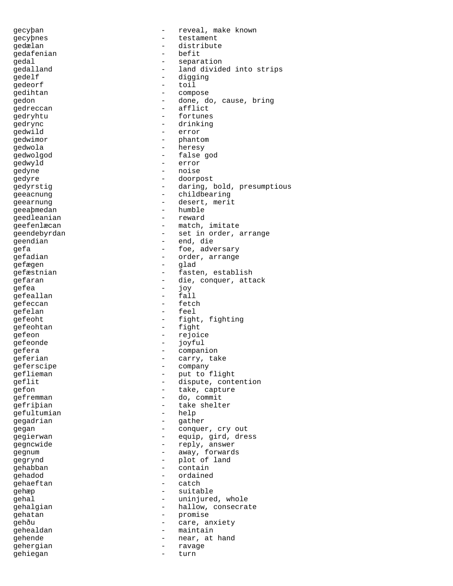gecyþan - reveal, make known gecyþnes - testament gedælan - distribute gedafenian gedal - separation gedalland - land divided into strips<br>
gedalf - digging gedelf - digging qedeorf gedihtan - compose gedon - done, do, cause, bring<br>qedreccan - - afflict - afflict gedryhtu - fortunes<br>qedrync - drinking - drinking gedwild - error gedwimor - phantom gedwola - heresy edwolgod - false god<br>
gedwolgod - false god<br>
- error gedwyld - error gedyne - noise gedyre - doorpost gedyrstig - daring, bold, presumptious geeacnung - childbearing<br>geearnung - childbearing<br>- desert, merit - desert, merit<br>- humble geeaþmedan - humble<br>geedleanian - reward geedleanian geefenlæcan - match, imitate geendebyrdan - set in order, arrange geendian - end, die endian - end, die end, die end, die end, die end, die end en die end en die end en die en<br>The end of the end of the end of the end of the end of the end of the end of the end of the end of the end of th - foe, adversary gefadian - order, arrange<br>
gefægen - order, arrange gefægen - glad<br>gefæstnian - faste gefæstnian - fasten, establish gefaran - die, conquer, attack<br>
gefee gefea - joy<br>
gefeallan - fall gefeallan - fall qefeccan gefelan - feel gefeoht - fight, fighting gefeohtan - fight gefeon - rejoice gefeonde - joyful efera - companion<br>
geferian - carry tal geferian  $-$  carry, take geferscipe - company geflieman - put to flight eflit  $\begin{array}{ccc}\n\text{gen}\ 2\text{left}\ 3\text{left}\ 4\text{left}\ 5\end{array}\n\right.\n\begin{array}{ccc}\n-\text{else, contour}\n\end{array}$ - take, capture gefremman - do, commit gefriþian - take shelter<br>
aefultumian - help<br>
- help gefultumian gegadrian - gather gegan - conquer, cry out gegierwan - equip, gird, dress gegncwide - reply, answer gegnum - away, forwards<br>
gegrynd - away, forwards<br>
- alot of land gegrynd - plot of land gehabban - contains a contained by the containing of the containing  $\sim$ gehadod - ordained gehaeftan gehæp - suitable gehal  $-$  uninjured, whole gehalgian - hallow, consecrate gehatan  $-$  promise gehðu - care, anxiety gehealdan - maintain gehende  $-$  near, at hand gehergian - ravage gehiegan - turn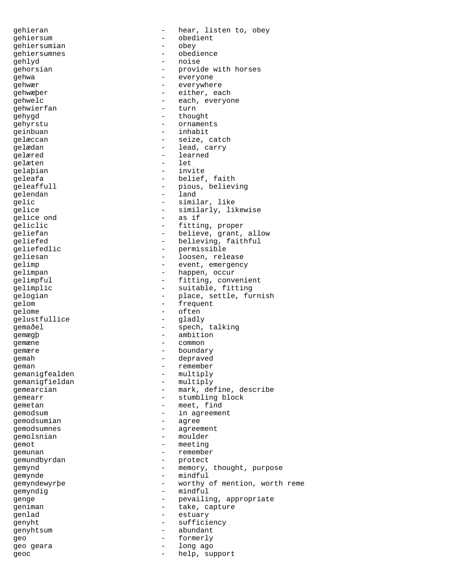gehiersum - obedient gehiersumian - obey gehiersumnes - obedience gehlyd - noise gehwa - everyone gehwierfan gehygd - thought gehyrstu - ornaments geinbuan - inhabit gelæred - learned<br>
gelæren - learned<br>
- let gelæten - let gelaþian gelendan - land gelice ond gelom - frequent gelome - often gelustfullice gemægþ – ambition<br>gemæne – common gemæne - common gemære - boundary gemah - depraved gemanigfealden - multiply<br>qemaniqfieldan - multiply gemanigfieldan gemodsumian - agree gemodsumnes - agreement gemolsnian - moulder gemot - meeting<br>
gemunan - remember gemunan - remember<br>gemundbyrdan - remember<br>- protect gemundbyrdan - protect gemynde - mindful<br>comundentable - mindful<br>comundentable gemyndig - mindful qenlad - estuary genyhtsum - abundant geo - formerly geo geara and a compared with the long ago geoc - help, support

qehieran - hear, listen to, obey gehorsian - provide with horses<br>
gehwa gehwær - everywhere<br>gehwæber - either, ea - either, each gehwelc - each, everyone<br>
aehwierfan - each, everyone gelæccan - seize, catch gelædan - lead, carry geleafa - belief, faith<br>qeleaffull - pious, believ - pious, believing gelic - similar, like<br>
and the similarly. Iil<br>
and the similarly. Iil - similarly, likewise<br>- as if qeliclic  $-$  fitting, proper geliefan - believe, grant, allow geliefed - believing, faithful geliefedlic - permissible geliesan - loosen, release gelimp - event, emergency<br>gelimpan - happen, occur gelimpan - happen, occur<br>gelimpful - fitting, conv gelimpful - fitting, convenient<br>gelimplic - suitable, fitting - suitable, fitting gelogian - place, settle, furnish gemaðel - spech, talking - remember<br>- multiply gemearcian entry and the mark, define, describe qemearr - stumbling block qemetan - meet, find gemodsum - in agreement gemynd - memory, thought, purpose gemyndewyrþe - worthy of mention, worth reme genge  $-$  pevailing, appropriate qeniman - take, capture genyht - sufficiency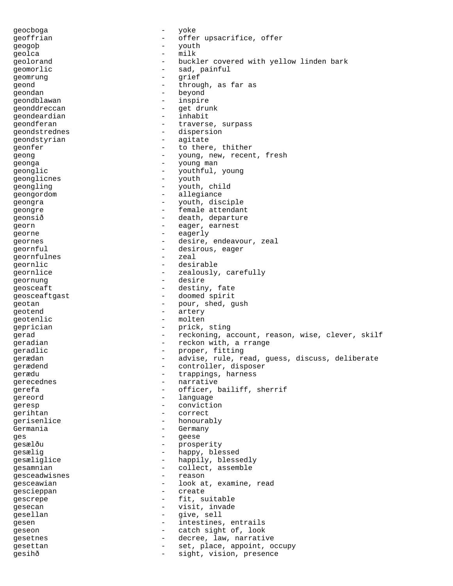geocboga - yoke geoffrian - offer upsacrifice, offer<br>
geogob - vouth<br>
- vouth geogoþ - youth qeolca - milk geolorand  $-$  buckler covered with yellow linden bark geomorlic  $-$  sad, painful geomrung - grief geond  $-$  through, as far as geondan - beyond geondblawan - inspire qeonddreccan - get drunk qeondeardian - inhabit qeondferan - traverse, surpass geondstrednes - dispersion geondstyrian - agitate geonfer  $\qquad \qquad$  - to there, thither geong  $\begin{array}{cccc} - &$  young, new, recent, fresh<br>geonga geonga - young man geonglic - youthful, young<br>  $\frac{1}{2}$  youth  $\frac{1}{2}$  youth geonglicnes - youth<br>
geongling<br>  $\frac{1}{2}$ geongling  $-$  youth, child geongordom entrance allegiance geongra  $-$  youth, disciple geongre - female attendant geonsið - death, departure georn - eager, earnest georne - eagerly geornes - desire, endeavour, zeal geornful - desirous, eager geornfulnes - zeal geornlic - desirable geornlice  $\qquad \qquad \qquad -$  zealously, carefully geornung entrement of the desire geosceaft - destiny, fate geosceaftgast - doomed spirit geotan - pour, shed, gush<br>geotend - pour, shed, gush - artery<br>- molten geotenlic geprician - prick, sting gerad - reckoning, account, reason, wise, clever, skilf geradian - reckon with, a rrange geradlic - proper, fitting erædan - advise, rule, read, guess, discuss, deliberate<br>gerædend - controller disposer gerædend  $\overline{a}$  - controller, disposer<br>
gerædu - trappings harness gerædu - trappings, harness<br>gerecednes - trappings, harness - narrative<br>- officer gerefa - officer, bailiff, sherrif gereord - language geresp - conviction gerihtan - correct gerisenlice - honourably Germania - Germany<br>Ges - Germany<br>- Geese ges - geese gesælðu - prosperity gesælig - happy, blessed gesæliglice - happily, blessedly<br>gesamnian - collect, assemble - collect, assemble<br>- reason gesceadwisnes - reason gesceawian and the set of the contract of the set of the set of the set of the set of the set of the set of th gescieppan - create gescrepe  $-$  fit, suitable gesecan - visit, invade gesellan - give, sell gesen - intestines, entrails geseon - catch sight of, look gesetnes - decree, law, narrative gesettan - set, place, appoint, occupy gesihð - sight, vision, presence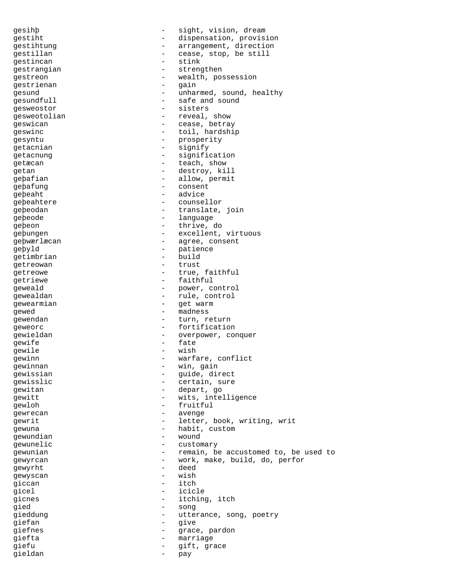gesihþ - sight, vision, dream gestiht - dispensation, provision gestihtung external resolution of the arrangement, direction gestillan  $-$  cease, stop, be still gestincan - stink gestrangian - strengthen<br>
gestreen - wealth point gestreon - wealth, possession<br>gestrienan - gain gestrienan gesund - unharmed, sound, healthy<br>gesundfull - safe and sound - safe and sound gesweostor - sisters qesweotolian - reveal, show geswican - cease, betray geswinc - toil, hardship gesyntu - prosperity<br>
getacnian - signify getacnian - signify getacnung etacnung etacnung and the signification getæcan - teach, show<br>
getæcan - teach, show<br>
- destroy ki getan - destroy, kill<br>
gebafian - allow permit geþafian - allow, permit geþafung - consent geþeaht geþeahtere - counsellor geþeodan - translate, join gebeode - language - language geþeon - thrive, do geþungen - excellent, virtuous geþwærlæcan - agree, consent geþyld - patience<br>qetimbrian - build - build getimbrian - buildings - buildings - buildings - buildings - buildings - buildings - buildings - buildings - buildings - buildings - buildings - buildings - buildings - buildings - buildings - buildings - buildings - build getreowan - trust<br>
getreowe - true getreowe - true, faithful<br>
cotrieve - true, faithful getriewe - faithful geweald - power, control gewealdan  $-$  rule, control qewearmian - get warm gewed - madness gewendan - turn, return geweorc<br>
gewieldan<br>
gewieldan<br>
gewieldan<br>
geweorc gewieldan - overpower, conquer gewife **contracts** - fate gewile **compared a metallic compared to the compared of the compared and compared a metallic compared a metall** gewinn - warfare, conflict<br>
gewinnan - win gain gewinnan  $-$  win, gain gewissian - guide, direct<br>
gewisslic<br>
artain sure gewisslic - certain, sure gewitan - depart, go gewitt - wits, intelligence<br>
cawlob - fruitful gewloh - fruitful<br>
gewrecan - avenge gewrecan - avenge gewrit  $-$  letter, book, writing, writing gewuna - habit, custom gewundian - wound gewunelic - customary gewunian  $-$  remain, be accustomed to, be used to gewyrcan - work, make, build, do, perfor gewyrht - deed gewyscan - wish giccan - itchqicel - icicle gicnes - itching, itch gied - song<br>
gied<br>
qieddung - utter gieddung external of the utterance, song, poetry giefan - give giefnes - grace, pardon giefta - marriage giefu - gift, grace gieldan - pay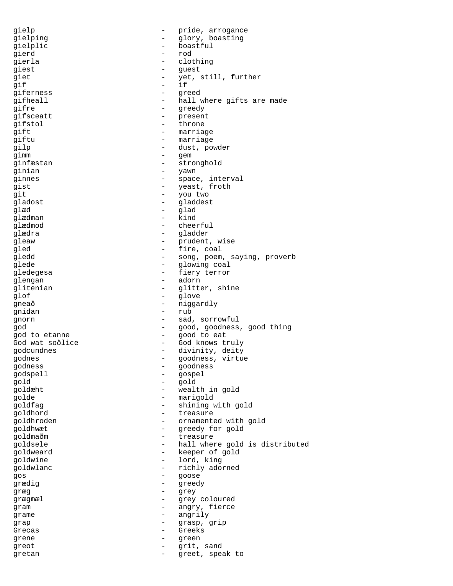gielp - pride, arrogance gielping  $-$  glory, boasting gielplic - boastful - boastful gierd - rod gierla - clothing - clothing giest - guest<br>
giet - vet giet - yet, still, further<br>gif - if gif - if giferness - greed gifheall  $-$  hall where gifts are made gifre - greedy - present gifstol - throne gift - marriage giftu - marriage gilp - dust, powder gimm - gem ginfæstan - stronghold ginian - yawn ginnes - space, interval gist  $-$  yeast, froth git - you two gladost - gladdest glæd - glad glædman – kind<br>glædmod – cheer - cheerful glædra - gladder gleaw  $\qquad \qquad$  - prudent, wise gled - fire, coal gledd - song, poem, saying, proverb<br>glede - dowing coal glede - glowing coal gledegesa - fiery terror glengan - adorn - adorn glitenian - glitter, shine glof - glove -<br>gneað - niggardly gnidan - rub gnorn - sad, sorrowful god - good, goodness, good thing god to etanne - good to eat God wat soðlice - God knows truly godcundnes  $-$  divinity, deity godnes - goodness, virtue godness - goodness godspell - gospel gold - gold goldæht - wealth in gold golde - marigold goldfag - shining with gold goldhord - treasure goldhroden - ornamented with gold goldhwæt - greedy for gold goldmaðm - treasure goldsele - hall where gold is distributed goldweard - keeper of gold goldwine - lord, king goldwlanc - richly adorned gos - goose grædig - greedy græg - grey - grey grægmæl - grey coloured gram  $\overline{a}$  - angry, fierce grame - angrily grap - grasp, grip Grecas - Greeks grene - green greot - grit, sand gretan - greet, speak to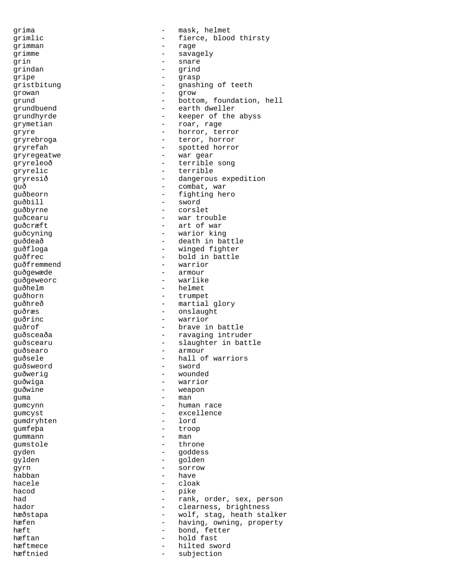grima - mask, helmet grimlic - fierce, blood thirsty<br>grimman - rage - rage grimman grimme - savagely qrin - snare grindan - grind gripe - grasp<br>
gristbitung - grasp<br>
- gnash gristbitung  $\begin{array}{ccc}\n\text{gristability} & - & \text{gnashing of teeth} \\
\text{growan} & - & \text{grow} \\
\end{array}$ growan - grow grund  $\qquad \qquad -$  bottom, foundation, hell grundbuend - earth dweller grundhyrde - keeper of the abyss grymetian - roar, rage gryre - horror, terror gryrebroga - teror, horror gryrefah - spotted horror gryregeatwe - war gear<br>gryreleoð - terrible gryreleoð - terrible song gryrelic - terrible gryresið - dangerous expedition<br>quð - combat, war guð - combat, war - fighting hero guðbill - sword guðbyrne - corslet quðcearu - war trouble quðcræft - art of war guðcyning - warior king guðdeað - death in battle guðfloga - winged fighter<br>quðfrec - bold in battle guðfrec - bold in battle guðfremmend - warrior guðgewæde<br>guðgeweorc guðgeweorc - warlike - warlike - warlike - warlike - warlike - warlike - warlike - warlike - warlike - warlike - warlike - warlike - warlike - warlike - warlike - warlike - warlike - warlike - warlike - warlike - warlike guðhelm - helmet<br>quðhorn - trumpet - trumpet guðhreð - martial glory guðræs - onslaught guðrinc - warrior guðrof - brave in battle guðsceaða - ravaging intruder guðscearu - slaughter in battle<br>quðsearo - samour - slaughter in battle guðsearo - armour - armour - armour - armour - armour - armour - armour - armour - armour - armour - armour - <br>Tagairtí guðsele - hall of warriors guðsweord - sword guðwerig - wounded guðwiga guðwine - weapon guma - man - man - man - man - man - man - man - man - man - man - man - man - man - man - man - man - man - man - man - man - man - man - man - man - man - man - man - man - man - man - man - man - man - man - man - man -- human race gumcyst - excellence gumdryhten gumfeþa - troop gummann gumstole - throne gyden - goddess gylden - golden gyrn - sorrow habban - have<br>hacele - cloa - cloak hacod - pike had  $-$  rank, order, sex, person hador  $-$  clearness brightness - clearness, brightness hæðstapa - wolf, stag, heath stalker hæfen - having, owning, property hæft - bond, fetter hæftan - bond, fetter hæftan - bond større held fast - hold fast - hold fast - hold fast hold fast hæftmece hæftmece - hilted sword hæftnied - subjection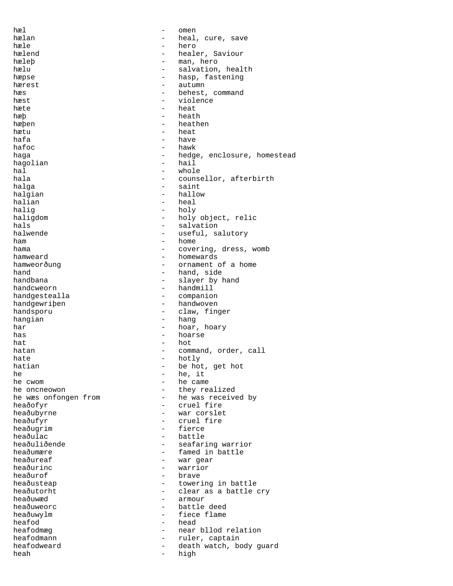hæl - omen hælan - heal, cure, save<br>hæle - hero - hero hæle - hero hælend - healer, Saviour hæleþ - man, hero hælu - salvation, health<br>hæpse - hasp, fastening - hasp, fastening<br>- autumn hærest - autumn - autumn - autumn - behest - behest, command<br>- violence hæst - violence hæte heat  $h$ æþ - heath - heath - heath - heath - heath - heath - heath - heath - heath - heath - heath - heath - heath - heath - heath - heath - heath - heath - heath - heath - heath - heath - heath - heath - heath - heath - heath hæþen - heathen - heathen hætu - heat hafa - have - have - have - have - have - have - have - have - have - have - have - have - have - have - have - have - have - have - have - have - have - have - have - have - have - have - have - have - have - have - have hafoc - hawk haga - hedge, enclosure, homestead haqolian - hedge, enclosure, homestead hagolian - hail - hail - hail - hail - hail - hail - hail - hail - hail - hail - hail - hail - hail - hail - h hal - whole hala - counsellor, afterbirth<br>halga - saint - saint halga - saint - saint - saint - saint - saint - saint - saint - saint - saint - saint - saint - saint - saint - saint - saint - saint - saint - saint - saint - saint - saint - saint - saint - saint - saint - saint - saint - hallow halian - heal haliq - holy haligdom - holy object, relic hals  $-$  salvation halwende  $-$  useful, salutory  $h$ am  $h$ am  $h$ ome  $h$ ome  $h$ ome  $h$ ome  $h$ ome  $h$ hama  $-$  covering, dress, womb hamweard - homewards<br>hamweorðung - crnament hamweorðung - ornament of a home hand - hand, side handbana - slayer by hand<br>handcweorn - slayer by hand - handmill<br>- companio handgestealla - companion handgewriþen - handwoven handsporu - claw, finger hangian - hang har - hoar, hoary has - hoarse  $\begin{tabular}{lllllllll} \multicolumn{3}{l}{} \multicolumn{3}{l}{} & \multicolumn{3}{l}{} & \multicolumn{3}{l}{} & \multicolumn{3}{l}{} & \multicolumn{3}{l}{} & \multicolumn{3}{l}{} & \multicolumn{3}{l}{} & \multicolumn{3}{l}{} & \multicolumn{3}{l}{} & \multicolumn{3}{l}{} & \multicolumn{3}{l}{} & \multicolumn{3}{l}{} & \multicolumn{3}{l}{} & \multicolumn{3}{l}{} & \multicolumn{3}{l}{} & \multicolumn{3}{l}{} & \multicolumn{3}{l}{} & \multicolumn{3}{l}{} &$ hatan  $-$  command, order, call hate - hotly<br>hatian - hotly<br>- be hot be hot, get hot he  $\qquad$  he, it he cwom  $\qquad$  - he came he cwom - he came he oncneowon<br>
he was onfongen from<br>  $\begin{array}{ccc} - &$  the was receive - he was received by heaðofyr - cruel fire heaðubyrne - war corslet heaðufyr - cruel fire heaðugrim - fierce heaðulac - battle heaðuliðende - seafaring warrior<br>heaðumære - seafaring warrior<br>- famed in battle heaðumære - famed in battle<br>heaðureaf - war gear heaðureaf - war gear<br>heaðuring - warrior heaðurinc - warrior heaðurof<br>heaðusteap - towering in battle heaðutorht - clear as a battle cry heaðuwæd - armour - battle deed heaðuwylm - fiece flame heafod - head heafodmæg - near bllod relation<br>heafodmann - near bllod relation heafodmann - ruler, captain<br>heafodweard - death watch bo heafodweard - death watch, body guard heah - high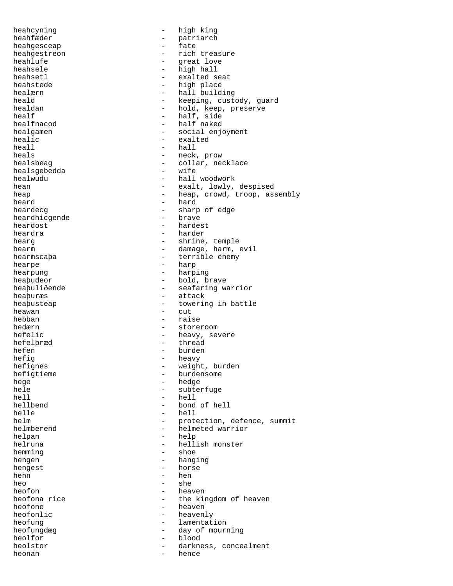heahcyning - high king heahfæder - patriarch - patriarch<br>heahqesceap - fate heahgesceap heahgestreon - rich treasure heahlufe - great love heahsele - high hall<br>heahsetl - high hall<br>heahsetl - exalted s heahsetl - exalted seat heahstede - high place<br>healærn - hall build - hall building heald - keeping, custody, guard<br>healdan - hold keep preserve healdan - hold, keep, preserve<br>healf - half side healf<br>
healfnacod<br>
healfnacod<br>  $\qquad -$  half naked - half naked healgamen - social enjoyment healic - exalted  $\begin{tabular}{ccc} hcal1 & \hspace{1.5cm} & \hspace{1.5cm} & \hspace{1.5cm} \\ \rule{0.5cm} hcal1 & \hspace{1.5cm} & \hspace{1.5cm} \\ \rule{0.5cm} hcal1 & \hspace{1.5cm} & \hspace{1.5cm} \\ \rule{0.5cm} hcal1 & \hspace{1.5cm} & \hspace{1.5cm} \\ \rule{0.5cm} hcal1 & \hspace{1.5cm} & \hspace{1.5cm} \\ \rule{0.5cm} hcal1 & \hspace{1.5cm} & \hspace{1.5cm} \\ \rule{0.5cm} hcal1 & \hspace{1.$ heals - neck, prow heals<br> - neck, prow heals<br> - collar, neck - collar, necklace<br>- wife healsgebedda<br>healwudu healwudu - hall woodwork<br>hean - exalt, lowly, hean - exalt, lowly, despised<br>heap - heap, crowd, troop, as heap - heap, crowd, troop, assembly<br>heard - hard - hard heard - hard - hard - hard - hard - hard - hard - hard - hard - hard - hard - hard - hard - hard - hard - hard - sharp of edge<br>- brave heardhicgende<br>heardost - hardest heardra - harder hearg  $-$  shrine, temple hearm - damage, harm, evil hearmscaþa - terrible enemy hearpe - harp hearpung - harping - harping heaþudeor - bold, brave heapuliðende - seafaring warrior heaþuræs - attack heaþusteap - towering in battle heawan - cut<br>hebban - rais - raise hedærn - storeroom - storeroom hefelic  $-$  heavy, severe hefelþræd - thread hefen - burden - burden - burden - burden - burden - burden - burden - burden - burden - burden - burden - burden - burden - burden - burden - burden - burden - burden - burden - burden - burden - burden - burden - burden hefig<br>
hefignes<br>
hefignes<br>
heavy<br>
heavy<br>
heavy<br>
heavy<br>
heavy<br>
heavy<br>
heavy<br>
heavy<br>
heavy<br>
heavy hefignes - weight, burden<br>hefigtieme - burdensome - burdensome - burdensome hege - hedge - hedge - hedge - hedge - hedge - hedge - hedge - hedge - hedge - hedge - hedge - hedge - hedge - hedge - hedge - hedge - hedge - hedge - hedge - hedge - hedge - hedge - hedge - hedge - hedge - hedge - hedge hele - subterfuge<br>hell - hell<br>- hell hell - hell<br>hellbend - hond hellbend - bond of hell<br>helle - hell - hell - hell helm  $\qquad \qquad -$  protection, defence, summit helmberend - helmeted warrior helpan - help helruna - hellish monster<br>hemming - shoe<br>- shoe hemming - show and the short of the short of the short of the short of the short of the short of the short of the short of the short of the short of the short of the short of the short of the short of the short of the shor hengen - hanging hengest - horse henn  $-\text{hen}$  - hen  $-\text{she}$ heo - she<br>heofon - hear heofon - heaven<br>heofona rice - the kin heofona rice - the kingdom of heaven<br>heofone - heaven<br>- heaven heofone - heaven<br>heofonlic - heaven - heavenly heofung - lamentation heofungdæg - day of mourning heolfor - blood<br>heolstor - darkne heolstor - darkness, concealment<br>heonan - hence heonan - hence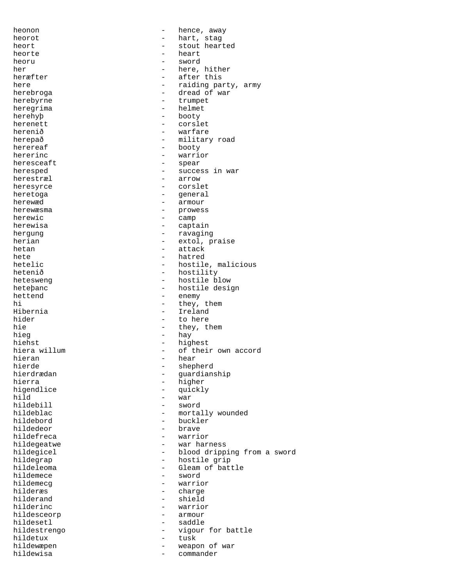heonon - hence, away heorot - hart, stag heort - stout hearted heorte - heart heoru - sword her - here, hither - after this here  $-$  raiding party, army herebroga - dread of war herebyrne - trumpet heregrima - helmet herehyþ - booty herenett - corslet herenið - warfare herepað - military road herereaf - booty hererinc - warrior - warrior - warrior - warrior - warrior - warrior - spear heresceaft heresped - success in war herestræl - arrow heresyrce - corslet heretoga - general herewæd - armour herewæsma - prowess herewic  $-$  camp herewisa - captain hergung - ravaging herian - extol, praise hetan - attack - attack hete - hatred - hatred - hetelic - hetelic - hetelic - hetelic - hetelic - hetelic - hetelic - hetelic - heteli hetelic - hostile, malicious<br>hetenið - hostility hetenið - hostility<br>hetesweng - hostile bl hetesweng - hostile blow<br>hetebanc - hostile desi - hostile design hettend - enemy hi - they, them<br>
Hibernia - they, them<br>
- Ireland Hibernia - Ireland - to here hie  $-$  they, them hieg hay - hay hiehst - highest<br>hiera willum - of their - of their own accord<br>- hear hieran - hear hierde - shepherd<br>hierdrædan - shepherd - shepherd hierdrædan - guardianship<br>hierra - guardianship<br>- higher hierra - higher higendlice - quickly<br>hild - war hild - war<br>hildebill - swou hildebill - sword - mortally wounded hildebord - buckler hildedeor - brave hildefreca - warrior hildegeatwe - war harness hildegicel - blood dripping from a sword<br>hildegrap hildegrap - hostile grip - Gleam of battle<br>- sword hildemece - sword hildemecg hilderæs - charge<br>hilderand - shield hilderand - shield<br>hilderinc - warrio - warrior<br>- armour hildesceorp hildesetl - saddle hildestrengo  $-$  vigour for battle hildetux - tusk hildewæpen - weapon of war hildewisa - commander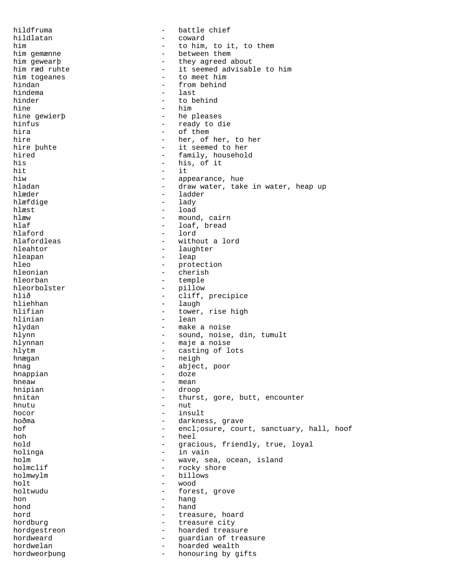hildfruma - battle chief<br>hildlatan - coward - coward - coward<br>- to him him  $-$  to him, to it, to them him gemænne  $-$  between them him gewearþ - they agreed about him ræd ruhte - it seemed advisable to him<br>him togeanes - to meet him him togeanes  $-$  to meet him hindan  $-$  from behind hindan - from behind - last hinder  $-$  to behind hine - him<br>hine gewierb - he p - he pleases hinfus - ready to die hira - of them hire  $\begin{array}{cccc} \text{hire} & - & \text{her, of her, to her} \\ \text{hire public} & - & \text{it seemed to her} \end{array}$ - it seemed to her hired - family, household<br>his - his, of it his - his, of it - his, of it - his, of it - his, of it - his, of it - his,  $\frac{1}{2}$  -  $\frac{1}{2}$  -  $\frac{1}{2}$  -  $\frac{1}{2}$  -  $\frac{1}{2}$  -  $\frac{1}{2}$  -  $\frac{1}{2}$  -  $\frac{1}{2}$  -  $\frac{1}{2}$  -  $\frac{1}{2}$  -  $\frac{1}{2}$  -  $\frac{1}{2}$  -  $\$ hit - it hiw  $\begin{array}{ccc} - & \text{appearance, hue} \\ - & \text{draw water, tak} \end{array}$ hladan - draw water, take in water, heap up<br>hlæder - ladder - ladder hlæfdige  $-$  lady hlæst - load<br>hlæw - mound hlæw - mound, cairn<br>hlaf - loaf.bread - loaf, bread hlaford - lord hlafordleas - without a lord hleahtor - laughter hleapan - leap hleo - protection - protection - protection - protection - protection - protection - protection - protection hleonian - cherish - cherish<br>hleorban - temple hleorban - temple<br>hleorbolster - pillow hleorbolster - pillow<br>hlið - cliff. hlið - cliff, precipice<br>hliehhan - cliff, precipice hliehhan - laugh<br>hlifian - tower - tower, rise high hlinian - lean hlydan - make a noise hlynn - sound, noise, din, tumult hlynnan - maje a noise hlytm - casting of lots hnægan - neigh<br>hnag - neigh<br>- abiect hnag - abject, poor hnappian - doze  $h$ neaw - mean<br>hninian - droo hnipian - droop hnitan - thurst, gore, butt, encounter hnutu - nut hocor - insult hoðma - darkness, grave hof - encl;osure, court, sanctuary, hall, hoof hoh - heel hold - gracious, friendly, true, loyal<br>holinga - - - - - - - - in vain - in vain holm  $\begin{array}{cccc}\n-\text{ wave, sea, ocean, island} \\
-\text{rocky shore}\n\end{array}$ - rocky shore<br>- billows holmwylm - billows wood holtwudu - forest, grove hon - hang<br>hond - hand - hand hord **hord -** treasure, hoard hordburg - treasure city hordgestreon - hoarded treasure<br>hordweard - quardian of treasure hordweard  $\qquad \qquad -$  guardian of treasure hordwelan - hoarded wealth hordweorþung - honouring by gifts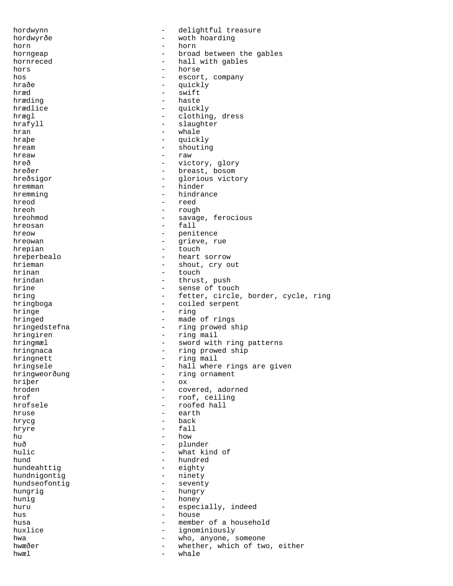hordwynn - delightful treasure hordwyrðe - woth hoarding horn - horn horngeap  $\qquad \qquad -$  broad between the gables<br>hornreced  $\qquad \qquad -$  hall with gables - hall with gables hors - horse<br>hos - escort hos - escort, company<br>hraðe - escort, company hraðe - quickly<br>hræd - swift hræd - swift<br>hræding - swift - swift hræding - haste - quickly hrægl  $\qquad \qquad -$  clothing, dress hrafyll - slaughter hran - whale hraþe - quickly hream - shouting hreaw  $-$  raw  $-$  raw  $-$  raw  $-$  raw  $-$  vict hreð - victory, glory<br>
hreðer - victory, glory<br>
- breast, bosom hreðer - breast, bosom hreðsigor - glorious victory<br>hremman - hinder - hinder hremman - hinder<br>hremming - hindrai - hindrance hreod - reed<br>hreob - rough - rough hreoh - rough<br>hreohmod - savage - savage, ferocious hreosan - fall hreow - penitence hreowan - grieve, rue hrepian - touch hreperbealo - heart sorrow<br>hrieman - shout, cry o hrieman - shout, cry out<br>hrinan - touch - touch hrinan - touch hrindan - thrust, push - sense of touch hring  $-$  fetter, circle, border, cycle, ring hringboga - coiled serpent hringe  $-$  ring hringed - made of rings hringedstefna - ring prowed ship hringiren  $-$  ring mail hringmæl - sword with ring patterns hringnaca - ring prowed ship hringnett - ring mail hringsele - hall where rings are given hringweorðung - ring ornament hriber - cx hriþer<br>hroden hroden - covered, adorned hrof - covered, adorned hrof - covered, adorned hrof - roof ceiling hrof - roof, ceiling<br>
hrofsele - roofed hall - roofed hall hruse - earth hrycg - back hryre - fall hu - how - how - how - how - how - how - how - how - how - how - how - how - how - how - how - how - how - how - how - how - how - how - how - how - how - how - how - how - how - how - how - how - how - how - how - how - h huð - plunder hulic - what kind of what kind of  $\frac{1}{2}$  - what kind of - hundred<br>- eighty hundeahttig - eighty hundnigontig - ninety hundseofontig hungrig - hungry hunig - honey<br>huru - espec - especially, indeed hus - house husa  $-$  member of a household huxlice  $-$  ignominiously hwa  $-$  who, anyone, someone hwæðer - whether, which of two, either hwæl - whale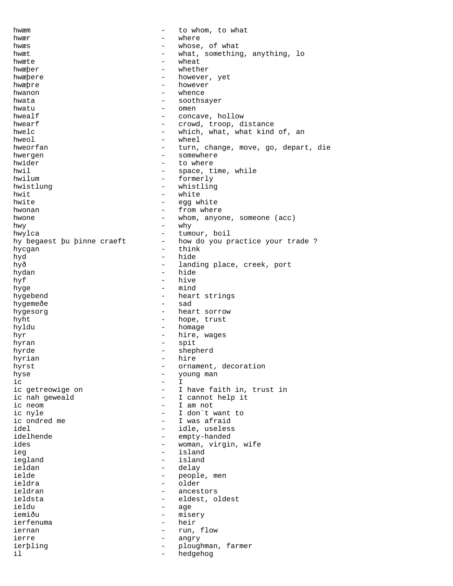hwæm  $-$  to whom, to what hwær - where hwæs  $-$  whose, of what hwæt - what, something, anything, lo hwæte - wheat hwæþer - whether<br>hwæbere - however hwæþere - however, yet<br>hwæbre - however, yet hwæþre - however<br>hwanon - whenge  $h$ wanon  $h$ wata  $h$ wata  $\frac{h}{h}$  whence hwata - soothsayer<br>hwatu - men hwatu - omen hwealf  $\begin{array}{ccc} h$ wealf  $\hline \end{array}$  - concave, hollow hwearf  $-$  crowd, troop, distance hwelc  $-$  which, what, what kind of, an hweol - wheel hweorfan - turn, change, move, go, depart, die hwergen - somewhere hwider - to where hwil  $-$  space, time, while hwilum  $-$  formerly - formerly<br>- whistling hwistlung - whistling<br>
hwit - white<br>
- white hwit - white hwite - egg white<br>hwonan - from wher hwonan  $\begin{array}{ccc} - & \text{from where} \\ - & \text{when} \\ - & \text{when} \\ \end{array}$ hwone  $\qquad \qquad -$  whom, anyone, someone (acc) hwy - why hwylca - tumour, boil hy begaest þu þinne craeft - how do you practice your trade ? hycgan - think hyd - hide hyð - landing place, creek, port<br>
hyðan - hide hydan - hide hyf - hive hyge - mind hygebend - heart strings<br>hygemeðe - sad - sad hygemeðe hygesorg  $-$  heart sorrow hyht  $-$  hope, trust hyldu - homage hyr - hire, wages hyran - spit hyrde - shepherd hyrian - hww.character.com - http://www.character.com/secondhyrst  $-$  ornament, decoration<br>hyse  $-$  young man hyse - young man ic - I  $ic$  - I ic getreowige on  $-$  I have faith in, trust in ic nah geweald  $\qquad \qquad -$  I cannot help it ic neom  $\begin{array}{ccc} - & I \text{ am not} \\ - & I \text{ don't} \end{array}$ ic nyle - I don´t want to ic ondred me  $-I$  was afraid idel - idle, useless idelhende - empty-handed ides  $-$  woman, virgin, wife ieg - island iegland - islaministic to the set of the set of the set of the set of the set of the set of the set of the set o<br>In the set of the set of the set of the set of the set of the set of the set of the set of the set of the set ieldan - delay ielde - people, men - older<br>- ancesi ieldran - ancestors<br>ieldsta - eldest o ieldsta - eldest, oldest ieldu - age iemiðu - misery ierfenuma - heir iernan - run, flow ierre - angry ierþling - ploughman, farmer il and the set of the set of the set of the set of the set of the set of the set of the set of the set of the s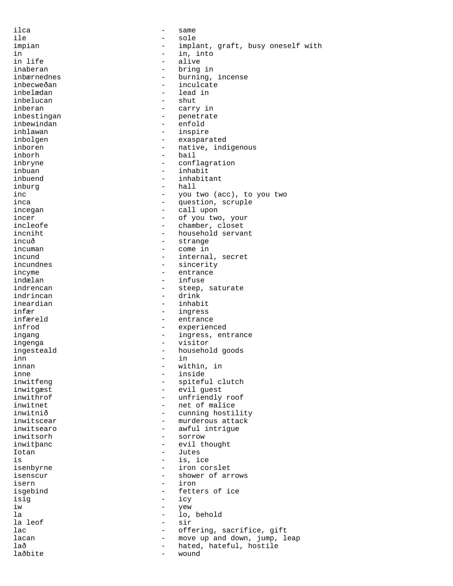ilca - same ile - sole impian  $-$  implant, graft, busy oneself with in in into the set of the set of the set of the set of the set of the set of the set of the set of the set of t<br>in life set of the set of the set of the set of the set of the set of the set of the set of the set of the set in life - alive - alive - alive - alive - alive - alive - alive - alive - alive - alive - alive - alive - aliv inaberan - bring in inbærnednes - burning, incense inbecweðan - inculcate - lead in<br>- shut inbelucan inberan - carry in inbestingan - penetrate inbewindan inblawan - inspire inbolgen - exasparated inboren 1989 - native, indigenous inborh - bail<br>inbrvne - conf inbryne - conflagration<br>
inbuan - inbabit inbuan - inhabit inbuend - inhabitant<br>inburg - hall - hall inburg - hall - hall - you - you two (acc), to you two<br>- guestion scruple inca  $\qquad \qquad -$  question, scruple incegan - call upon incer  $\begin{array}{ccc} - & - & \text{of you two, your} \\ - & \text{chamber. closest} \end{array}$ - chamber, closet incniht - household servant incuð - strange incuman - come in incund  $\begin{array}{ccc} - & \text{internal, secret} \\ - & \text{sincerity} \end{array}$ incundnes - sincerity<br>incyme - entrance incyme - entrance<br>indælan - entrance<br>- infuse indælan - infuse - steep, saturate indrincan - drink ineardian - inhabit infær - ingress infæreld - entrance infrod - experienced ingang  $-$  ingress, entrance ingenga - visitor - visitor<br>ingesteald - - - - - - - - - househol ingesteald  $\qquad \qquad -$  household goods<br>inn inn - in innan - within, in inne - within, in inne - within, in in inne - withing in the matrice of the matrice of the <br>
inne - inside inne - inside<br>inwitfeng - inside - spitefu inwitfeng  $\begin{array}{ccc} - & \text{spiteful club} \\ \text{inwity} \end{array}$ inwitgæst - evil guest<br>inwithrof - unfriendly - unfriendly roof inwitnet - net of malice - cunning hostility inwitscear - murderous attack inwitsearo - awful intrigue inwitsorh - sorrow inwitþanc - evil thought Iotan - Jutes<br>
is a local contract the set of the set of the set of the set of the set of the set of the set of the set of t<br>
is a local contract of the set of the set of the set of the set of the set of the set of the set is is the issen<br>isenbyrne the contract of the contract of the iron contract of the iron contract of the interval of the interv<br>interval of the interval of the interval of the interval of the interval of the interval of the isenbyrne - iron corslet<br>isenscur - shower of art isenscur - shower of arrows<br>isern - iron - iron - iron<br>- fette isgebind - fetters of ice<br>
isia isig - icy iw - yew la - lo, behold la leof - sir lac  $\qquad \qquad -$  offering, sacrifice, gift lacan - move up and down, jump, leap lað  $-$  hated, hateful, hostile laðbite - wound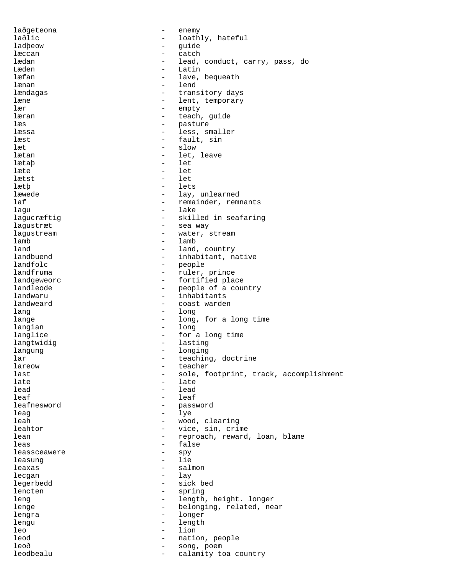| laðgeteona   |                          | enemy                                  |
|--------------|--------------------------|----------------------------------------|
| laðlic       | $\overline{\phantom{0}}$ | loathly, hateful                       |
| ladbeow      | -                        | quide                                  |
| læccan       | -                        | catch                                  |
| lædan        | $\qquad \qquad -$        | lead, conduct, carry, pass, do         |
| Læden        | $\qquad \qquad -$        | Latin                                  |
| læfan        | $\qquad \qquad -$        | lave, bequeath                         |
| lænan        | $\qquad \qquad -$        | lend                                   |
| lændagas     | $\qquad \qquad -$        | transitory days                        |
| læne         | $\overline{\phantom{m}}$ | lent, temporary                        |
| lær          | $\qquad \qquad -$        | empty                                  |
| læran        | $\qquad \qquad -$        | teach, guide                           |
| læs          | $\qquad \qquad -$        | pasture                                |
| læssa        | $\qquad \qquad -$        | less, smaller                          |
| læst         | $\overline{\phantom{0}}$ | fault, sin                             |
| læt          | $\qquad \qquad -$        | slow                                   |
| lætan        | $\qquad \qquad -$        | let, leave                             |
| lætaþ        | $\overline{\phantom{0}}$ | let                                    |
| læte         | $\overline{\phantom{0}}$ | let                                    |
| lætst        | $\overline{\phantom{0}}$ | let                                    |
| lætþ         | $\overline{\phantom{0}}$ | lets                                   |
| læwede       | $\overline{\phantom{m}}$ | lay, unlearned                         |
| laf          | -                        | remainder, remnants                    |
| laqu         | $\qquad \qquad -$        | lake                                   |
|              | -                        | skilled in seafaring                   |
| lagucræftig  |                          |                                        |
| lagustræt    | $\qquad \qquad -$        | sea way                                |
| laqustream   | $\qquad \qquad -$        | water, stream                          |
| lamb         | -                        | lamb                                   |
| land         | $\qquad \qquad -$        | land, country                          |
| landbuend    | $\qquad \qquad -$        | inhabitant, native                     |
| landfolc     | $\overline{\phantom{m}}$ | people                                 |
| landfruma    | $\qquad \qquad -$        | ruler, prince                          |
| landgeweorc  | $\qquad \qquad -$        | fortified place                        |
| landleode    | $\qquad \qquad -$        | people of a country                    |
| landwaru     | $\overline{\phantom{m}}$ | inhabitants                            |
| landweard    | $\overline{\phantom{m}}$ | coast warden                           |
| lang         | $\overline{\phantom{0}}$ | long                                   |
| lange        | $\qquad \qquad -$        | long, for a long time                  |
| langian      | $\overline{\phantom{a}}$ | long                                   |
| langlice     | $\overline{\phantom{0}}$ | for a long time                        |
| langtwidig   | $\qquad \qquad -$        | lasting                                |
| langung      | $\qquad \qquad -$        | longing                                |
| lar          |                          | teaching, doctrine                     |
| lareow       | -                        | teacher                                |
| last         | -                        | sole, footprint, track, accomplishment |
| late         |                          | late                                   |
| lead         | $\overline{\phantom{0}}$ | lead                                   |
| leaf         | $\qquad \qquad -$        | leaf                                   |
| leafnesword  | -                        | password                               |
| leag         | -                        | lye                                    |
| leah         | $\qquad \qquad -$        | wood, clearing                         |
| leahtor      | -                        | vice, sin, crime                       |
| lean         | -                        | reproach, reward, loan, blame          |
| leas         | -                        | false                                  |
| leassceawere | -                        | spy                                    |
| leasung      | $\qquad \qquad -$        | lie                                    |
| leaxas       | -                        | salmon                                 |
| lecgan       | $\qquad \qquad -$        | lay                                    |
| legerbedd    | $\qquad \qquad -$        | sick bed                               |
| lencten      | $\qquad \qquad -$        | spring                                 |
| leng         | $\overline{\phantom{0}}$ | length, height. longer                 |
| lenge        | $\overline{\phantom{0}}$ | belonging, related, near               |
| lengra       | $\qquad \qquad -$        | longer                                 |
| lengu        | $\qquad \qquad -$        | length                                 |
| leo          | $\overline{\phantom{0}}$ | lion                                   |
| leod         | -                        |                                        |
| leoð         |                          | nation, people                         |
|              | -                        | song, poem                             |
| leodbealu    | $\qquad \qquad -$        | calamity toa country                   |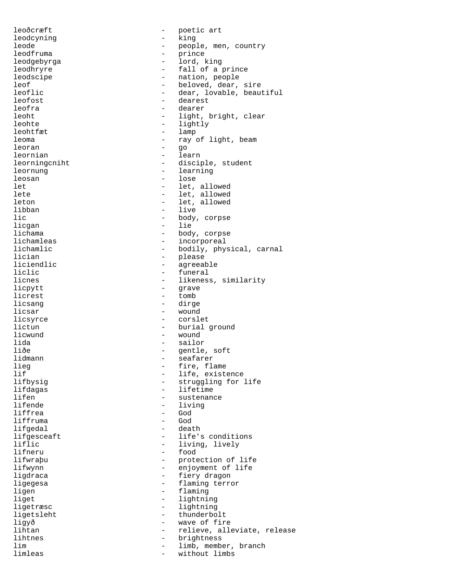leoðcræft - poetic art leodcyning - king leode - people, men, country<br>leodfruma - people, men, country leodfruma - prince leodgebyrga - lord, king leodhryre - fall of a prince leodscipe - nation, people<br>leof - heloved, dear, leof  $\overline{\phantom{a}}$  leof  $\overline{\phantom{a}}$  beloved, dear, sire leoflic - dear, lovable, beautiful leofost - dearest leofra - dearer leoht - light, bright, clear leohte - lightly - lightly - lightly - lightly - lightly - lightly - lightly - lightly - lightly - lightly - lightly - lightly - lightly - lightly - lightly - lightly - lightly - lightly - lightly - lightly - lightly - lig leohtfæt - lamparister - lamparister - lamparister - lamparister - lamparister - lamparister - lamparister - l leoma - ray of light, beam leoran - go leornian - learn<br>leorningcniht - discir leorningcniht - disciple, student<br>leornung leornung - learning leosan<br>let let - let, allowed - let, allowed leton - let, allowed libban - live lic - body, corpse licgan - lie lichama - body, corpse lichamleas - incorporeal lichamlic - bodily, physical, carnal<br>lician - please lician - please liciendlic - agreeable liclic - funeral - funeral - funeral - funeral - funeral - funeral - funeral - funeral - funeral - funeral - funeral - funeral - funeral - funeral - funeral - funeral - funeral - funeral - funeral - funeral - funeral - fun licnes - likeness, similarity<br>licpytt - grave - grave licpytt - grave<br>licrest - tomb - tomb - tomb licsang - dirge licsar - wound licsyrce - corslet lictun - burial ground licwund - wound lida - sailor liðe - gentle, soft<br>lidmann - seafarer - seafarer - seafarer<br>- fire fla lieg - fire, flame lif  $\overline{\phantom{a}}$  - life, existence<br>lifbysig - struggling for : lifbysig - struggling for life lifdagas - lifetime<br>lifen - sustenand lifen - sustenance<br>lifende - sustenance<br>- living lifende - living - God liffruma - God lifgedal - death lifgesceaft - life's conditions<br>liflic - living, lively liflic  $\qquad \qquad -$  living, lively lifneru  $\qquad \qquad -$  food - food lifwraþu - protection of life lifwynn - enjoyment of life - fiery dragon ligegesa  $-$  flaming terror ligen - flaming liget - lightning ligetræsc - lightning ligetsleht - thunderbolt ligyð - wave of fire lihtan - relieve, alleviate, release lihtnes - brightness lim  $-$  limb, member, branch limleas - without limbs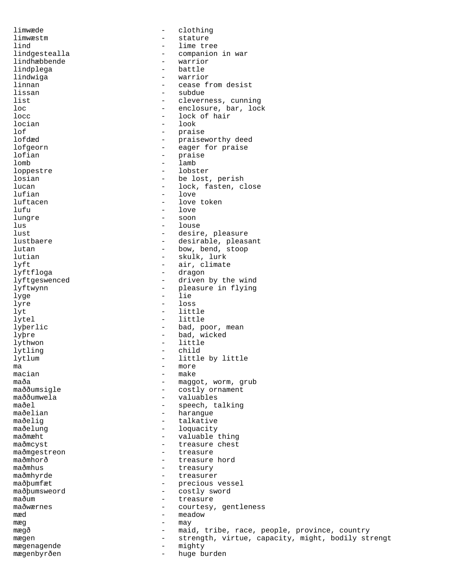limwæde - clothing limwæstm – stature – stature – stature – stature – stature – stature – stature – stature – stature – stature – lind - lime tree - companion in war<br>- warrior lindhæbbende - warrior - warrior - warrior - warrior - warrior - warrior - warrior - warrior - warrior - warrio<br>
- battle lindplega - battle battle - battle - battle - battle - battle - battle - battle - battle - battle - battle - b lindwiga<br>linnan linnan - cease from desist lissan - subdue<br>list - clevern list - cleverness, cunning<br>loc - enclosure bar, loc loc - enclosure, bar, lock<br>locc - lock of hair - lock of hair locian - look lof - praise lofdæd - praiseworthy deed lofgeorn - eager for praise lofian - praise - lamb<br>- lobster loppestre losian - be lost, perish<br>lucan - lock, fasten, c lucan - lock, fasten, close<br>
lufian - love<br>
- love - love luftacen - love token lufu - love lungre - soon lus - louse lust  $-$  desire, pleasure lustbaere - desirable, pleasant<br>
lutan - desirable, pleasant<br>
- bow, bend, stoop - bow, bend, stoop lutian - skulk, lurk<br>lvft - air climate lyft - air, climate lyftfloga - dragon lyftgeswenced - driven by the wind lyftwynn - pleasure in flying lyge - lie lyre - loss lyt - little lytel - little lyþerlic - bad, poor, mean lyþre - bad, wicked lythwon - little lytling  $-$ <br>lytlum  $$ lytlum  $\begin{array}{ccc} - & \text{little by little} \\ \text{ma} & - & \text{more} \end{array}$ ma - more macian - make maða - maggot, worm, grub<br>maððumsigle - - - - - - - - - - - - - costly ornament maððumsigle - costly ornament<br>maððumwela - costly ornament maððumwela - valuables<br>maðel - speech ti maðel - speech, talking<br>maðelian - harangue - harangue maðelig - talkative maðelung - loquacity<br>maðmæht - valuable maðmæht - valuable thing maðmcyst - treasure chest<br>maðmqestreon - treasure - treasure maðmgestreon - treasure - treasure - treasure - treasure - treasure - treasure - treasure - treasure - treasure maðmhorð - treasure hord maðmhus - treasury maðmhyrde - treasure: - treasurer maðþumfæt<br>maðbumsweord - precious vessel<br>- costly sword maðþumsweord - costly sword<br>maðum - treasure maðum - treasure - treasure - treasure - treasure - treasure - treasure - treasure - treasure - treasure - treasure - treasure - treasure - treasure - treasure - treasure - treasure - treasure - treasure - treasure - treas - courtesy, gentleness mæd - meadow mæg - may mægð  $-$  maid, tribe, race, people, province, country<br>mægen – strength virtue, capacity might, bodily str mægen - strength, virtue, capacity, might, bodily strengt<br>mægenagende - mightv mægenagende - mighty<br>mægenhyrðen - huge huge h mægenbyrðen - huge burden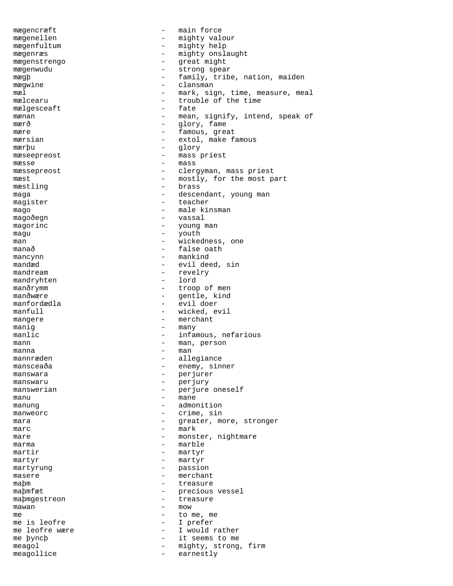mægencræft - main force mægenellen - mighty valour mægenfultum - mighty help mægenræs - mighty onslaught mægenstrengo - great might mægenwudu - strong spear<br>mægb - strong spear mægþ - family, tribe, nation, maiden mægwine - clansman<br>mæl - mark, sic mæl - mark, sign, time, measure, meal - trouble of the time<br>- fate  $m$ ælgesceaft  $-$ <br>mænan mænan - mean, signify, intend, speak of<br>
- alory, fame mærð - glory, fame mære  $-$  famous, great mærsian  $-$  extol, make famous mærþu - glory mæseepreost - mass priest  $m$ æsse  $m$ asse  $r$   $\geq$   $m$ asse  $\geq$   $m$ asse  $\geq$   $m$ mæssepreost - clergyman, mass priest<br>mæst - mostly for the most p mæst  $-$  mostly, for the most part  $\frac{1}{2}$  mæstling  $\frac{1}{2}$  maga maga  $-$  descendant, young man magister  $-$  teacher mago - male kinsman<br>magoðegn - male kinsman magoðegn - vassal - vassal - vassal - vassal - vassal - vassal - vassal - vassal - vassal - vassal - vassal - vassal - vassal - vassal - vassal - vassal - vassal - vassal - vassal - vassal - vassal - vassal - vassal - vass - young man magu - youth particles width man  $-$  wickedness, one manað  $-$  false oath mancynn - mankind mandæd - evil deed, sin<br>mandream - revelry mandream - revelry mandryhten - revelry - lord mandryhten manðrymm - troop of men manðwære en mandere en mandere mandere mandere mandere mandere mandere mandere mandere mandere mandere mandere manfordædla - evil doer manfull  $\qquad \qquad -$  wicked, evil<br>mangere  $\qquad \qquad -$  merchant mangere  $-$  merchant manig  $-$  many manlic  $\qquad \qquad -$  infamous, nefarious mann - man, person manna anns an chomhainn an chomhainn an chomhainn an chomhainn an chomhainn an chomhainn an chomhainn an chomh mannræden - allegiance mansceaða - enemy, sinner<br>manswara - enemy, sinner manswara - perjurer manswaru - perjury manswerian end and the mergin one mesself manu - mane manung - admonition manweorc and the crime, sin mara  $\qquad \qquad -$  greater, more, stronger  $\begin{array}{cccc} \texttt{marc} & \hspace{1.5cm} - & \texttt{mark} \end{array}$ mare  $\qquad \qquad -$  monster, nightmare marma - marble martir - martyr<br>martyr - martyr  $\begin{array}{ccc}\n\text{matrix} & \text{matrix} & - & \text{matrix} \\
\text{matrix} & - & \text{matrix} & - & \text{matrix} \\
\end{array}$ martyrung - passion - passion<br>masere - merchan - merchant<br>- treasure maþm - treasure maþmfæt - precious vessel<br>maþmgestreon - treasure maþmgestreon - treasure  $\frac{1}{2}$  mow  $\frac{1}{2}$  mow  $\frac{1}{2}$  mow  $\frac{1}{2}$  mow  $\frac{1}{2}$  mow  $\frac{1}{2}$  mow  $\frac{1}{2}$ me  $-$  to me, me me is leofre  $-$  I prefer me leofre wære  $\qquad \qquad -$  I would rather me þyncþ  $-$  it seems to me meagol  $-$  mighty, strong, firm meagollice - earnestly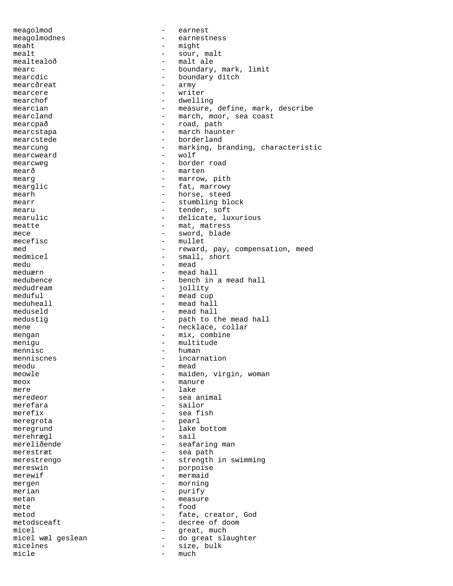meagolmod - earnest meagolmodnes - earnestness meaht - might mealt - sour, malt mealtealoð - malt ale mearc - boundary, mark, limit<br>mearcdic - boundary ditch - boundary ditch<br>- army mearcðreat<br>mearcere mearcere - writer - dwelling mearcian - measure, define, mark, describe mearcland  $-$  march, moor, sea coast mearcpað  $-$  road, path mearcstapa - march haunter mearcstede entry the borderland mearcung - marking, branding, characteristic<br>mearcweard - wolf mearcweard - wolf mearcweg extending the mearcweg border road mearð - marten mearg  $-$  marrow, pith mearglic - fat, marrowy<br>mearh - horse, steed mearh - horse, steed<br>mearr - horse, steed<br>- stumbling bl - stumbling block mearu - tender, soft mearulic  $-$  delicate, luxurious meatte  $-$  mat, matress mece - sword, blade mecefisc - mullet med - reward, pay, compensation, meed medmicel - small, short - small, short medu - mead<br>meduærn - mead meduærn - mead hall medubence  $\qquad \qquad -$  bench in a mead hall medudream  $\qquad \qquad -$  iollity - jollity meduful - mead cup<br>meduheall - mead hal - mead hall meduseld - mead hall medustig  $-$  path to the mead hall mene  $-$  necklace, collar mengan - mix, combine menigu - multitude - multitude mennisc and the mennisch of the mennisch of the mennisch of the mennisch of the mennisch of the mennisch of the mennisch of the mennisch of the mennisch of the mennisch of the mennisch of the mennisch of the mennisch of th menniscnes extensive the incarnation meodu - mead meowle  $\qquad \qquad -$  maiden, virgin, woman meox - manure mere - lake<br>meredeor - sea a - sea animal merefara - sailor<br>merefix - sea fi - sea fish meregrota - pearl meregrund - lake bottom merehrægl - sail mereliðende - seafaring man merestræt  $-$  sea path merestrengo  $-$  strength in swimming mereswin - porpoise merewif - mermaid mergen  $-\text{morning}$ <br>merian - murify merian - purify metan - measure mete food metod - fate, creator, God metodsceaft - decree of doom micel walgeslean and the set of the micel walgeslean and the set of the much contact the model of the model of the model of the model of the model of the model of the model of the model of the model of the model of the mod - do great slaughter micelnes - size, bulk<br>micle - size, bulk micle  $-\text{much}$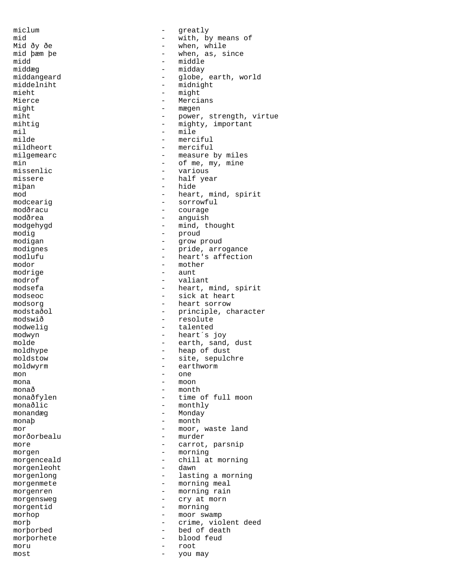midd - middle middæg - midday mieht - might might - mægen<br>miht - power mil - mile missenlic - various - various - various - various - various - various - various - various - various - various miþan - hide<br>mod - heart modig - proud modrige - aunt mon - one mona - moon monandæg - Monday  $\begin{minipage}{.4\linewidth} \texttt{month} \end{minipage} \begin{minipage}{.4\linewidth} \texttt{month} \end{minipage} \vspace{0.5cm} \begin{minipage}{.4\linewidth} \texttt{month} \end{minipage} \vspace{0.5cm} \begin{minipage}{.4\linewidth} \texttt{month} \end{minipage} \vspace{0.5cm} \begin{minipage}{.4\linewidth} \texttt{month} \end{minipage} \vspace{0.5cm} \begin{minipage}{.4\linewidth} \texttt{month} \end{minipage} \vspace{0.5cm} \begin{minipage}{.4\linewidth} \texttt{month} \end{minipage}$ morðorbealu - more morgenleoht moru - root

miclum - qreatly mid - with, by means of Mid ðy ðe - when, while mid þæm þe - when, as, since middangeard - globe, earth, world<br>middelniht - midnight middelniht - midnight<br>mieht - midni - Mercians miht<br>
mihtig<br>
- mighty.important<br>
- mighty.important - mighty, important<br>- mile milde - merciful - merciful milgemearc  $-$  measure by miles min  $\begin{array}{cccc} - & 0 & \text{if } m, m \text{ is } m, \text{if } m \text{ is } m. \end{array}$ missere - half year mod - heart, mind, spirit<br>modceariq - sorrowful - sorrowful modcearig - sorrowful modðracu - courage<br>modðrea - courage - courage - anguish modgehygd - mind, thought modigan - grow proud<br>modignes - pride, arre modignes - pride, arrogance modlufu - heart's affection<br>modor - heart's affection - mother<br>- aunt modrof - valiant modsefa - heart, mind, spirit<br>modseoc - sick at heart - sick at heart modsorg<br>modstaðol - heart sorrow<br>- principle, cl modstaðol - principle, character<br>modswið - resolute - resolute modwelig - talented modwyn - heart´s joy molde - earth, sand, dust - heap of dust<br>- site, sepulc moldstow - site, sepulchre<br>moldwyrm - earthworm - earthworm moldwyrm - earthworm - earthworm - month monaðfylen - time of full moon monaðlic - monthly mor - moor, waste land more  $\overline{a}$  - carrot, parsnip<br>morgen morgen - morning<br>morgenceald - chill at - chill at morning<br>- dawn morgenlong extending the morning term of the lasting a morning morgenmete - morning meal morgenren - morning rain morgensweg extending the cry at morn morgentid - morning morhop - moor swamp morþ - crime, violent deed<br>morborbed - bed of death morþorbed - bed of death<br>morborhete - hlood feud morþorhete - blood feud most - you may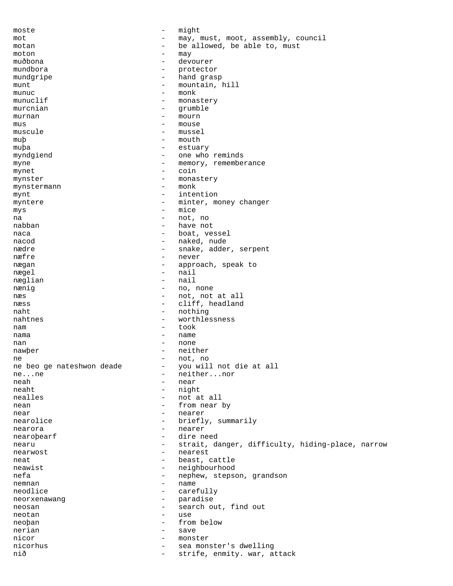moste - might mot - may, must, moot, assembly, council<br>motan - he allowed, he able to must motan - be allowed, be able to, must moton - may muðbona - devourer mundbora - protector mundgripe  $-$  hand grasp munt - mountain, hill<br>munuc - monk - monk - monk munuclif - monastery<br>murchian - crumble murcnian - grumble murnan - mourn mus - mouse muscule - mussel muþ - mouth muþa - estuary myndgiend - one who reminds myne - memory, rememberance<br>mynet - coin mynet - coin<br>mynster - monas mynster - monastery<br>mynstermann - monk - monk mynstermann mynt - intention myntere  $-$  minter, money changer mys - mice na - not, no nabban - have not naca  $-$  boat, vessel nacod - naked, nude nædre  $\qquad \qquad$  - snake, adder, serpent  $n$ æfre  $-$  never  $-$  never  $-$  never nægan - approach, speak to<br>
- approach, speak to<br>
- nail nægel – nail<br>næglian – nail – nail næglian nænig  $-$  no, none næs  $-$  not, not at all næss  $-$  cliff, headland naht - nothing<br>
nahtnes - worthles nahtnes - worthlessness nam - took nama - name - name nan - none nawþer - neither ne - not, no - you will not die at all ne...ne - neither...nor neah - near - near - near - near - near - near - near - near - near - near - near - near - near - near - near - near - near - near - near - near - near - near - near - near - near - near - near - near - near - near - near - night nealles - not at all nean - from near by near - nearer - nearer nearolice  $-$  briefly, summarily nearora - nearer - nearer - nearer - nearer - nearer - nearer - nearer - nearer - nearer - nearer - nearer - n nearoþearf - dire need nearu - strait, danger, difficulty, hiding-place, narrow nearwost - nearest<br>neat - heat - heat of neat - beast, cattle<br>neawist - heighbourhood<br>- neighbourhood neighbourhood nefa - nephew, stepson, grandson nemnan - name<br>neodlice - caret neodlice - carefully neorxenawang entry and the paradise neosan - search out, find out neotan - search out, find out neotan neoþan - from below nerian - save nicor - monster nicorhus - sea monster's dwelling<br>
nið - strife, enmity. war, a - strife, enmity. war, attack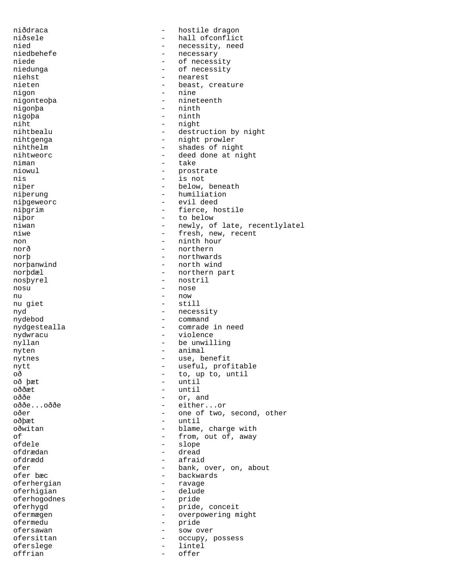niðdraca - hostile dragon niðsele - hall ofconflict nied - necessity, need niedbehefe - necessary - necessary - necessary niede - of necessity<br>
niedunga - of necessity<br>
- of necessity niedunga - of necessity<br>niehst - of necessity<br>- nearest niehst - nearest<br>nieten - beast. nieten - beast, creature<br>nigon - nine - nine - nine nigonteoþa - nineteenth higonba - nineteenth - nineteenth - nineteenth - nineteenth - nineteenth - nineteenth - nineteenth - nineteenth - nineteenth - nineteenth - nineteenth - nineteenth - nineteenth - nineteenth - ninete - ninth nigoþa - ninth - ninth - ninth - ninth - ninth - ninth - ninth - ninth - ninth - ninth - ninth - ninth - ninth - ninth - ninth - ninth - ninth - ninth - ninth - ninth - ninth - ninth - ninth - ninth - ninth - ninth - ninth - night nihtbealu - destruction by night nihtgenga - night prowler nihthelm - shades of night nihtweorc extending the contract of the deed done at night niman - take hiowul - take hiowul - take hiowul - take hiowul - take hiowul - take hiowul - take hiowul - take niowul - prostrate<br>nis - is not nis - is not niþer - below, beneath<br>niþerung - humiliation - humiliation niþgeweorc - evil deed niþgrim - fierce, hostile niþor - to below - newly, of late, recentlylatel niwe  $-$  fresh, new, recent non - ninth hour norð - northern norþ - northwards - north wind norþdæl - northern part<br>nosþyrel - nostril - nostril nosu - nose nu - now nu giet - still nyd - necessity - command nydgestealla - comrade in need<br>nydwracu - violence nydwracu - violence nyllan - be unwilling nyten - animal nytnes - use, benefit nytt  $-$  useful, profitable oð - to, up to, until oð þæt - until - until oððe - or, and oððe...oððe - either...or oðer - one of two, second, other oðþæt - until oðwitan - blame, charge with of  $\begin{array}{cccc} \texttt{of} & \texttt{if} & \texttt{if} & \texttt{if} & \texttt{if} \\ \texttt{of} & \texttt{if} & \texttt{if} & \texttt{if} & \texttt{if} & \texttt{if} \\ \texttt{of} & \texttt{if} & \texttt{if} & \texttt{if} & \texttt{if} & \texttt{if} \end{array}$ ofdele - slope ofdrædan - dread ofdrædd - afraid ofer - bank, over, on, about ofer bæc - backwards<br>- ravage oferhergian - ravage oferhigian - ravage oferhigian - ravage - ravage - ravage - ravage - ravage - ravage - ravage - ravage - ravage - ravage - ravage - ravage - ravage - ravage - ravage - ravage - ravage - ravage - ravage oferhigian - delude<br>oferhogodnes - pride oferhogodnes oferhygd - pride, conceit ofermægen - overpowering might ofermedu - pride ofersawan - sow over<br>
ofersittan - codupy relationships and the codupy of ofersittan - occupy, possess oferslege - lintel offrian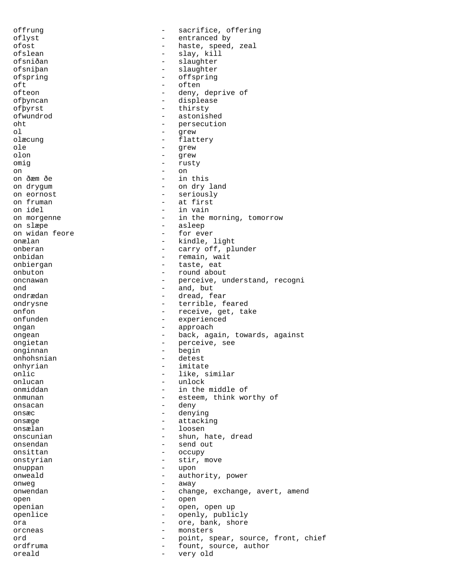offrung - sacrifice, offering oflyst - entranced by ofost - haste, speed, zeal ofslean - slay, kill ofsniðan - slaughter<br>
ofsniban - slaughter ofsniþan - slaughter<br>ofspring - slaughter<br>- offspring ofspring - offspring - offspring<br>
oft oft - often<br>ofteon - deny, - deny, deprive of ofþyncan - displease ofþyrst - thirsty ofwundrod - astonished oht - persecution ol - grew olæcung - flattery ole - grew olon - grew omig - rusty<br>on - on on - on on ðæm ðe - in this<br>on drygum - - on dry on drygum  $-$  on dry land<br>on eornost  $-$  seriously - seriously on fruman  $\begin{array}{ccc} - & 1 & - \\ - & 1 & - \\ - & 1 & - \\ 0 & - & 1 \end{array}$ - in vain on morgenne  $\qquad \qquad -$  in the morning, tomorrow on slæpe - asleep on widan feore  $-$  for ever onælan - kindle, light onberan - carry off, plunder onbidan - remain, wait<br>
onbiergan - remain, wait<br>
- taste, eat - taste, eat onbuton - round about oncnawan - perceive, understand, recogni ond - and, but ondrædan er med en større og ble dread, fear ondrysne - terrible, feared onfon - receive, get, take onfunden - experienced ongan - approach ongean - back, again, towards, against<br>ongietan - perceive, see ongietan - perceive, see<br>
onginnan - begin<br>
- begin onginnan - begin onhohsnian - detection on the set of the set of the set of the set of the set of the set of the set of the set of the set of the set of the set of the set of the set of the set of the set of the set of the set of the set o onhyrian - imitate<br>
onlic - like, s onlic - like, similar<br>onlucan - like, similar<br>- unlock - unlock onmiddan - in the middle of onmunan - esteem, think worthy of onsacan deny and the deny on the deny of the deny of the deny of the deny of the deny of the deny of the deny of the deny of the deny of the deny of the deny of the deny of the deny of the deny of the deny of the deny of t onsæc - denying onsæge en attacking onsælan - loosen onscunian - shun, hate, dread<br>onsendan - send out onsendan - send out onsittan - occupy<br>onstyrian - stir i onstyrian - stir, move<br>
onuppan - upon onuppan - upon onweald - authority, power<br>
onweg onweg - away onwendan - change, exchange, avert, amend<br>open open - open openian - open, open up openlice - openly, publicly ora - ore, bank, shore orcneas - monsters ord  $-$  point, spear, source, front, chief ordfruma - fount, source, author oreald - very old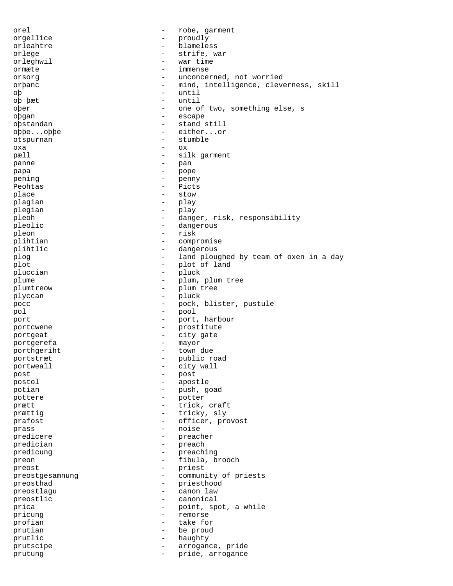orel  $\qquad \qquad -$  robe, garment orgellice - proudly orleahtre - blameless orlege - strife, war<br>orleghwil - war time orleghwil - war time ormæte - immense orsorg example and the concerned, not worried orþanc - mind, intelligence, cleverness, skill oþ - until - until - until - until - until - until - until - until - until - until - until - until - until - until - until - until - until - until - until - until - until - until - until - until - until - until - until - u oþ þæt oþer - one of two, something else, s oþgan - escape - stand still oþþe...oþþe - either...or otspurnan - stumble oxa - ox pæll  $-$  silk garment panne - pan<br>nana - pan papa - pope pening - penny<br>Bechtas - Picts Peohtas - Picts<br>place - Stow place - stow plagian - play plegian - play pleoh - danger, risk, responsibility pleolic  $\qquad \qquad -$  dangerous pleon - risk plihtian - compromise plihtlic - dangerous plog  $-$  land ploughed by team of oxen in a day<br> $-$  plot of land plot  $\begin{array}{ccc} \text{plot} & - & \text{plot of land} \\ \text{blue} & - & \text{blue} \\ \end{array}$ pluccian - pluck<br>nlume - plum plume - plum, plum tree<br>
- plum, plum tree plumtreow - plum tree plyccan - pluck pocc and the pock, blister, pustule is the pock, blister, pustule pol - pool port  $-$  port, harbour portcwene  $\qquad \qquad -$  prostitute portgeat - city gate portgerefa - mayor<br>porthoeriht - mayor<br>porthoeriht - town porthgeriht - town due portstræt - public road portweall  $-$  city wall post - post postol - apostle potian - push, goad pottere - potter prætt  $-$  trick, craft prættig  $-$  tricky, sly prafost  $-$  officer, provost prass - noise<br>
predicere<br>
- preach predicere - preacher predician - preach predicung  $\begin{array}{ccc} - & - & - \\ - & - & - \\ - & - & - \end{array}$  preaching preon - fibula, brooch preost<br>
preostaesamnung<br>
- communic preostgesamnung - community of priests preosthad  $\begin{array}{ccc} 1 & - & - & - \\ 0 & - & - & - \\ 0 & - & - & - \\ 0 & - & - & - \\ 0 & - & - & - \\ 0 & - & - & - \\ 0 & - & - & - \\ 0 & - & - & - \\ 0 & - & - & - \\ 0 & - & - & - \\ 0 & - & - & - \\ 0 & - & - & - \\ 0 & - & - & - \\ 0 & - & - & - \\ 0 & - & - & - \\ 0 & - & - & - \\ 0 & - & - & - \\ 0 & - & - & - \\ 0 & - & - & - \\ 0 & - & - & - \\ 0 & - & - & - \\ 0 & - & - & - \\ 0 & - &$ preostlagu preostlic  $\qquad \qquad -$  canonical prica  $\qquad \qquad -$  point, spot, a while pricung  $-$  remorse profian  $\qquad$  - take for prutian - be proud prutlic - haughty prutscipe  $\qquad \qquad -$  arrogance, pride prutung  $-$  pride, arrogance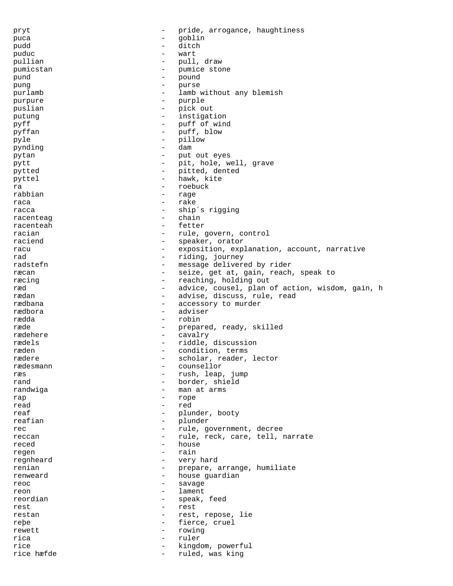pryt - pride, arrogance, haughtiness puca - goblin pudd - ditch puduc - wart pullian - pull, draw - pumice stone<br>- pound pund - pound - pound - pound - pound - pound - pound - pound - pound - pound - pound - pound - pound - pound - pound - pound - pound - pound - pound - pound - pound - pound - pound - pound - pound - pound - pound - pound pung - purse purlamb - lamb without any blemish purpure - purple puslian - pick out -<br>putung - instigation pyff - puff of wind pyffan - puff, blow pyle - pillow pynding - dam pytan - put out eyes<br>
put the put out eyes<br>
- put hole with pytt  $-$  pit, hole, well, grave<br>  $-$  pitted, dented pytted  $-$  pitted, dented pyttel - hawk, kite ra - roebuck extension - roebuck extension - roebuck extension - roebuck extension - roebuck extension - roebuck extension - roebuck extension - roebuck extension - roebuck extension - roebuck extension - roebuck extension - rage raca - rake - rake racca - ship´s rigging<br>racenteag - ship´s rigging<br>- chain racenteag racenteah - fetter racian - rule, govern, control raciend  $-$  speaker, orator racu components are exposition, explanation, account, narrative rad - riding, journey<br>
radstefn - message deliver radstefn - message delivered by rider<br>ræcan - seize get at gain reach ræcan and the seize, get at, gain, reach, speak to ræcing  $-$  reaching, holding out ræd - advice, cousel, plan of action, wisdom, gain, h - advise, discuss, rule, read rædbana - accessory to murder rædbora - adviser rædda - robin ræde  $-$  prepared, ready, skilled rædehere - cavalry rædels <br/> - riddle, discussion ræden - condition, terms<br>rædere - scholar reader rædere - scholar, reader, lector<br>rædesmann - counsellor rædesmann - counsellor<br>ræs - rush leap ræs - rush, leap, jump - border, shield randwiga - man at arms rap  $\begin{array}{ccc} & - & & - & \text{rope} \\ & & - & & \text{rope} \\ \text{read} & & & - & \text{red} \end{array}$ read - red reaf  $-$  plunder, booty reafian - plunder rec  $-$  rule, government, decree reccan - rule, reck, care, tell, narrate reced - house regen - rain - rain regnheard - very hard<br>renian - prepare renian - prepare, arrange, humiliate renweard  $\qquad \qquad$  - house guardian reoc - savage reon - lament<br>reordian - speak. - speak, feed rest  $-$  rest restan - rest, repose, lie reþe - fierce, cruel rewett - rowing rica - ruler rice  $\begin{array}{ccc} \texttt{rice} & \texttt{if} & \texttt{if} & \texttt{if} \\ \texttt{rice} & \texttt{f} & \texttt{if} & \texttt{if} & \texttt{if} \\ \end{array}$ - ruled, was king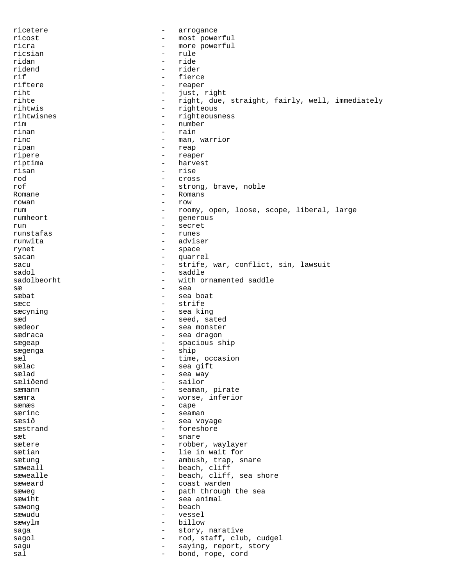ricetere - arrogance ricost - most powerful ricra - more powerful<br>ricsian - rule - rule ricsian - rule ridan - ride ridend - rider<br>rif - rider - rider rif  $\qquad \qquad \qquad$  - fierce riftere  $\qquad \qquad \qquad$  - reaper riftere - reaper riht - just, right<br>rihte - right - right due. - right, due, straight, fairly, well, immediately rihtwis - righteous rihtwisnes - righteousness rim - number rinan - rain rinc  $\qquad \qquad -$  man, warrior ripan - reap ripere - reaper riptima - harvest risan - rise<br>rod - rise rod - cross - cross - cross - cross - cross - cross - cross - cross - cross - cross - cross - cross - cross - - strong, brave, noble Romane - Romans rowan - row - row rum - roomy, open, loose, scope, liberal, large rumheort - generous run - secret runstafas - runes runwita - adviser rynet - space sacan - quarrel - quarrel - quarrel - quarrel - quarrel - quarrel - quarrel - quarrel - quarrel - quarrel - quarrel - quarrel - quarrel - quarrel - quarrel - quarrel - quarrel - quarrel - quarrel - quarrel - quarrel - quar sacu - strife, war, conflict, sin, lawsuit saddle sadolbeorht - with ornamented saddle  $s$ æ  $-$  sea sæbat - sea boat sæcc - strife sæcyning  $-$  sea king sæd - seed, sated sædeor - sea monster sædraca - sea dragon sægeap - spacious ship sægenga - ship - ship - ship - ship - ship - ship - ship - ship - ship - ship - ship - ship - ship - ship - sh sæl - time, occasion sælac - sea gift sælad - sea way - sailor sæmann - seaman, pirate sæmra  $-$  worse, inferior sænæs - cape - seaman sæsið  $-$  sea voyage sæstrand - foreshore sæt - snare sætere  $\qquad \qquad - \quad$ robber, waylayer sætian - lie in wait for sætung - ambush, trap, snare<br>sæweall - heach cliff sæweall  $-$  beach, cliff sæwealle  $\qquad \qquad$  - beach, cliff, sea shore sæweard <br />
sæweard <br />
- coast warden sæweg  $\begin{array}{ccc} \text{saweg} & - & \text{path through the sea} \\ \text{sawiht} & - & \text{sca animal} \end{array}$ sæwiht  $-$  sea animal  $s$ æwong – beach – beach – beach – beach – beach – beach – beach – beach – beach – beach – beach – beach – beach – beach – beach – beach – beach – beach – beach – beach – beach – beach – beach – beach – beach – beach – be sæwudu - vessel sæwylm - billow saga  $-$  story, narative sagol - rod, staff, club, cudgel sagu  $-$  saying, report, story sal and the sale of the bond, rope, cord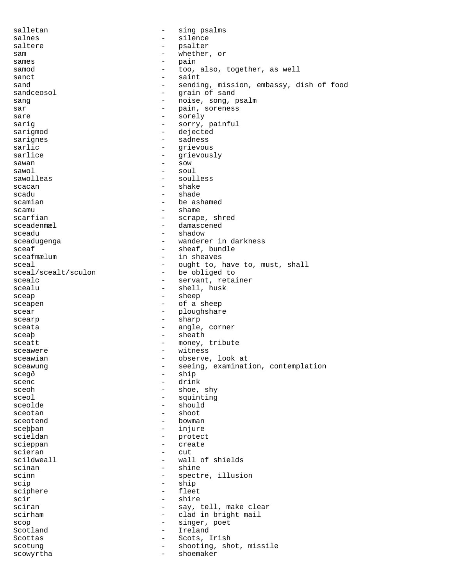salletan - sing psalms salnes - silence<br>saltere - saltere - psalter saltere - psalter sam - whether, or sames - pain samod - too, also, together, as well<br>sanct sanct - saint sand - sending, mission, embassy, dish of food sandceosol - qrain of sand - grain of sand sang  $-$  noise, song, psalm sar - pain, soreness sare - sorely sarig  $-$  sorry, painful sarigmod - dejected sarignes - sadness sarlic - grievous sarlice - grievously<br>sawan - sow  $sawan$  - sow - sow - sow - sow sawol - soul - soulless scacan - shake - shade scamian - be ashamed - be ashamed - be ashamed - shame scamu - shame - shame - shame - shame - shame - shame - shame - shame - shame - shame - shame - shame - shame - shame - shame - shame - shame - shame - shame - shame - shame - shame - shame - shame - shame - shame - shame scarfian - scrape, shred<br>sceadenmæl - damascened - damascened sceadu - shadow - shadow sceadugenga - wanderer in darkness sceaf - sheaf, bundle sceafmælum  $-$  in sheaves sceal - ought to, have to, must, shall<br>sceal/scealt/sculon - be obliged to - be obliged to scealc - servant, retainer - shell, husk sceap - sheep sceapen - of a sheep scear - ploughshare - ploughshare scearp - sharp sceata - angle, corner sceaþ - sheath sceatt - money, tribute sceawere - witness sceawian - observe, look at sceawung examination, contemplation scegð - ship scenc - drink<br>sceoh - shoe, - shoe, shy sceol extended to the squinting the squinting sceolde - should - shoot sceotend - bowman - bowman sceþþan - injure scieldan - protect scieppan - create<br>scieran - cut scieran - cut-<br>scildweall - cutscildweall - wall of shields scinan - shine<br>scinn - spectr - spectre, illusion scip - ship sciphere - fleet<br>scir - shire<br>- shire scir - shire - shire - shire - shire - shire - shire - shire - shire - shire - shire - shire - shire - shire - shire - shire - shire - shire - shire - shire - shire - shire - shire - shire - shire - shire - shire - shire -- say, tell, make clear scirham - clad in bright mail scop - singer, poet Scotland - Ireland Scottas - Scots, Irish scotung  $\qquad \qquad -$  shooting, shot, missile scowyrtha - shoemaker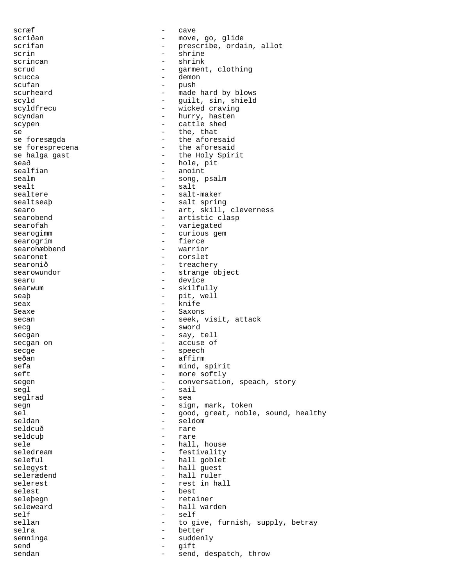scræf - cave scriðan - move, go, glide<br>scrifan - move, go, glide scrifan - prescribe, ordain, allot scrin - shrine scrincan - shrink<br>scrud - shrink<br>- garment scrud - garment, clothing<br>scucca - demon<br>- demon scucca – demon<br>scuten – mush scufan - push - made hard by blows scyld - guilt, sin, shield scyldfrecu - wicked craving scyndan - hurry, hasten scypen - cattle shed se  $-$  the, that se foresægda <br/> - the aforesaid <br/> - the aforesaid se foresprecena  $\begin{array}{ccc} - & \text{the} \text{ aforesaid} \\ \text{se halga gast} & - & \text{the Holy Spir} \end{array}$ - the Holy Spirit seað - hole, pit<br>sealfian - hole, pit<br>anoint - anoint - anoint sealm - song, psalm sealt - salt - salt-maker sealtseaþ - salt spring searo - art, skill, cleverness<br>searobend - artistic clasp - artistic clasp searofah - variegated searogimm - curious gem searogrim - fierce<br>searohæbbend - warrior searohæbbend – warrior – warrior – warrior – warrior – warrior – warrior – warrior – warrior – warrior – warrior – warrior – warrior – warrior – warrior – warrior – warrior – warrior – warrior – warrior – warrior – warrior searonet - corslet<br>searonið - treache: searonið <br/> - treachery searowundor extraordinate the strange object searu - device searwum - skilfully seaþ - pit, well seax - knife Seaxe - Saxons secan - seek, visit, attack secg - sword secgan - say, tell secgan on  $\qquad$  - accuse of secge - speech seðan - affirm sefa - mind, spirit<br>seft - more softly - more softly segen - conversation, speach, story segl - sail seglrad segn - sign, mark, token sel end on the good, great, noble, sound, healthy seldan - seldom - seldom seldcuð - rare seldcuþ - rare sele - hall, house - festivality seleful - hall goblet selegyst - hall guest selerædend - hall ruler - rest in hall selest - best seleþegn - retainer seleweard - hall warden self - self sellan - to give, furnish, supply, betray<br>selra - hetter selra  $-$  better semninga - suddenly send - gift sendan - send, despatch, throw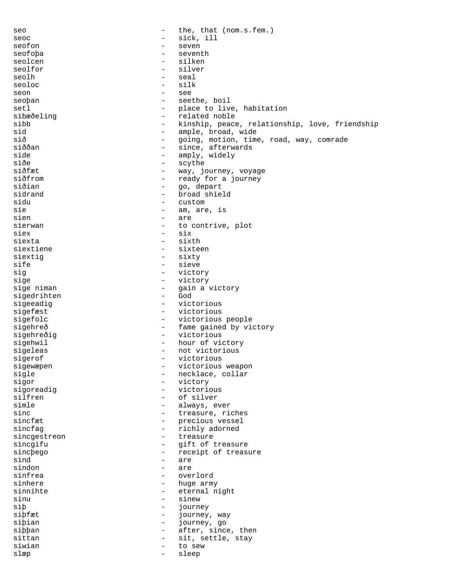seo  $-$  the, that (nom.s.fem.) seoc - sick, ill seofon - sick, ill seofon - seven seofon seofoþa - seventh seolcen - silken - silken - silken - silken - silken - silken - silken - silken - silken - silken - silken - silken - silken - silken - silken - silken - silken - silken - silken - silken - silken - silken - silken - silke seolfor - silver seolh - seal seoloc - silk seon - see seoþan - seethe, boil setl - place to live, habitation - related noble sibb - kinship, peace, relationship, love, friendship sid - ample, broad, wide sið - going, motion, time, road, way, comrade<br>siððan - since, afterwards siððan - since, afterwards<br>side - since, afterwards<br>- amply, widely side - amply, widely<br>siðe - scythe siðe - scythe - scythe - scythe - scythe - scythe - scythe - scythe - scythe - scythe - scythe - scythe - scythe - scythe - scythe - scythe - scythe - scythe - scythe - scythe - scythe - scythe - scythe - scythe - scythe siðfæt - way, journey, voyage siðfrom - ready for a journey<br>siðian - ready for a journey siðian - go, depart<br>sidrand - - broad shiel sidrand - broad shield<br>sidu - custom - custom sidu - custom - custom - custom - custom - custom - custom - custom - custom - custom - custom - custom - custom - custom - custom - custom - custom - custom - custom - custom - custom - custom - custom - custom - custom sie  $-$  am, are, is<br>sien  $-$  are  $\begin{array}{cc} - & \text{are} \\ - & \text{to} \end{array}$ sierwan - to contrive, plot siex - six siexta - sixth siextiene - sixteen siextig - sixty sife - sieve<br>sig - sieve<br>- victo sig - victory sige 1990 - victory<br>sige niman 1991 - sige niman - gain a victory<br>- God sigedrihten sigeeadig  $-$  victorious sigefæst - victorious sigefolc  $-$  victorious people sigehreð - fame gained by victory sigehreðig - victorious sigehwil - hour of victory sigeleas - not victorious<br>sigerof - victorious sigerof - victorious<br>sigewænen - victorious sigewæpen - victorious weapon sigle  $\qquad \qquad -$  necklace, collar<br>sigor  $\qquad \qquad -$  victory sigor - victory - victorious silfren - of silver<br>simle - always example simle  $\qquad \qquad -$  always, ever<br>sinc  $\qquad \qquad -$  treasure. ri-- treasure, riches sincfæt - precious vessel<br>sincfag - precious vessel<br>- richly adorned sincfag  $-$  richly adorned sincgestreon - treasure<br>sincgifu - qift of t sincgifu - gift of treasure<br>sincbego - receipt of treasure sincþego - receipt of treasure<br>sind - are  $\frac{1}{\pi}$  are sindon - are sinfrea - overlord - huge army sinnihte - eternal night sinu - sinew<br>sib - sinew<br>- journe siþ - journey<br>siþfæt - journey journey, way siþian - journey, go<br>siþþan - after, sinc siþþan - after, since, then sittan  $-$  sit, settle, stay siwian - to sew slæp - sleep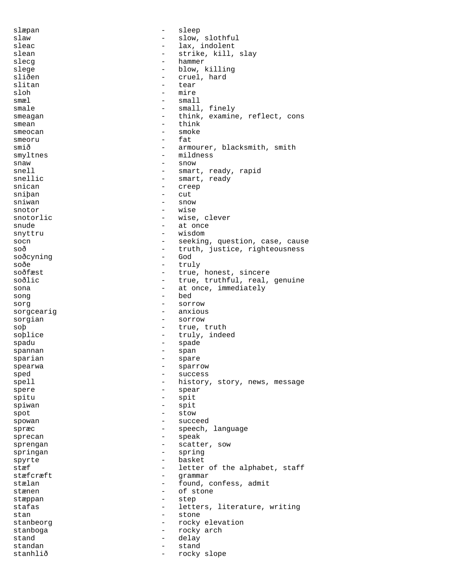slæpan - sleep slaw - slow, slothful - slow, slothful - slow, slothful - slow, slothful - slow, slothful - slow, slothful - slow, slothful - slow, slothful - slow, slothful - slow, slothful - slow, slothful - slow, slothful - slow, sloth - lax, indolent slean - strike, kill, slay slecg - hammer slege - blow, killing<br>sliðen - cruel, hard - cruel, hard<br>- tear slitan - tearrain - team - team - team - team - team - team - team - team - team - team - team - team - team mire smæl – small smale  $-$  small, finely smeagan - think, examine, reflect, cons smean - think smeocan - smoke smeoru - fat smið - armourer, blacksmith, smith smyltnes - mildness snaw - snow - snow<br>snell - smart snell<br>snellic - smart, ready, rapid<br>snellic - smart, ready snellic - smart, ready<br>snican - creep - creep<br>- cut sniþan – cutilista er snivan – cutilista er snivan – cutilista er snivan – cutilista er snivan – cutilista er s sniwan - snow<br>snotor - wise wise snotorlic  $-$  wise, clever snude - at once snyttru - wisdom socn - seeking, question, case, cause soð - truth, justice, righteousness<br>soðcyning - God soðcyning - Godfall - Godfall - Godfall - Godfall - Godfall - Godfall - Godfall - Godfall - Godfall - Godfall soðe - truly - truly - truly - truly - truly - truly - truly - truly - truly - truly - truly - true - true - true - true - true - true - true - true - true - true - true - true - true - true - true - true - true - true - t - true, honest, sincere soðlic - true, truthful, real, genuine sona  $-$  at once, immediately song - bed sorg - sorrow sorgcearig  $\overline{\phantom{a}}$  - anxious sorgian - sorrow soþ - true, truth soplice - truly, indeed spadu - spade - spade - spade - spannan - spade - span spannan - spannan - spannan - spannan - spannan - spannan - spannan - spannan - spannan - spannan - spannan - spannan - spannan - spannan - spannan - spannan - spannan - spannan - spannan - spannan - spannan - spannan - sp sparian - spare - spare<br>spearwa - sparr spearwa - sparrow - sparrow sped - success spell  $-$  history, story, news, message spere - spear - spear spitu - spitu - spitu spiwan - spit spot - stow spowan - succeed spræc - speech, language sprecan - speak sprengan - scatter, sow springan - spring spyrte - basket stæf - letter of the alphabet, staff stæfcræft - grammar stælan - found, confess, admit stænen – of stone<br>stænnan – of stone stæppan - step stafas - letters, literature, writing<br>stan - stone<br>- stone stan - stone stanbeorg  $\qquad \qquad -$  rocky elevation<br>stanboga stanboga - rocky arch stand - delay standan - stand stanhlið - rocky slope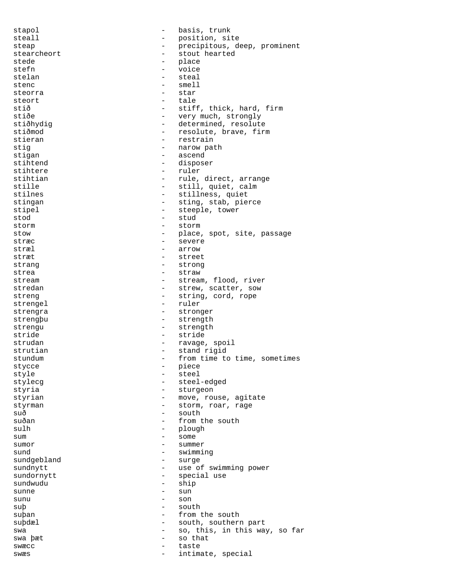stapol  $-$  basis, trunk steall  $\begin{array}{ccc} - & - & - & - \end{array}$  position, site<br>steap are a precipitous d steap - precipitous, deep, prominent stearcheort - stout hearted<br>stede - place - place<br>- voice stefn - voice<br>stelan - steal - steal stelan - steal<br>stence - steal<br>stence - small stenc - smell<br>steorra - star - star steorra steort – tale<br>stið – stif stið - stiff, thick, hard, firm<br>stiðe - verv much strongly stiðe - very much, strongly<br>stiðhydig - - - - - - - - - determined, resolute - determined, resolute stiðmod - resolute, brave, firm stieran - restrain stig  $-$  narow path stigan - ascend<br>stihtend - dispose stihtend - disposer<br>stihtere - ruler stihtere  $\qquad \qquad - \qquad \text{rule.}$  ruler stihtian - rule, direct, arrange<br>stille - still, quiet, calm stille  $\begin{array}{ccc} \text{still, quiet, calm} \\ \text{stilnes} \\ \end{array}$ - stillness, quiet stingan - sting, stab, pierce stipel external tower - steeple, tower stod - stud storm  $-$  storm  $-$  storm stow - place, spot, site, passage<br>stræc - severe - severe stræc - severe stræl - arrow stræt - street strang - strong<br>strea - straw - straw strea - straw - straw stream  $-$  stream, flood, river stredan - strew, scatter, sow streng  $-$  string, cord, rope strengel - ruler strengra - stronger strengþu - strength strengu - strength stride - stride - ravage, spoil strutian  $\begin{array}{ccc} - & \text{stand rigid} \\ - & \text{from time to} \end{array}$ stundum - from time to time, sometimes stycce - piece - piece<br>style - steel - steel style - steel stylecg - steel-edged - sturgeon styrian - move, rouse, agitate styrman - storm, roar, rage  $su\delta$  - south suðan - from the south  $\begin{array}{ccc}\n\text{sub} & - & \text{plough} \\
\text{sum} & - & \text{some}\n\end{array}$ sum - some sumor - summer sund<br>sundgebland<br> - swimming<br> - surge sundgebland - sundhytt sundnytt  $-$  use of swimming power sundornytt - special use  $\frac{1}{\sinh \theta}$  - ship sunne - sun sunu - son suþ - south suþan - from the south suþdæl - south, southern part swa  $-$  so, this, in this way, so far swa þæt - so that swæcc - taste swæs  $-$  intimate, special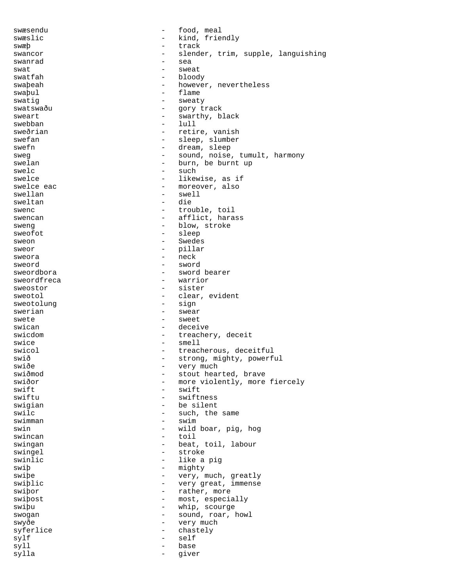swæsendu  $\qquad \qquad -$  food, meal swæslic - kind, friendly<br>swæb - track swæþ - track swancor - slender, trim, supple, languishing swanrad - sea swat - sweat swatfah - bloody swaþeah - however, nevertheless<br>swaþul - flame - flame - flame swatig  $-$  sweaty swatswaðu - gory track sweart - swarthy, black swebban - lull sweðrian - retire, vanish swefan - sleep, slumber<br>swefn - dream, sleep - dream, sleep sweg - sound, noise, tumult, harmony<br>swelan - hurn he burnt up swelan  $-$  burn, be burnt up<br>swelc swelc<br>swelce - such - such<br>- likew swelce  $\begin{array}{ccc} - & - & \text{likewise, as if} \\ \text{swelce eac} & - & \text{moreover, also} \end{array}$ swelce eac  $-$  moreover, also<br>swellan  $-$  swell - swell sweltan - die swenc  $-$  trouble, toil swencan  $-$  afflict, harass sweng  $-$  blow, stroke sweofot - sleep sweon - Swedes sweor - pillar sweora - neck sweord - sword - sword bearer<br>- warrior sweordfreca sweostor - sister sweotol - clear, evident<br>sweotolung - clear, evident<br>- sign sweotolung swerian - swear - swear<br>swete - sweet - sweet swican - deceive swicdom - treachery, deceit<br>swice - smell - smell - smell swicol  $-$  treacherous, deceitful<br>swið  $-$  strong, mighty, powerf swið - strong, mighty, powerful<br>swiðe - verv much swiðe - very much - very much swiðmod - very much - very much - very much - very much - very much - very much swiðmod - stout hearted, brave swiðor - more violently, more fiercely<br>swift - swift swift - swift - swift - swift - swift - swift - swift - swift - swift - swift - swift - swift - swift - swift - swift - swift - swift - swift - swift - swift - swift - swift - swift - swift - swift - swift - swift - swift - swiftness swigian - be silent swilc  $-$  such, the same swimman - swim swin  $-$  wild boar, pig, hog swincan - toil swingan - beat, toil, labour swingel - stroke<br>swinlic - like a swinlic  $\begin{array}{ccc} - & - & \text{like a pig} \\ \text{swib} & - & \text{mightv} \end{array}$ swiþ - mighty<br>swiþe - very, r swiþe - very, much, greatly<br>swiþlic - very great, immense swiþlic - very great, immense<br>swiþor - rather, more - rather, more swiþost - most, especially swiþu - whip, scourge swogan - sound, roar, howl swyðe - very much syferlice - chastely sylf - self syll - base sylla - giver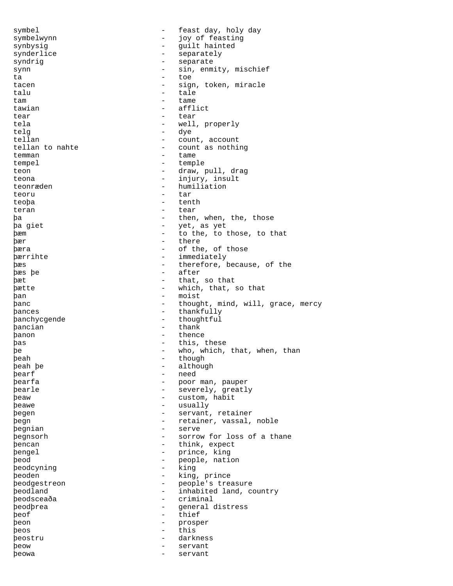symbel - feast day, holy day symbelwynn - joy of feasting<br>synbysig<br>- quilt hainted synbysig - guilt hainted synderlice - separately syndrig extending the separate separate synn  $-$  sin, enmity, mischief<br> $\frac{1}{2}$  to  $\frac{1}{2}$  to  $\frac{1}{2}$ ta - toe tacen - sign, token, miracle<br>
talu - tale talu - tale<br>tam - tame tam contract the contract of the contract of the contract of the contract of the contract of the contract of the contract of the contract of the contract of the contract of the contract of the contract of the contract of t tawian - afflict tear extended the tear tear tear tear tela - well, properly telg - dye tellan  $\begin{array}{ccc}\n & - & \text{count, account} \\
\text{tellan to nahte} & - & \text{count as nothi}\n\end{array}$ - count as nothing temman - tame tempel - temple<br>teor - draw - draw teon  $-$  draw, pull, drag teona - injury, insult teonræden  $\overline{c}$  - humiliation<br>teoru - tar teoru - tar teoþa - tenth teran - tear þa - then, when, the, those þa giet - yet, as yet þæm - to the, to those, to that þær - there þæra - of the, of those **bærrihte** - immediately<br>hæs - therefore b **bæs** - therefore, because, of the bæs be þæs þe - after þæt - that, so that þætte - which, that, so that þan - moist þanc - thought, mind, will, grace, mercy þances - thankfully þanchycgende - thoughtful þancian - thank þanon - thence þas - this, these þe - who, which, that, when, than þeah - though<br>beah be - though - though þeah þe - although - although - although - although - although - although - although - although - although - although - although - although - although - although - although - although - although - although - although - alt þearf - need - poor man, pauper þearle - severely, greatly þeaw - custom, habit þeawe - usually þegen - servant, retainer þegn - retainer, vassal, noble þegnian - serve þegnsorh - sorrow for loss of a thane þencan - think, expect þengel - prince, king þeod - people, nation þeodcyning þeoden - king, prince - people's treasure þeodland - inhabited land, country þeodsceaða - criminal þeodþrea - general distress þeof - thief þeon - prosper þeos - this þeostru - darkness þeow - servant þeowa - servant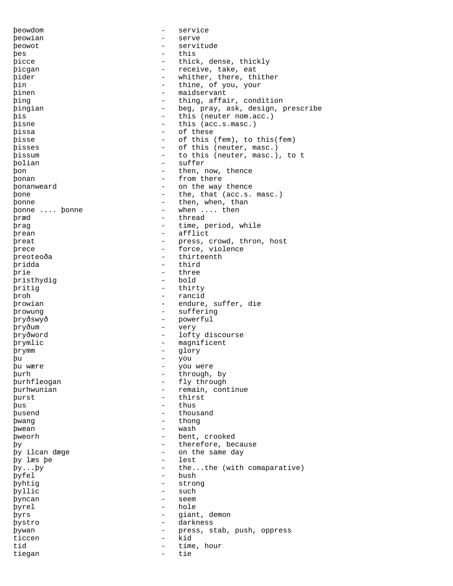þeowdom - service þeowian - serve þeowot - servitude þes - this þicce - thick, dense, thickly<br>bicgan - the take eat bicgan - receive, take, eat<br>bider - whither there the þider - whither, there, thither<br>
pin - thine, of you, your þin - thine, of you, your – maidservant<br>– thing affa þing - thing, affair, condition<br>bingian - beg, pray, ask, design, p - beg, pray, ask, design, prescribe þis - this (neuter nom.acc.) - this (acc.s.masc.) þissa - of these þisse - of this (fem), to this(fem) þisses - of this (neuter, masc.) þissum - to this (neuter, masc.), to t þolian - suffer<br>bon - then r þon - then, now, thence þonan - from there þonanweard - on the way thence þone - the, that (acc.s. masc.) bonne  $\ldots$  bonne  $\ldots$  then, when, than  $\ldots$  then  $\ldots$  then - when .... then þræd - thread - thread - thread - thread - thread - thread - thread - thread - thread - thread - thread - thread - thread - thread - thread - thread - thread - thread - thread - thread - thread - thread - thread - thread þrag - time, period, while þrean - afflict<br>breat - press þreat - press, crowd, thron, host þrece - force, violence - force, violence - force - force - force - force - force - force - force - force - force - force - force - force - force - force - force - force - force - force - force - force - force - force - fo – thirteenth<br>– third þridda - third<br>brie - three þrie - three þristhydig - bold þritig - thirty þroh - rancid þrowian - endure, suffer, die **browung** - suffering þryðswyð - powerful þryðum - very þryðword - lofty discourse þrymlic - magnificent<br>brymm þrymm - glory þu - you þu wære - you were þurh - through, by -<br>þurhfleogan - fly through þurhwunian - remain, continue þurst - thirst þus - thus - thus þusend - thousand þwang - thong þwean - wash þweorh - bent, crooked þy<br>by ilcan dæge samer - therefore, because<br>py ilcan dæge samer - on the same day - on the same day<br>- lest þy læs þe - lest hv by...by  $-$  the...the (with comaparative)<br>byfel  $-$  bush þyfel - bush - bush - stron þyhtig - strong þyllic - such<br>byngan - seem þyncan - seem þyrel - hole<br>byrs - qian þyrs - giant, demon þystro - darkness bywan - darkness e þywan - press, stab, push, oppress ticcen - kid tid  $-$  time, hour tiegan - tie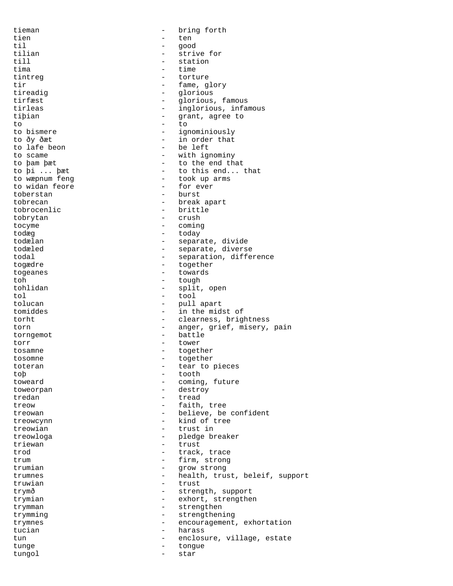tieman - bring forth tien en de beste behalfte behalfte behalfte behalfte behalfte behalfte behalfte behalfte behalfte behalfte beh til - good tilian - strive for<br>till - station - station till - station tima - time tintreg extended to the torture tir  $\begin{array}{cccc} \text{time} & \text{time} & \text{time} \\ \text{time} & \text{time} & \text{time} \\ \text{time} & \text{time} & \text{time} \\ \end{array}$ - glorious tirfæst - glorious, famous tirleas  $-$  inglorious, infamous tiþian - grant, agree to to - to to bismere  $-$  ignominiously to ðy ðæt - in order that - be left to scame  $-$  with ignominy to þam þæt - to the end that to þi ... þæt - to this end... that<br>to wæpnum feng - took up arms - took up arms<br>- for ever to widan feore<br>toberstan - burst tobrecan - break apart tobrocenlic - brittle tobrytan - crush - crush - crush - crush - crush - crush - crush - crush - crush - crush - comine - comine - comine - comine - comine - comine - comine - comine - comine - comine - comine - comine - comine - comine - comin - coming todæg - today todælan - separate, divide todæled - separate, diverse todal  $-$  separation, difference togædre - together - together<br>togeanes - towards togeanes - towards toh - tough tohlidan - tough - tough - tough - tough - tough - tough - tough - tough - tough - tough - tough - tough - tough - tough - tough - tough - tough - tough - tough - tough - tough - tough - tough - tough - tough tohlidan - split, open tol - split, open tol - tool tol - tool tolucan - pull apart tomiddes - in the midst of torht - clearness, brightness torn anger, grief, misery, pain torngemot - battle torr - tower tosamne - together<br>tosomne - together<br>together tosomne - together toteran - tear to pieces toþ - tooth toweard  $\qquad \qquad - \qquad \qquad \text{coming, future}$ toweorpan - destroy tredan extending the tread tread treow  $-$  faith, tree treowan  $\qquad \qquad -$  believe, be confident treowcynn - kind of tree treowian - trust in treowloga - pledge breaker<br>triewan - brust - trust triewan - trust trod  $\begin{array}{ccc} - & \text{track, trace} \\ - & \text{firm, strong} \end{array}$ trum - firm, strong trumian - grow strong trumnes - health, trust, beleif, support truwian - trust trymð - strength, support trymian - exhort, strengthen trymman - strengthen trymming extension of the strengthening trymnes - encouragement, exhortation tucian - harass tun  $\qquad \qquad -$  enclosure, village, estate tunge - tongue tungol - star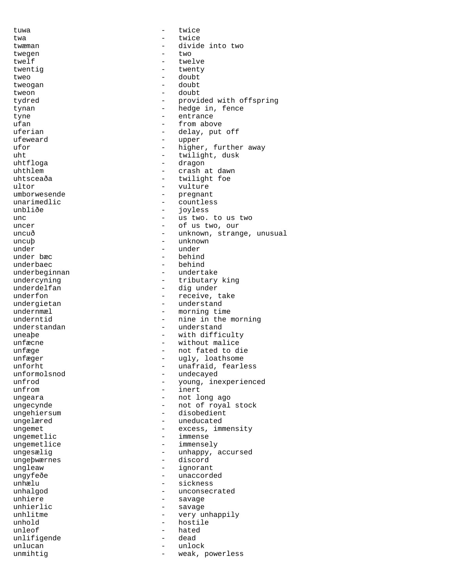tuwa - twice twa  $-$  twice twæman - divide into two twegen - two twelf - twelve<br>twentig - twenty twentig  $\begin{array}{ccc} 1 & - & \text{twenty} \\ 1 & - & \text{doubt} \\ 1 & - & \text{doubt} \end{array}$ tweo - doubt - doubt - doubt - doubt - doubt - doubt - doubt - doubt - doubt - doubt - doubt - doubt - doubt tweogan tweon - doubt tydred  $-$  provided with offspring tynan - hedge in, fence tyne  $-$  entrance ufan  $\overline{\qquad}$  - from above uferian - delay, put off ufeweard - upper ufor  $-$  higher, further away<br>  $-$  twilight, dusk - twilight, dusk<br>- dragon uhtfloga - dragon uhthlem - crash at dawn uhtsceaða - twilight foe<br>ultor - twilight foe<br>- vulture ultor - vulture - pregnant<br>- countles unarimedlic - countless<br>unbliðe - countless<br>- iovless ioyless unc  $\qquad \qquad -$  us two. to us two uncer - of us two, our uncuð - unknown, strange, unusual uncuþ - unknown under under ander ander the moder of the moder of the moder of the moder of the moder of the moder of the moder<br>
and the moder of the moder of the moder of the moder of the moder of the moder of the modern control of the m under bæc - behind underbaec - behind<br>underbeginnan - undertake underbeginnan<br>undercyning undercyning - tributary king<br>underdelfan - dig under - dig under underfon - receive, take undergietan - understand<br>undernmæl - morning time undernmæl – morning time<br>underntid – mine in the m - nine in the morning understandan - understand uneaþe - with difficulty unfæcne - without malice unfæge en mot fated to die unfæger - ugly, loathsome unforht - unafraid, fearless<br>unformolsnod - undecayed unformolsnod - undecayed unfrod - young, inexperienced<br>unfrom - inert - inert ungeara - not long ago ungecynde - not of royal stock ungehiersum - disobedient ungelæred en andre andre van de later van de van de van de van de van de van de van de van de van de van de va ungemet - excess, immensity ungemetlic  $\qquad \qquad - \qquad \qquad \text{imense}$ <br>ungemetlice  $\qquad \qquad - \qquad \text{imense}.$ ungemetlice - immensely ungesælig - unhappy, accursed ungeþwærnes - discord ungleaw - ignorant<br>ungyfeðe - ignorant - unaccord ungyfeðe - unaccorded sickness unhalgod - unconsecrated unhiere - savage<br>unhierlic - savage unhierlic - savage<br>unhlitme - vervui very unhappily unhold - hostile<br>unleof - hated unleof - hated<br>unlifigende - hated<br>- dead unlifigende - dead - dead - dead - dead - dead - dead - dead - dead - dead - dead - dead - dead - de unlucan - unlock unmihtig  $-$  weak, powerless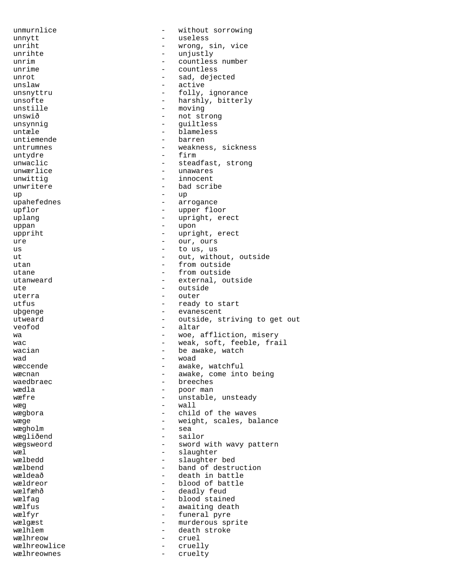unmurnlice - without sorrowing unnytt and the useless variable variable variable variable variable variable variable variable variable variable v<br>
unniht variable variable variable variable variable variable variable variable variable variable variable unriht - wrong, sin, vice unrihte - unjustly unrim  $-$  countless number<br>unrime  $-$  countless countless unrot - sad, dejected unslaw - active<br>unsnyttru - folly, - folly, ignorance unsofte - harshly, bitterly<br>unstille - moving - moving unswið - not strong unsynnig en andere andere en andere en andere en andere en andere en andere en andere en andere en andere en a untæle - blameless untiemende  $-$  barren untrumnes - weakness, sickness untvdre - Firm untydre - firm unwaclic  $-$  steadfast, strong<br>unwærlice  $-$  unawares - unawares unwittig - innocent - bad scribe up - up - arrogance upflor  $\begin{array}{ccc} \text{upflor} & - & \text{upper floor} \\ \text{uplang} & - & \text{upright, er} \end{array}$ - upright, erect uppan - upon uppriht  $\qquad \qquad -$  upright, erect ure - our, ours  $\begin{array}{ccc} \text{us} & \hspace{1.5cm} - & \text{to us, us} \end{array}$ ut  $-$  out, without, outside<br>  $-$  from outside utan  $-$  from outside utane - from outside - from outside - from outside - from outside - from outside - from outside - from outside - from outside - from outside - from outside - from outside - from outside - from outside - from outside - from utanweard - external, outside<br>ute - outside - outside - outside uterra - outer<br>utfus - outer<br>- ready - ready to start uþgenge - evanescent utweard  $-$  outside, striving to get out veofod - altar wa  $-$  woe, affliction, misery wac  $\qquad \qquad -$  weak, soft, feeble, frail wacian  $\begin{array}{ccc} \text{wadian} & \text{m} \\ \text{wad} & \text{m} \\ \end{array}$  -  $\begin{array}{ccc} \text{be awake, watch} \\ \text{woad} \\ \end{array}$ wad - woad wæccende - awake, watchful<br>wæcnan - awake, come int wæcnan - awake, come into being<br>waedbraec - - - - - - - - breeches waedbraec - breeches<br>wædla - boor man - poor man wæfre  $\qquad \qquad -$  unstable, unsteady  $w$ æg  $-$  wall wægbora  $-$  child of the waves wæge - weight, scales, balance wægholm - sea wægliðend - sailor wægsweord - sword with wavy pattern wæl - slaughter wælbedd - slaughter bed wælbend - band of destruction wældeað - death in battle wældreor - blood of battle - deadly feud wælfag  $-$  blood stained wælfus  $\qquad$  - awaiting death wælfyr  $-$  funeral pyre wælgæst - murderous sprite<br>wælhlem - death stroke wælhlem  $\qquad \qquad -$  death stroke wælhreow - cruel wælhreowlice - cruelly<br>wælhreownes - cruelty wælhreownes - cruelty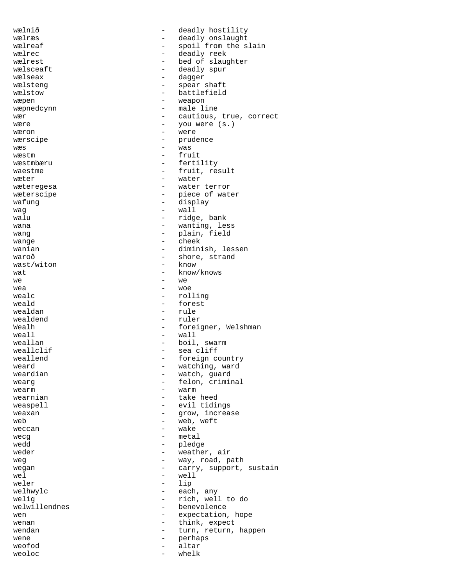wælnið  $\qquad -$  deadly hostility wælræs - deadly onslaught wælreaf - spoil from the slain wælrec  $\qquad -$  deadly reek wælrest - bed of slaughter<br>wælsceaft - deadly spur wælsceaft - deadly spur vælseax - deadly spur vælseax wælseax - dagger wælsteng  $\qquad \qquad -$  spear shaft<br>wælstow - battlefield - battlefield<br>- weapon wæpen - weapon wæpnedcynn er alle line wær  $-$  cautious, true, correct wære  $-$  you were  $(s.)$ wæron - were wærscipe - prudence - prudence - prudence - prudence - prudence - prudence - prudence - prudence - prudence - prudence - prudence - prudence - prudence - prudence - prudence - prudence - prudence - prudence - prudence - pr  $w$ æs  $-$  was  $-$  was wæstm - fruit wæstmbæru - fertility<br>waestme - fruit res waestme  $-$  fruit, result wæter  $-$  water wæteregesa - water terror wæterscipe  $-$  piece of water wafung - display  $waq$  -  $wall$ walu  $\qquad \qquad -$  ridge, bank wana  $-$  wanting, less wang  $\qquad \qquad -$  plain, field wange  $\qquad \qquad -$  cheek wange - cheek wanian - diminish, lessen waroð - shore, strand wast/witon - shore, strand wast/witon - known - known - known - known - known - known - known - known - known - known - known - known - known - known - known - known - known - known - known - known - known - known - known - known - known - known - k  $w$ at  $-$  know/knows  $-$  know/knows  $-$  we  $we$   $-$  we wea - woe - woe wealc - rolling - rolling<br>weald - forest  $\begin{array}{ccc}\n\text{wead}\n\text{ } & \text{ } & - & \text{forest}\n\end{array}$ - rule<br>- ruler wealdend Wealh  $\overline{a}$  - foreigner, Welshman weall  $\begin{array}{ccc} 0 & - & \text{wall} \\ 0 & - & \text{boli} \end{array}$ weallan - boil, swarm weallclif  $\begin{array}{ccc} 1 & - & - & - \\ 0 & - & - & - \end{array}$  sea cliff - foreign country<br>- watching, ward weard  $\begin{array}{ccc} 0 & \text{weak} \\ 0 & \text{weak} \\ 0 & \text{weak} \\ 0 & \text{weak} \\ 0 & \text{weak} \\ \end{array}$ - watch, guard<br>- felon crimin wearg  $\qquad \qquad -$  felon, criminal<br>wearm  $\qquad \qquad -$  warm wearm  $-$  warm wearnian  $\qquad \qquad$  - take heed weaspell  $-$  evil tidings weaxan  $-$  grow, increase web  $-$  web, weft weccan - wake metal wedd - pledge  $weder$  - weather, air<br> $wear$  - wave road p weg  $-$  way, road, path<br>wegan  $-$  carry support. wegan - carry, support, sustain<br>wel - well - well wel  $-$  well weler - lip welhwylc  $-$  each, any welig<br>
welwillendnes<br>
- benevolence<br>
- benevolence - benevolence wen  $-$  expectation, hope wenan  $\begin{array}{ccc}\n\text{wehan} & - & \text{think, expect} \\
\text{wendan} & - & \text{turn, return.}\n\end{array}$ wendan  $\begin{array}{ccc}\n\text{wendan} & - & \text{turn, return, happen} \\
\text{wene} & - & \text{perhaps}\n\end{array}$ wene  $-$  perhaps weofod - altar  $weoloc$   $-$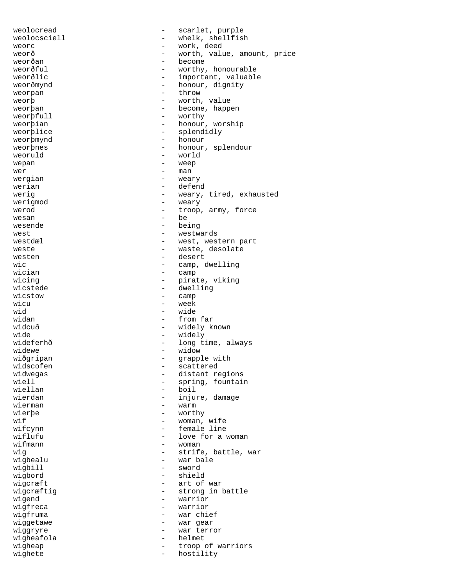weolocread  $\qquad \qquad -$  scarlet, purple weolocsciell - whelk, shellfish<br>weorg weorc  $-$  work, deed weorð  $-$  worth, value, amount, price weorðan - become weorðful - worthy, honourable<br>weorðlic - important, valuabl important, valuable weorðmynd - honour, dignity weorpan - throw - throw weorb  $-$  worth, value weorþan - become, happen<br>weorbfull - worthy weorbfull  $\qquad$  - worthy weorþian - honour, worship weorþlice - splendidly weorþmynd - honour weorþnes - honour, splendour veoruld - honour, splendour veoruld - vorld weoruld - world - world wepan - weep - man<br>- weary wergian werian  $\qquad$  - defend werig  $-$  weary, tired, exhausted werigmod - weary werod  $-$  troop, army, force wesan - be being west  $-$  westwards westdæl  $-$  west, western part weste  $-$  waste, desolate westen - desert<br>wic - camp ( wic  $\begin{array}{ccc} \text{wic} & - & \text{camp, dwelling} \\ \text{wician} & - & \text{camp} \end{array}$ wician - camp<br>wicing - pirat wicing  $\begin{array}{ccc} \text{wicing} & - & \text{pirate, viking} \\ \text{wisted} & - & \text{dwelling} \end{array}$ - dwelling wicstow - camp wicu - week<br>wid - wide wid - wide - from far widcuð - widely known<br>wide - widely known<br>- widely wide - widely<br>wideferhð - hong t wideferhð - long time, always<br>widewe - widow - widow widewe - widow - grapple with widscofen - scattered<br>widwegas - distant re widwegas  $\qquad \qquad \qquad -$  distant regions<br>wiell  $\qquad \qquad -$  spring, fountai wiell  $\begin{array}{ccc} \text{width} & - & \text{spring, fountain} \\ \text{width} & - & \text{boil} \end{array}$ - boil wierdan  $-$  injure, damage wierman  $-$  warm wierbe - worthy wif  $-$  woman, wife wifcynn - female line<br>wiflufu - love for a - love for a woman wifmann  $\blacksquare$ wig  $\begin{array}{ccc} \texttt{wig} & \texttt{string} \\ \texttt{wigbealu} & \texttt{string} \\ \texttt{avgbealu} & \texttt{avgate} \\ \end{array}$ - war bale<br>- sword wigbill<br>wigbord - shield wigcræft  $\qquad$  - art of war wigcræftig  $-$  strong in battle wigend  $-$  warrior wigfreca - warrior - warrior<br>wigfruma - war chi - war chief wiggetawe - war gear<br>wiggryre - war terre wiggryre - war terror<br>wigheafola - helmet - helmet wigheafola - helmet - helmet - helmet - helmet - helmet - helmet - helmet - helmet - helmet - helmet - helmet<br>- helmet - helmet - helmet - helmet - helmet - helmet - helmet - helmet - helmet - helmet - helmet - helmet wigheap  $\overline{a}$  - troop of warriors<br>wighete  $\overline{a}$  - hostility wighete - hostility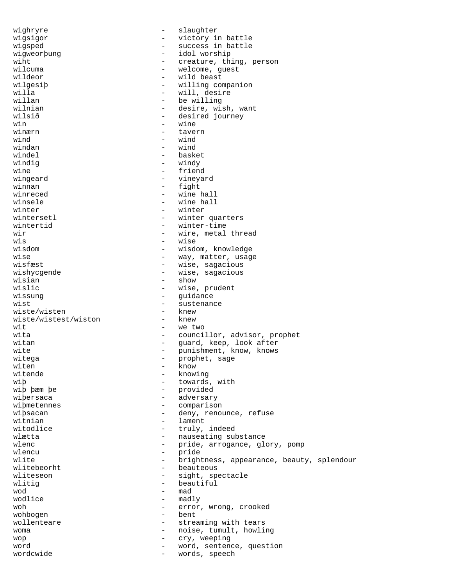wighryre  $-$  slaughter wigsigor  $-$  victory in battle wigsped - success in battle wigweorþung - idol worship wiht  $\begin{array}{ccc}\n\text{with} & - & \text{c}_1 \\
\text{with} & - & \text{c}_2 \\
\text{with} & - & \text{w}_{\text{u}}\n\end{array}$ wilcuma - welcome, guest<br>wildeor - wild beast wildeor - wild beast<br>wilgesip - willing co wilgesiþ - willing companion<br>willa - will.desire willa - will, desire - will, desire - will, desire - will, desire - will, desire - will as a metal of the set o<br>
- and the metal of the metal of the metal of the metal of the metal of the metal of the metal of the metal of willan - be willing wilnian - desire, wish, want<br>wilsið - desired journey - desired journey  $win$  - wine winærn  $\blacksquare$ wind  $-$  wind  $-$  wind  $$ windan - wind windel - basket windig  $-$  windy wine - friend<br>wingeard - vineya wingeard  $\qquad$  - vineyard vinnan  $\qquad$  - fight winnan - fight winreced - wine hall<br>winsele - wine hall - wine hall  $\text{winter}$   $\text{winter}$ wintersetl  $-$  winter quarters wintertid  $-$  winter-time wir  $-$  wire, metal thread wis - wise - wisdom, knowledge wise  $-$  way, matter, usage wisfæst  $-$  wise, sagacious wisfæst - wise, sagacious<br>wishycqende - - wise, sagacious wishycgende - wise, sagacious<br>wisian - show<br>- show wisian - show - show<br>wislic - wise. wislic  $\begin{array}{ccc} \text{wislic} & - & \text{wise, prudent} \\ \text{wissung} & - & \text{quidance} \end{array}$ - guidance wist<br>wiste/wisten - sustenance<br>- knew wiste/wisten - knew<br>wiste/wistest/wiston - knew wiste/wistest/wiston wit - we two wita  $-$  councillor, advisor, prophet witan - guard, keep, look after wite  $-$  punishment, know, knows witega - prophet, sage witen - know - know - know - know - know - know - know - know - know - know - know - know - know - know - know - know - know - know - know - know - know - know - know - know - know - know - know - know - know - know - know witende  $\begin{array}{ccc} - &$  knowing<br>wib - towards wiþ  $\frac{1}{2}$  - towards, with  $\frac{1}{2}$  - towards, with  $\frac{1}{2}$  - provided - provided wiþersaca - adversary - adversary<br>wiþmetennes - compariso - comparison wiþsacan - deny, renounce, refuse witnian  $-$  lament witodlice  $-$  truly, indeed wlætta <br/> - nauseating substance wlenc - pride, arrogance, glory, pomp<br>wlencu wlencu - pride wlite - brightness, appearance, beauty, splendour<br>wlitebeorht - beauteous wlitebeorht - beauteous wliteseon - sight, spectacle<br>wlitiq - sight, spectacle - beautiful wod - mad - madly woh  $-$  error, wrong, crooked wohbogen - bent wollenteare  $\qquad \qquad -$  streaming with tears woma - noise, tumult, howling<br>wop - rv, weening wop - cry, weeping word<br>wordcwide - word, sentence, question<br>- words, speech words, speech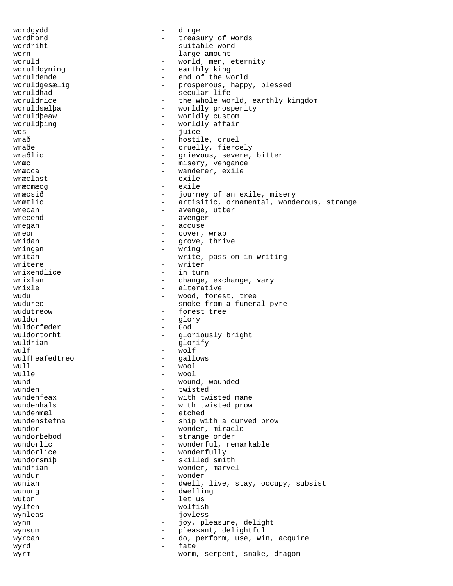wordgydd - dirge wordhord  $-$  treasury of words wordriht - suitable word worn - large amount woruld<br>woruldcyning - world, men, eternity<br>- earthly king woruldcyning - earthly king woruldende - end of the world<br>woruldgesælig - end of the world woruldgesælig - prosperous, happy, blessed<br>woruldhad - secular life woruldhad  $\overline{\phantom{a}}$  - secular life<br>woruldrice - the whole wor - the whole world, earthly kingdom woruldsælþa - worldly prosperity woruldþeaw - worldly custom woruldþing - worldly affair wos - juice wrað  $\qquad$  - hostile, cruel wraðe  $\overline{\phantom{a}}$  - cruelly, fiercely wraðlic - Grievous, severe, bitter wræc  $\qquad \qquad -$  misery, vengance wræcca - wanderer, exile<br>
wræclast - wanderer, exile wræclast wræcmæcg - exile wræcsið  $-$  journey of an exile, misery wrætlic - artisitic, ornamental, wonderous, strange wrecan  $\qquad \qquad -$  avenge, utter wrecend  $\qquad$  - avenger wregan  $\overline{\phantom{a}}$  accuse wreon - cover, wrap wridan - grove, thrive<br>wringan - wring wringan - wring writan - write, pass on in writing writere - writer wrixendlice  $\frac{1}{2}$  - in turn wrixlan wrixlan - change, exchange, vary<br>
wrixle - alterative - alterative wudu  $-$  wood, forest, tree wudurec - smoke from a funeral pyre<br>
- forest tree - forest tree wuldor - glory Wuldorfæder wuldortorht - gloriously bright<br>wuldrian - glorify wuldrian - glorify<br>wulf - wolf wulf - wolf wulfheafedtreo<br>wull wull - wool  $\begin{array}{ccc} \text{wulle} & - & \text{wool} \\ \text{wund} & - & \text{woun} \end{array}$ wund - wound, wounded<br>wunden - twisted wunden<br>wundenfeax - twisted<br>wundenfeax - with twi - with twisted mane wundenhals - with twisted prow wundenmæl - etched wundenstefna - - ship with a curved prow wundor - wonder, miracle - strange order wundorlic - wonderful, remarkable<br>wundorlice - wonderfully - wonderfully<br>- skilled smit wundorsmiþ - skilled smith<br>wundrian wundrian  $\blacksquare$  wonder, marvel wundur - wonder - dwell, live, stay, occupy, subsist wunung and a settlement of the dwelling wuton  $-$  let us wylfen - wolfish<br>wynleas - wolfish<br>- iovless wynleas - joyless wynn - joy, pleasure, delight wynsum  $\qquad \qquad -$  pleasant, delightful wyrcan  $\qquad \qquad -$  do, perform, use, win, acquire wyrd - fate wyrm  $\qquad \qquad -$  worm, serpent, snake, dragon